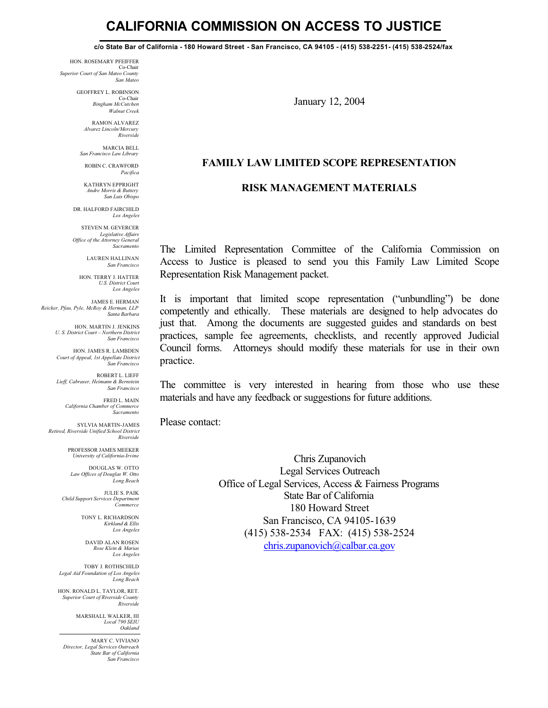# **CALIFORNIA COMMISSION ON ACCESS TO JUSTICE**

**c/o State Bar of California - 180 Howard Street - San Francisco, CA 94105 - (415) 538-2251- (415) 538-2524/fax**

HON. ROSEMARY PFEIFFER Co-Chair *Superior Court of San Mateo County San Mateo*

> GEOFFREY L. ROBINSON Co-Chair *Bingham McCutchen Walnut Creek*

> > RAMON ALVAREZ *Alvarez Lincoln/Mercury Riverside*

MARCIA BELL *San Francisco Law Library*

ROBIN C. CRAWFORD *Pacifica*

KATHRYN EPPRIGHT *Andre Morris & Buttery San Luis Obispo*

DR. HALFORD FAIRCHILD *Los Angeles*

STEVEN M. GEVERCER *Legislative Affairs Office of the Attorney General Sacramento*

> LAUREN HALLINAN *San Francisco*

HON. TERRY J. HATTER *U.S. District Court Los Angeles*

JAMES E. HERMAN *Reicker, Pfau, Pyle, McRoy & Herman, LLP Santa Barbara*

> HON. MARTIN J. JENKINS *U. S. District Court – Northern District San Francisco*

HON. JAMES R. LAMBDEN *Court of Appeal, 1st Appellate District San Francisco*

ROBERT L. LIEFF *Lieff, Cabraser, Heimann & Bernstein San Francisco*

> FRED L. MAIN *California Chamber of Commerce Sacramento*

SYLVIA MARTIN-JAMES *Retired, Riverside Unified School District Riverside*

> PROFESSOR JAMES MEEKER *University of California-Irvine*

DOUGLAS W. OTTO *Law Offices of Douglas W. Otto Long Beach*

JULIE S. PAIK *Child Support Services Department Commerce*

> TONY L. RICHARDSON *Kirkland & Ellis Los Angeles*

DAVID ALAN ROSEN *Rose Klein & Marias Los Angeles*

TOBY J. ROTHSCHILD *Legal Aid Foundation of Los Angeles Long Beach*

HON. RONALD L. TAYLOR, RET. *Superior Court of Riverside County Riverside*

> MARSHALL WALKER, III *Local 790 SEIU Oakland*

MARY C. VIVIANO *Director, Legal Services Outreach State Bar of California San Francisco* January 12, 2004

### **FAMILY LAW LIMITED SCOPE REPRESENTATION**

#### **RISK MANAGEMENT MATERIALS**

The Limited Representation Committee of the California Commission on Access to Justice is pleased to send you this Family Law Limited Scope Representation Risk Management packet.

It is important that limited scope representation ("unbundling") be done competently and ethically. These materials are designed to help advocates do just that. Among the documents are suggested guides and standards on best practices, sample fee agreements, checklists, and recently approved Judicial Council forms. Attorneys should modify these materials for use in their own practice.

The committee is very interested in hearing from those who use these materials and have any feedback or suggestions for future additions.

Please contact:

Chris Zupanovich Legal Services Outreach Office of Legal Services, Access & Fairness Programs State Bar of California 180 Howard Street San Francisco, CA 94105-1639 (415) 538-2534 FAX: (415) 538-2524 chris.zupanovich@calbar.ca.gov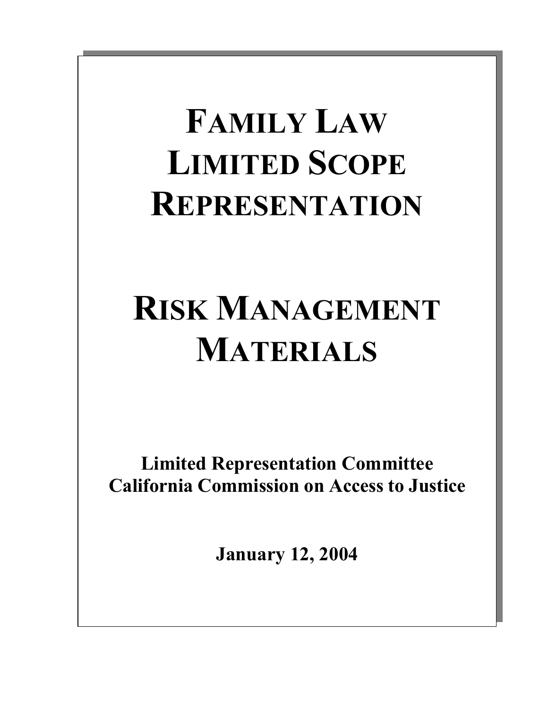# **FAMILY LAW LIMITED SCOPE REPRESENTATION**

# **RISK MANAGEMENT MATERIALS**

**Limited Representation Committee California Commission on Access to Justice**

**January 12, 2004**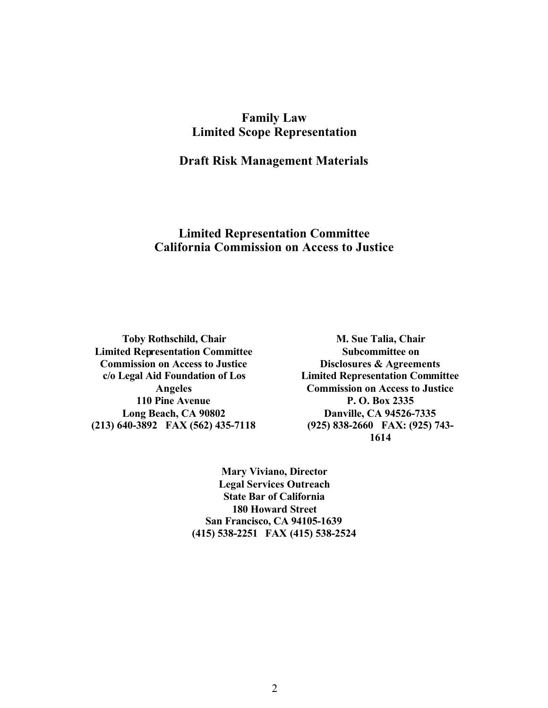# **Family Law Limited Scope Representation**

**Draft Risk Management Materials**

# **Limited Representation Committee California Commission on Access to Justice**

**Toby Rothschild, Chair Limited Representation Committee Commission on Access to Justice c/o Legal Aid Foundation of Los Angeles 110 Pine Avenue Long Beach, CA 90802 (213) 640-3892 FAX (562) 435-7118**

**M. Sue Talia, Chair Subcommittee on Disclosures & Agreements Limited Representation Committee Commission on Access to Justice P. O. Box 2335 Danville, CA 94526-7335 (925) 838-2660 FAX: (925) 743- 1614**

**Mary Viviano, Director Legal Services Outreach State Bar of California 180 Howard Street San Francisco, CA 94105-1639 (415) 538-2251 FAX (415) 538-2524**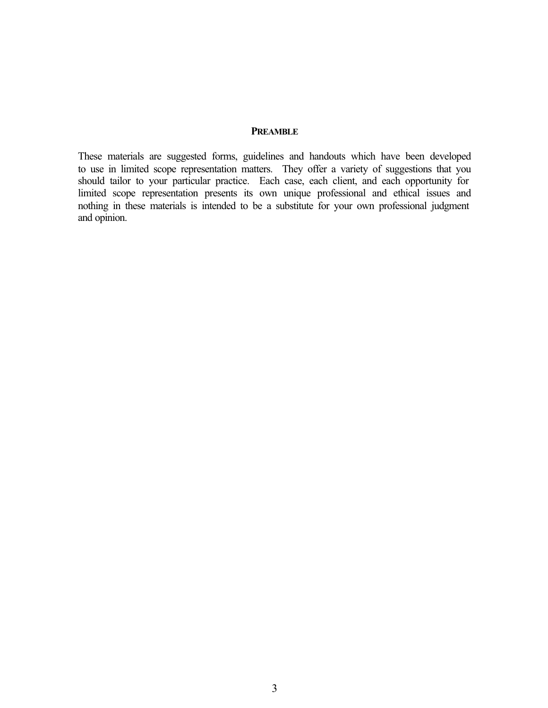#### **PREAMBLE**

These materials are suggested forms, guidelines and handouts which have been developed to use in limited scope representation matters. They offer a variety of suggestions that you should tailor to your particular practice. Each case, each client, and each opportunity for limited scope representation presents its own unique professional and ethical issues and nothing in these materials is intended to be a substitute for your own professional judgment and opinion.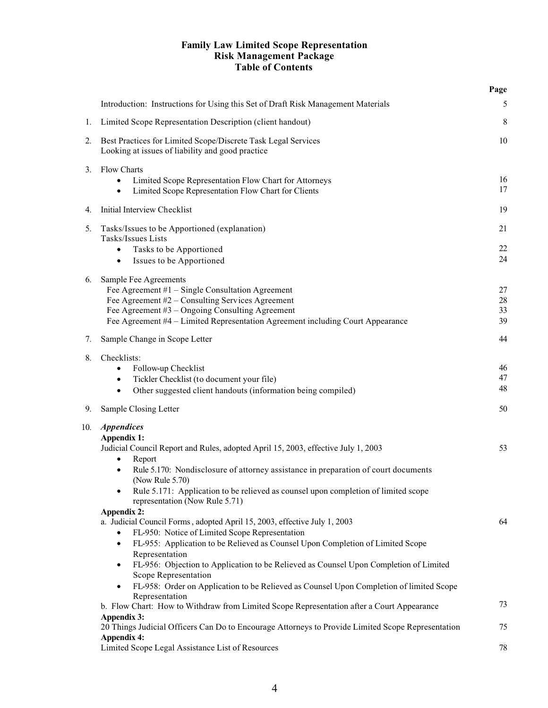### **Family Law Limited Scope Representation Risk Management Package Table of Contents**

|     |                                                                                                                                                                                                                                                                                                                                                                                                                                                                                                                   | Page                 |
|-----|-------------------------------------------------------------------------------------------------------------------------------------------------------------------------------------------------------------------------------------------------------------------------------------------------------------------------------------------------------------------------------------------------------------------------------------------------------------------------------------------------------------------|----------------------|
|     | Introduction: Instructions for Using this Set of Draft Risk Management Materials                                                                                                                                                                                                                                                                                                                                                                                                                                  | 5                    |
| 1.  | Limited Scope Representation Description (client handout)                                                                                                                                                                                                                                                                                                                                                                                                                                                         | 8                    |
| 2.  | Best Practices for Limited Scope/Discrete Task Legal Services<br>Looking at issues of liability and good practice                                                                                                                                                                                                                                                                                                                                                                                                 | 10                   |
| 3.  | Flow Charts<br>Limited Scope Representation Flow Chart for Attorneys<br>$\bullet$<br>Limited Scope Representation Flow Chart for Clients<br>$\bullet$                                                                                                                                                                                                                                                                                                                                                             | 16<br>17             |
| 4.  | Initial Interview Checklist                                                                                                                                                                                                                                                                                                                                                                                                                                                                                       | 19                   |
| 5.  | Tasks/Issues to be Apportioned (explanation)<br>Tasks/Issues Lists                                                                                                                                                                                                                                                                                                                                                                                                                                                | 21                   |
|     | Tasks to be Apportioned<br>$\bullet$<br>Issues to be Apportioned<br>$\bullet$                                                                                                                                                                                                                                                                                                                                                                                                                                     | 22<br>24             |
| 6.  | Sample Fee Agreements<br>Fee Agreement $#1$ – Single Consultation Agreement<br>Fee Agreement #2 – Consulting Services Agreement<br>Fee Agreement #3 – Ongoing Consulting Agreement<br>Fee Agreement #4 – Limited Representation Agreement including Court Appearance                                                                                                                                                                                                                                              | 27<br>28<br>33<br>39 |
| 7.  | Sample Change in Scope Letter                                                                                                                                                                                                                                                                                                                                                                                                                                                                                     | 44                   |
| 8.  | Checklists:<br>Follow-up Checklist<br>$\bullet$<br>Tickler Checklist (to document your file)<br>$\bullet$<br>Other suggested client handouts (information being compiled)<br>$\bullet$                                                                                                                                                                                                                                                                                                                            | 46<br>47<br>48       |
| 9.  | Sample Closing Letter                                                                                                                                                                                                                                                                                                                                                                                                                                                                                             | 50                   |
| 10. | <b>Appendices</b><br><b>Appendix 1:</b><br>Judicial Council Report and Rules, adopted April 15, 2003, effective July 1, 2003<br>Report<br>$\bullet$<br>Rule 5.170: Nondisclosure of attorney assistance in preparation of court documents<br>$\bullet$<br>(Now Rule 5.70)<br>Rule 5.171: Application to be relieved as counsel upon completion of limited scope<br>$\bullet$<br>representation (Now Rule 5.71)<br><b>Appendix 2:</b>                                                                              | 53                   |
|     | a. Judicial Council Forms, adopted April 15, 2003, effective July 1, 2003<br>FL-950: Notice of Limited Scope Representation<br>$\bullet$<br>FL-955: Application to be Relieved as Counsel Upon Completion of Limited Scope<br>$\bullet$<br>Representation<br>FL-956: Objection to Application to be Relieved as Counsel Upon Completion of Limited<br>$\bullet$<br>Scope Representation<br>FL-958: Order on Application to be Relieved as Counsel Upon Completion of limited Scope<br>$\bullet$<br>Representation | 64                   |
|     | b. Flow Chart: How to Withdraw from Limited Scope Representation after a Court Appearance                                                                                                                                                                                                                                                                                                                                                                                                                         | 73                   |
|     | <b>Appendix 3:</b><br>20 Things Judicial Officers Can Do to Encourage Attorneys to Provide Limited Scope Representation                                                                                                                                                                                                                                                                                                                                                                                           | 75                   |
|     | <b>Appendix 4:</b><br>Limited Scope Legal Assistance List of Resources                                                                                                                                                                                                                                                                                                                                                                                                                                            | 78                   |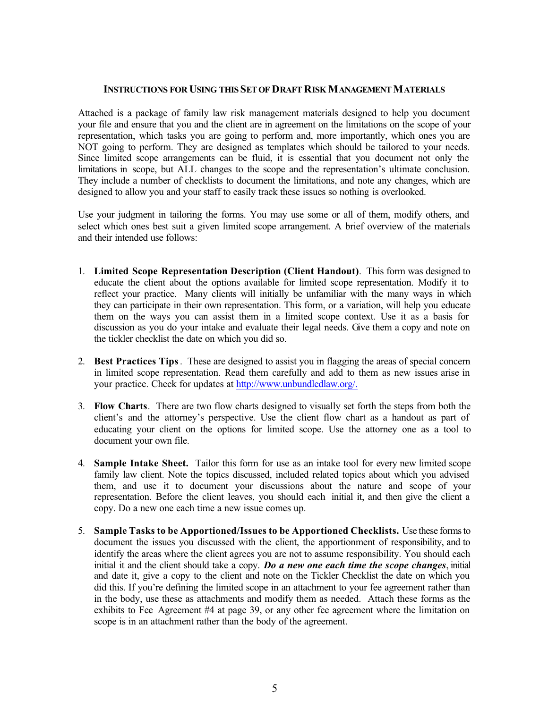#### **INSTRUCTIONS FOR USING THIS SET OF DRAFT RISK MANAGEMENT MATERIALS**

Attached is a package of family law risk management materials designed to help you document your file and ensure that you and the client are in agreement on the limitations on the scope of your representation, which tasks you are going to perform and, more importantly, which ones you are NOT going to perform. They are designed as templates which should be tailored to your needs. Since limited scope arrangements can be fluid, it is essential that you document not only the limitations in scope, but ALL changes to the scope and the representation's ultimate conclusion. They include a number of checklists to document the limitations, and note any changes, which are designed to allow you and your staff to easily track these issues so nothing is overlooked.

Use your judgment in tailoring the forms. You may use some or all of them, modify others, and select which ones best suit a given limited scope arrangement. A brief overview of the materials and their intended use follows:

- 1. **Limited Scope Representation Description (Client Handout)**. This form was designed to educate the client about the options available for limited scope representation. Modify it to reflect your practice. Many clients will initially be unfamiliar with the many ways in which they can participate in their own representation. This form, or a variation, will help you educate them on the ways you can assist them in a limited scope context. Use it as a basis for discussion as you do your intake and evaluate their legal needs. Give them a copy and note on the tickler checklist the date on which you did so.
- 2. **Best Practices Tips**. These are designed to assist you in flagging the areas of special concern in limited scope representation. Read them carefully and add to them as new issues arise in your practice. Check for updates at http://www.unbundledlaw.org/.
- 3. **Flow Charts**. There are two flow charts designed to visually set forth the steps from both the client's and the attorney's perspective. Use the client flow chart as a handout as part of educating your client on the options for limited scope. Use the attorney one as a tool to document your own file.
- 4. **Sample Intake Sheet.** Tailor this form for use as an intake tool for every new limited scope family law client. Note the topics discussed, included related topics about which you advised them, and use it to document your discussions about the nature and scope of your representation. Before the client leaves, you should each initial it, and then give the client a copy. Do a new one each time a new issue comes up.
- 5. **Sample Tasks to be Apportioned/Issues to be Apportioned Checklists.** Use these forms to document the issues you discussed with the client, the apportionment of responsibility, and to identify the areas where the client agrees you are not to assume responsibility. You should each initial it and the client should take a copy. *Do a new one each time the scope changes*, initial and date it, give a copy to the client and note on the Tickler Checklist the date on which you did this. If you're defining the limited scope in an attachment to your fee agreement rather than in the body, use these as attachments and modify them as needed. Attach these forms as the exhibits to Fee Agreement #4 at page 39, or any other fee agreement where the limitation on scope is in an attachment rather than the body of the agreement.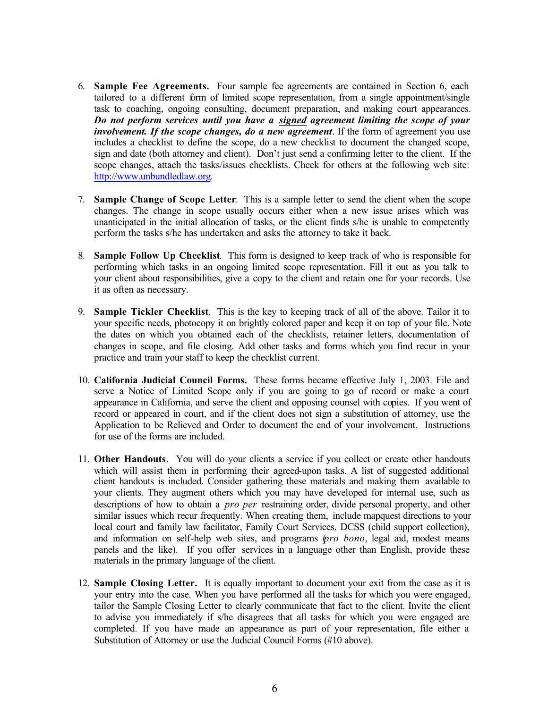- 6. **Sample Fee Agreements.** Four sample fee agreements are contained in Section 6, each tailored to a different form of limited scope representation, from a single appointment/single task to coaching, ongoing consulting, document preparation, and making court appearances. *Do not perform services until you have a signed agreement limiting the scope of your involvement. If the scope changes, do a new agreement*. If the form of agreement you use includes a checklist to define the scope, do a new checklist to document the changed scope, sign and date (both attorney and client). Don't just send a confirming letter to the client. If the scope changes, attach the tasks/issues checklists. Check for others at the following web site: http://www.unbundledlaw.org.
- 7. **Sample Change of Scope Letter**. This is a sample letter to send the client when the scope changes. The change in scope usually occurs either when a new issue arises which was unanticipated in the initial allocation of tasks, or the client finds s/he is unable to competently perform the tasks s/he has undertaken and asks the attorney to take it back.
- 8. **Sample Follow Up Checklist**. This form is designed to keep track of who is responsible for performing which tasks in an ongoing limited scope representation. Fill it out as you talk to your client about responsibilities, give a copy to the client and retain one for your records. Use it as often as necessary.
- 9. **Sample Tickler Checklist**. This is the key to keeping track of all of the above. Tailor it to your specific needs, photocopy it on brightly colored paper and keep it on top of your file. Note the dates on which you obtained each of the checklists, retainer letters, documentation of changes in scope, and file closing. Add other tasks and forms which you find recur in your practice and train your staff to keep the checklist current.
- 10. **California Judicial Council Forms.** These forms became effective July 1, 2003. File and serve a Notice of Limited Scope only if you are going to go of record or make a court appearance in California, and serve the client and opposing counsel with copies. If you went of record or appeared in court, and if the client does not sign a substitution of attorney, use the Application to be Relieved and Order to document the end of your involvement. Instructions for use of the forms are included.
- 11. **Other Handouts**. You will do your clients a service if you collect or create other handouts which will assist them in performing their agreed-upon tasks. A list of suggested additional client handouts is included. Consider gathering these materials and making them available to your clients. They augment others which you may have developed for internal use, such as descriptions of how to obtain a *pro per* restraining order, divide personal property, and other similar issues which recur frequently. When creating them, include mapquest directions to your local court and family law facilitator, Family Court Services, DCSS (child support collection), and information on self-help web sites, and programs (*pro bono*, legal aid, modest means panels and the like). If you offer services in a language other than English, provide these materials in the primary language of the client.
- 12. **Sample Closing Letter.** It is equally important to document your exit from the case as it is your entry into the case. When you have performed all the tasks for which you were engaged, tailor the Sample Closing Letter to clearly communicate that fact to the client. Invite the client to advise you immediately if s/he disagrees that all tasks for which you were engaged are completed. If you have made an appearance as part of your representation, file either a Substitution of Attorney or use the Judicial Council Forms (#10 above).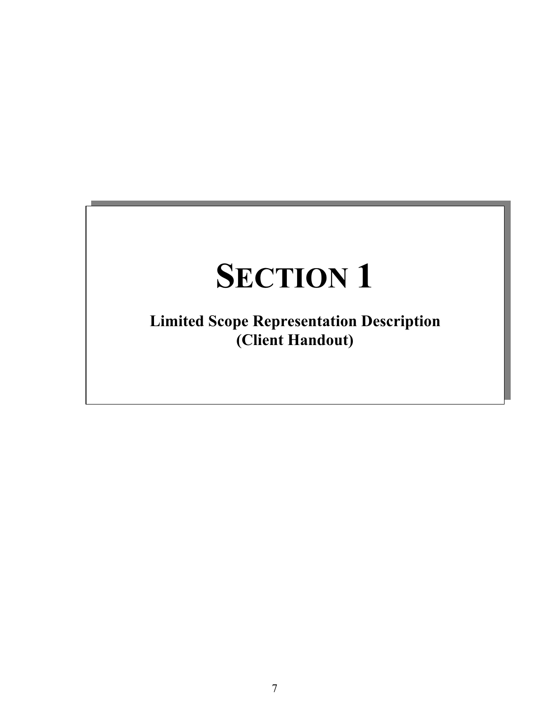# **SECTION 1**

**Limited Scope Representation Description (Client Handout)**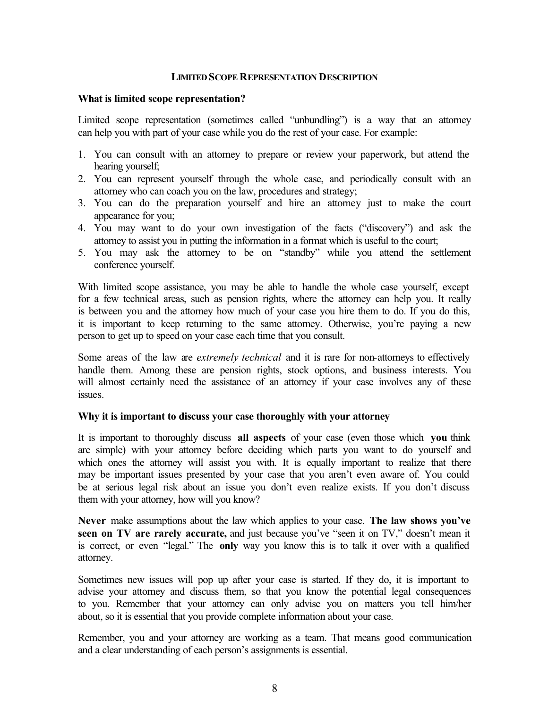#### **LIMITED SCOPE REPRESENTATION DESCRIPTION**

#### **What is limited scope representation?**

Limited scope representation (sometimes called "unbundling") is a way that an attorney can help you with part of your case while you do the rest of your case. For example:

- 1. You can consult with an attorney to prepare or review your paperwork, but attend the hearing yourself;
- 2. You can represent yourself through the whole case, and periodically consult with an attorney who can coach you on the law, procedures and strategy;
- 3. You can do the preparation yourself and hire an attorney just to make the court appearance for you;
- 4. You may want to do your own investigation of the facts ("discovery") and ask the attorney to assist you in putting the information in a format which is useful to the court;
- 5. You may ask the attorney to be on "standby" while you attend the settlement conference yourself.

With limited scope assistance, you may be able to handle the whole case yourself, except for a few technical areas, such as pension rights, where the attorney can help you. It really is between you and the attorney how much of your case you hire them to do. If you do this, it is important to keep returning to the same attorney. Otherwise, you're paying a new person to get up to speed on your case each time that you consult.

Some areas of the law are *extremely technical* and it is rare for non-attorneys to effectively handle them. Among these are pension rights, stock options, and business interests. You will almost certainly need the assistance of an attorney if your case involves any of these issues.

#### **Why it is important to discuss your case thoroughly with your attorney**

It is important to thoroughly discuss **all aspects** of your case (even those which **you** think are simple) with your attorney before deciding which parts you want to do yourself and which ones the attorney will assist you with. It is equally important to realize that there may be important issues presented by your case that you aren't even aware of. You could be at serious legal risk about an issue you don't even realize exists. If you don't discuss them with your attorney, how will you know?

**Never** make assumptions about the law which applies to your case. **The law shows you've seen on TV are rarely accurate,** and just because you've "seen it on TV," doesn't mean it is correct, or even "legal." The **only** way you know this is to talk it over with a qualified attorney.

Sometimes new issues will pop up after your case is started. If they do, it is important to advise your attorney and discuss them, so that you know the potential legal consequences to you. Remember that your attorney can only advise you on matters you tell him/her about, so it is essential that you provide complete information about your case.

Remember, you and your attorney are working as a team. That means good communication and a clear understanding of each person's assignments is essential.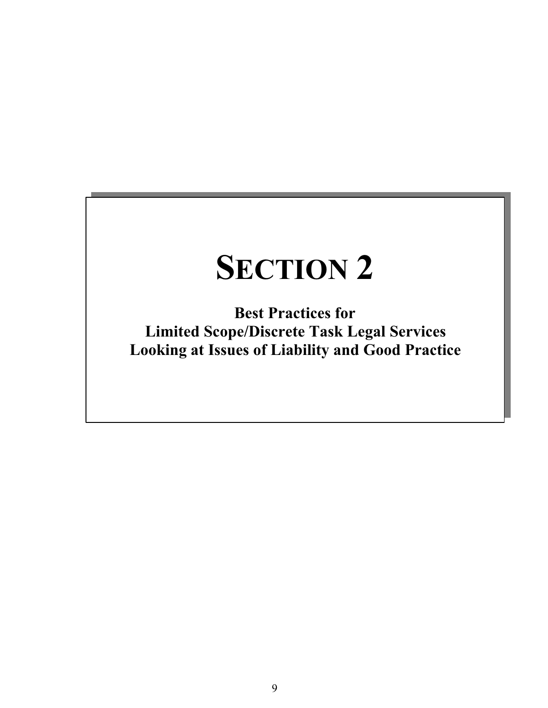# **SECTION 2**

**Best Practices for Limited Scope/Discrete Task Legal Services Looking at Issues of Liability and Good Practice**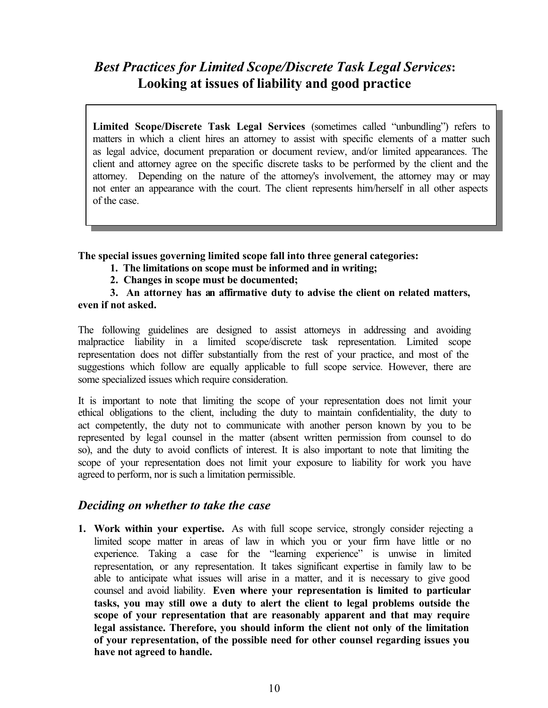# *Best Practices for Limited Scope/Discrete Task Legal Services***: Looking at issues of liability and good practice**

**Limited Scope/Discrete Task Legal Services** (sometimes called "unbundling") refers to matters in which a client hires an attorney to assist with specific elements of a matter such as legal advice, document preparation or document review, and/or limited appearances. The client and attorney agree on the specific discrete tasks to be performed by the client and the attorney. Depending on the nature of the attorney's involvement, the attorney may or may not enter an appearance with the court. The client represents him/herself in all other aspects of the case.

**The special issues governing limited scope fall into three general categories:**

- **1. The limitations on scope must be informed and in writing;**
- **2. Changes in scope must be documented;**
- **3. An attorney has an affirmative duty to advise the client on related matters, even if not asked.**

The following guidelines are designed to assist attorneys in addressing and avoiding malpractice liability in a limited scope/discrete task representation. Limited scope representation does not differ substantially from the rest of your practice, and most of the suggestions which follow are equally applicable to full scope service. However, there are some specialized issues which require consideration.

It is important to note that limiting the scope of your representation does not limit your ethical obligations to the client, including the duty to maintain confidentiality, the duty to act competently, the duty not to communicate with another person known by you to be represented by legal counsel in the matter (absent written permission from counsel to do so), and the duty to avoid conflicts of interest. It is also important to note that limiting the scope of your representation does not limit your exposure to liability for work you have agreed to perform, nor is such a limitation permissible.

# *Deciding on whether to take the case*

**1. Work within your expertise.** As with full scope service, strongly consider rejecting a limited scope matter in areas of law in which you or your firm have little or no experience. Taking a case for the "learning experience" is unwise in limited representation, or any representation. It takes significant expertise in family law to be able to anticipate what issues will arise in a matter, and it is necessary to give good counsel and avoid liability. **Even where your representation is limited to particular tasks, you may still owe a duty to alert the client to legal problems outside the scope of your representation that are reasonably apparent and that may require legal assistance. Therefore, you should inform the client not only of the limitation of your representation, of the possible need for other counsel regarding issues you have not agreed to handle.**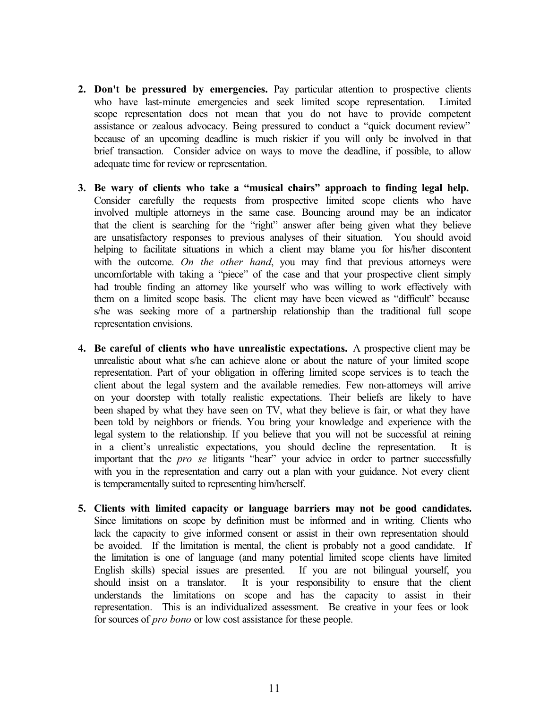- **2. Don't be pressured by emergencies.** Pay particular attention to prospective clients who have last-minute emergencies and seek limited scope representation. Limited scope representation does not mean that you do not have to provide competent assistance or zealous advocacy. Being pressured to conduct a "quick document review" because of an upcoming deadline is much riskier if you will only be involved in that brief transaction. Consider advice on ways to move the deadline, if possible, to allow adequate time for review or representation.
- **3. Be wary of clients who take a "musical chairs" approach to finding legal help.**  Consider carefully the requests from prospective limited scope clients who have involved multiple attorneys in the same case. Bouncing around may be an indicator that the client is searching for the "right" answer after being given what they believe are unsatisfactory responses to previous analyses of their situation. You should avoid helping to facilitate situations in which a client may blame you for his/her discontent with the outcome. *On the other hand*, you may find that previous attorneys were uncomfortable with taking a "piece" of the case and that your prospective client simply had trouble finding an attorney like yourself who was willing to work effectively with them on a limited scope basis. The client may have been viewed as "difficult" because s/he was seeking more of a partnership relationship than the traditional full scope representation envisions.
- **4. Be careful of clients who have unrealistic expectations.** A prospective client may be unrealistic about what s/he can achieve alone or about the nature of your limited scope representation. Part of your obligation in offering limited scope services is to teach the client about the legal system and the available remedies. Few non-attorneys will arrive on your doorstep with totally realistic expectations. Their beliefs are likely to have been shaped by what they have seen on TV, what they believe is fair, or what they have been told by neighbors or friends. You bring your knowledge and experience with the legal system to the relationship. If you believe that you will not be successful at reining in a client's unrealistic expectations, you should decline the representation. It is important that the *pro se* litigants "hear" your advice in order to partner successfully with you in the representation and carry out a plan with your guidance. Not every client is temperamentally suited to representing him/herself.
- **5. Clients with limited capacity or language barriers may not be good candidates.** Since limitations on scope by definition must be informed and in writing. Clients who lack the capacity to give informed consent or assist in their own representation should be avoided. If the limitation is mental, the client is probably not a good candidate. If the limitation is one of language (and many potential limited scope clients have limited English skills) special issues are presented. If you are not bilingual yourself, you should insist on a translator. It is your responsibility to ensure that the client understands the limitations on scope and has the capacity to assist in their representation. This is an individualized assessment. Be creative in your fees or look for sources of *pro bono* or low cost assistance for these people.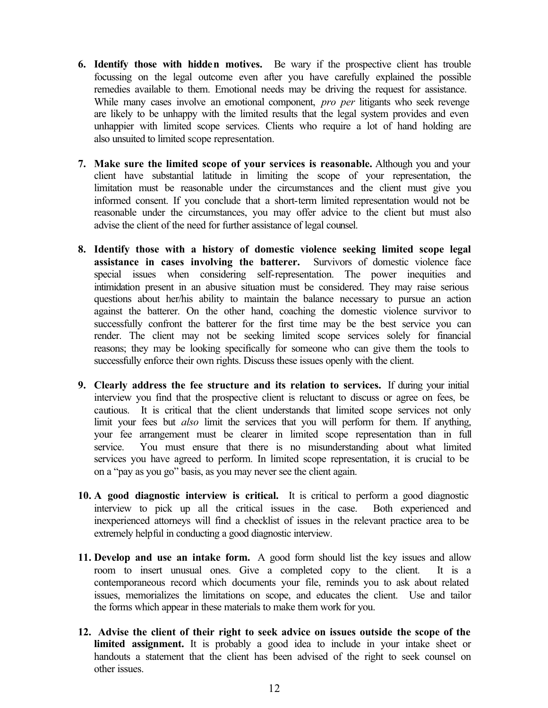- **6. Identify those with hidden motives.** Be wary if the prospective client has trouble focussing on the legal outcome even after you have carefully explained the possible remedies available to them. Emotional needs may be driving the request for assistance. While many cases involve an emotional component, *pro per* litigants who seek revenge are likely to be unhappy with the limited results that the legal system provides and even unhappier with limited scope services. Clients who require a lot of hand holding are also unsuited to limited scope representation.
- **7. Make sure the limited scope of your services is reasonable.** Although you and your client have substantial latitude in limiting the scope of your representation, the limitation must be reasonable under the circumstances and the client must give you informed consent. If you conclude that a short-term limited representation would not be reasonable under the circumstances, you may offer advice to the client but must also advise the client of the need for further assistance of legal counsel.
- **8. Identify those with a history of domestic violence seeking limited scope legal assistance in cases involving the batterer.** Survivors of domestic violence face special issues when considering self-representation. The power inequities and intimidation present in an abusive situation must be considered. They may raise serious questions about her/his ability to maintain the balance necessary to pursue an action against the batterer. On the other hand, coaching the domestic violence survivor to successfully confront the batterer for the first time may be the best service you can render. The client may not be seeking limited scope services solely for financial reasons; they may be looking specifically for someone who can give them the tools to successfully enforce their own rights. Discuss these issues openly with the client.
- **9. Clearly address the fee structure and its relation to services.** If during your initial interview you find that the prospective client is reluctant to discuss or agree on fees, be cautious. It is critical that the client understands that limited scope services not only limit your fees but *also* limit the services that you will perform for them. If anything, your fee arrangement must be clearer in limited scope representation than in full service. You must ensure that there is no misunderstanding about what limited services you have agreed to perform. In limited scope representation, it is crucial to be on a "pay as you go" basis, as you may never see the client again.
- **10. A good diagnostic interview is critical.** It is critical to perform a good diagnostic interview to pick up all the critical issues in the case. Both experienced and inexperienced attorneys will find a checklist of issues in the relevant practice area to be extremely helpful in conducting a good diagnostic interview.
- **11. Develop and use an intake form.** A good form should list the key issues and allow room to insert unusual ones. Give a completed copy to the client. It is a contemporaneous record which documents your file, reminds you to ask about related issues, memorializes the limitations on scope, and educates the client. Use and tailor the forms which appear in these materials to make them work for you.
- **12. Advise the client of their right to seek advice on issues outside the scope of the limited assignment.** It is probably a good idea to include in your intake sheet or handouts a statement that the client has been advised of the right to seek counsel on other issues.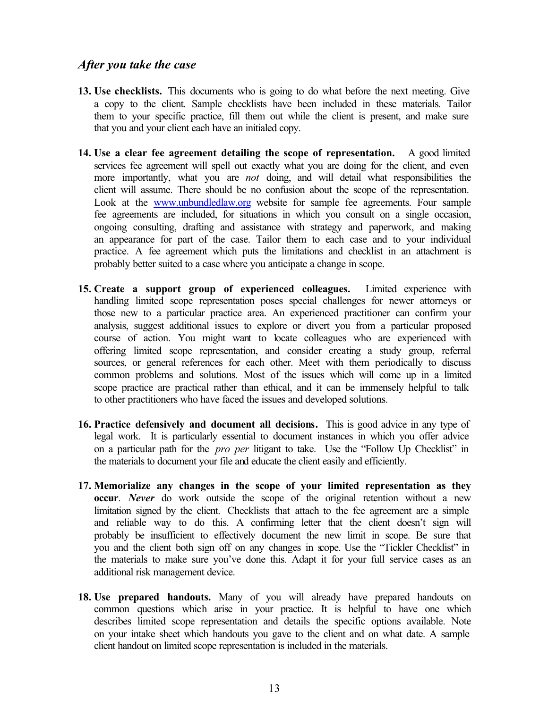## *After you take the case*

- **13. Use checklists.** This documents who is going to do what before the next meeting. Give a copy to the client. Sample checklists have been included in these materials. Tailor them to your specific practice, fill them out while the client is present, and make sure that you and your client each have an initialed copy.
- **14. Use a clear fee agreement detailing the scope of representation.** A good limited services fee agreement will spell out exactly what you are doing for the client, and even more importantly, what you are *not* doing, and will detail what responsibilities the client will assume. There should be no confusion about the scope of the representation. Look at the www.unbundledlaw.org website for sample fee agreements. Four sample fee agreements are included, for situations in which you consult on a single occasion, ongoing consulting, drafting and assistance with strategy and paperwork, and making an appearance for part of the case. Tailor them to each case and to your individual practice. A fee agreement which puts the limitations and checklist in an attachment is probably better suited to a case where you anticipate a change in scope.
- **15. Create a support group of experienced colleagues.** Limited experience with handling limited scope representation poses special challenges for newer attorneys or those new to a particular practice area. An experienced practitioner can confirm your analysis, suggest additional issues to explore or divert you from a particular proposed course of action. You might want to locate colleagues who are experienced with offering limited scope representation, and consider creating a study group, referral sources, or general references for each other. Meet with them periodically to discuss common problems and solutions. Most of the issues which will come up in a limited scope practice are practical rather than ethical, and it can be immensely helpful to talk to other practitioners who have faced the issues and developed solutions.
- **16. Practice defensively and document all decisions.** This is good advice in any type of legal work. It is particularly essential to document instances in which you offer advice on a particular path for the *pro per* litigant to take. Use the "Follow Up Checklist" in the materials to document your file and educate the client easily and efficiently.
- **17. Memorialize any changes in the scope of your limited representation as they occur**. *Never* do work outside the scope of the original retention without a new limitation signed by the client. Checklists that attach to the fee agreement are a simple and reliable way to do this. A confirming letter that the client doesn't sign will probably be insufficient to effectively document the new limit in scope. Be sure that you and the client both sign off on any changes in scope. Use the "Tickler Checklist" in the materials to make sure you've done this. Adapt it for your full service cases as an additional risk management device.
- **18. Use prepared handouts.** Many of you will already have prepared handouts on common questions which arise in your practice. It is helpful to have one which describes limited scope representation and details the specific options available. Note on your intake sheet which handouts you gave to the client and on what date. A sample client handout on limited scope representation is included in the materials.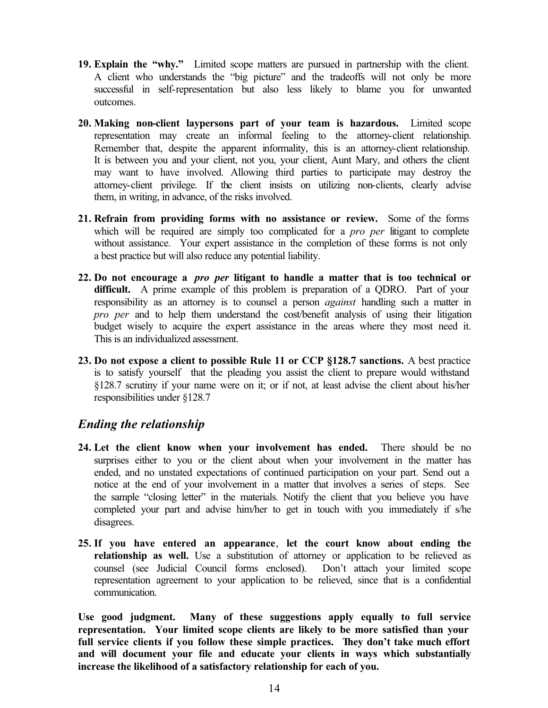- **19. Explain the "why."** Limited scope matters are pursued in partnership with the client. A client who understands the "big picture" and the tradeoffs will not only be more successful in self-representation but also less likely to blame you for unwanted outcomes.
- **20. Making non-client laypersons part of your team is hazardous.** Limited scope representation may create an informal feeling to the attorney-client relationship. Remember that, despite the apparent informality, this is an attorney-client relationship. It is between you and your client, not you, your client, Aunt Mary, and others the client may want to have involved. Allowing third parties to participate may destroy the attorney-client privilege. If the client insists on utilizing non-clients, clearly advise them, in writing, in advance, of the risks involved.
- **21. Refrain from providing forms with no assistance or review.** Some of the forms which will be required are simply too complicated for a *pro per* litigant to complete without assistance. Your expert assistance in the completion of these forms is not only a best practice but will also reduce any potential liability.
- **22. Do not encourage a** *pro per* **litigant to handle a matter that is too technical or difficult.** A prime example of this problem is preparation of a QDRO. Part of your responsibility as an attorney is to counsel a person *against* handling such a matter in *pro per* and to help them understand the cost/benefit analysis of using their litigation budget wisely to acquire the expert assistance in the areas where they most need it. This is an individualized assessment.
- **23. Do not expose a client to possible Rule 11 or CCP §128.7 sanctions.** A best practice is to satisfy yourself that the pleading you assist the client to prepare would withstand §128.7 scrutiny if your name were on it; or if not, at least advise the client about his/her responsibilities under §128.7

# *Ending the relationship*

- **24. Let the client know when your involvement has ended.** There should be no surprises either to you or the client about when your involvement in the matter has ended, and no unstated expectations of continued participation on your part. Send out a notice at the end of your involvement in a matter that involves a series of steps. See the sample "closing letter" in the materials. Notify the client that you believe you have completed your part and advise him/her to get in touch with you immediately if s/he disagrees.
- **25. If you have entered an appearance**, **let the court know about ending the relationship as well.** Use a substitution of attorney or application to be relieved as counsel (see Judicial Council forms enclosed). Don't attach your limited scope representation agreement to your application to be relieved, since that is a confidential communication.

**Use good judgment. Many of these suggestions apply equally to full service representation. Your limited scope clients are likely to be more satisfied than your full service clients if you follow these simple practices. They don't take much effort and will document your file and educate your clients in ways which substantially increase the likelihood of a satisfactory relationship for each of you.**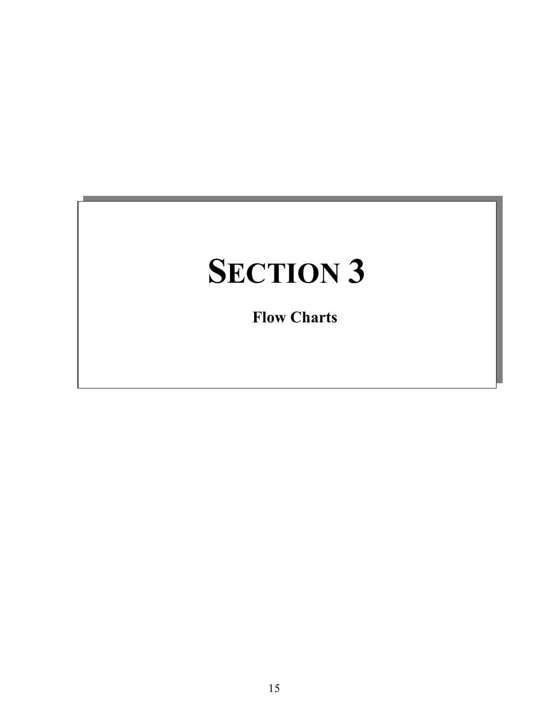# **SECTION 3**

**Flow Charts**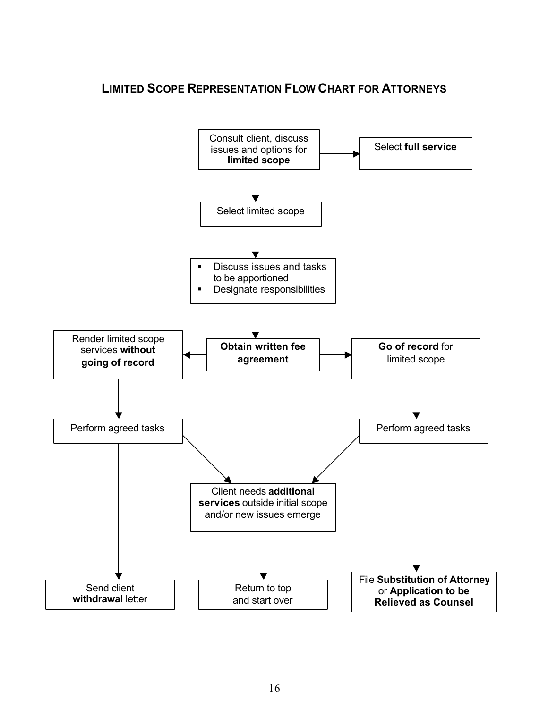# **LIMITED SCOPE REPRESENTATION FLOW CHART FOR ATTORNEYS**

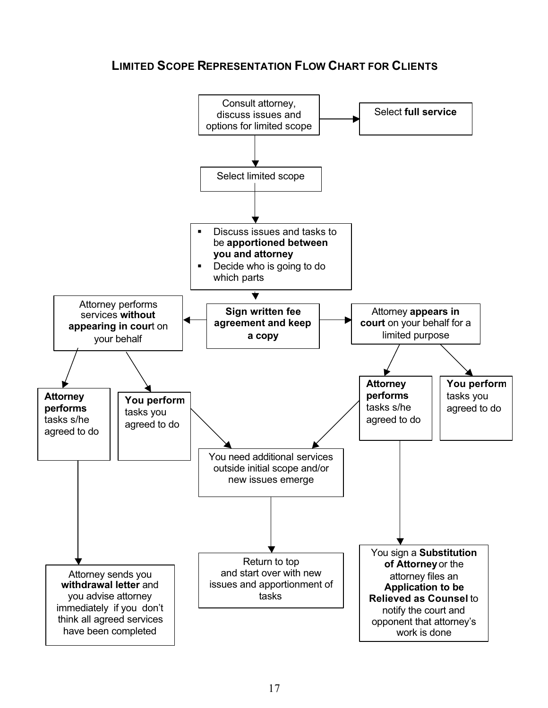# **LIMITED SCOPE REPRESENTATION FLOW CHART FOR CLIENTS**

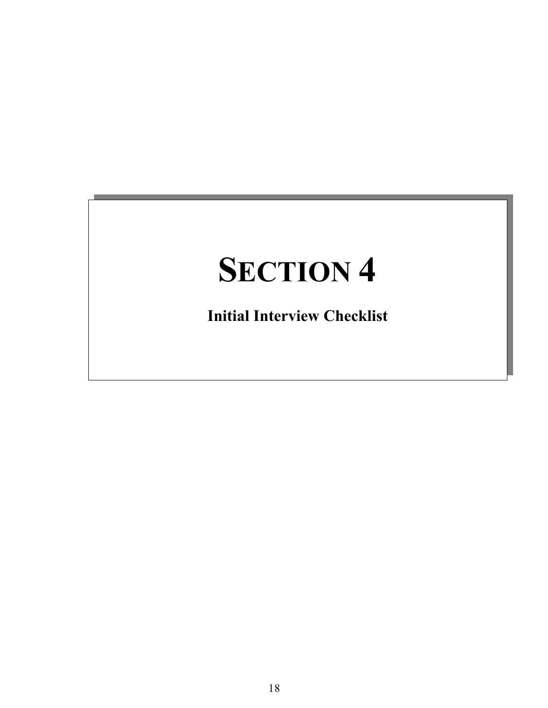# **SECTION 4**

**Initial Interview Checklist**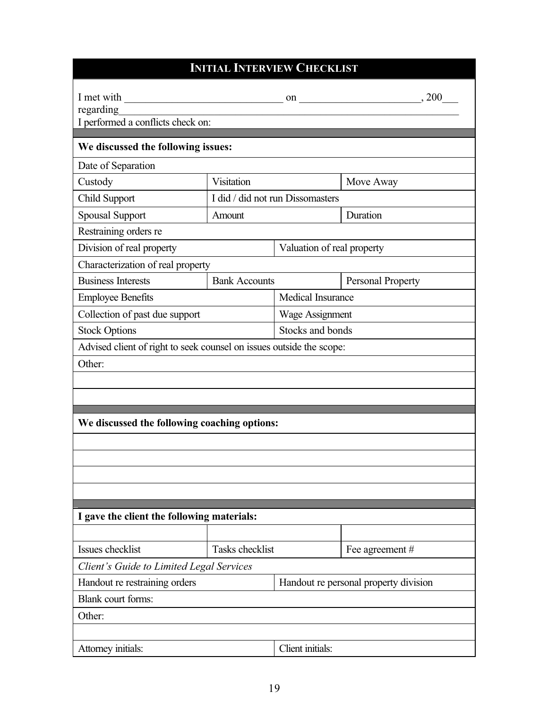# **INITIAL INTERVIEW CHECKLIST**

| I performed a conflicts check on:                                      | regarding              |                                  |                          |  |  |
|------------------------------------------------------------------------|------------------------|----------------------------------|--------------------------|--|--|
|                                                                        |                        |                                  |                          |  |  |
| We discussed the following issues:                                     |                        |                                  |                          |  |  |
| Date of Separation                                                     |                        |                                  |                          |  |  |
| Custody                                                                | Visitation             |                                  | Move Away                |  |  |
| Child Support                                                          |                        | I did / did not run Dissomasters |                          |  |  |
| <b>Spousal Support</b>                                                 | Amount                 |                                  | Duration                 |  |  |
| Restraining orders re                                                  |                        |                                  |                          |  |  |
| Division of real property                                              |                        | Valuation of real property       |                          |  |  |
| Characterization of real property                                      |                        |                                  |                          |  |  |
| <b>Business Interests</b>                                              | <b>Bank Accounts</b>   |                                  | <b>Personal Property</b> |  |  |
| <b>Employee Benefits</b>                                               |                        | Medical Insurance                |                          |  |  |
| Collection of past due support                                         |                        | Wage Assignment                  |                          |  |  |
| <b>Stock Options</b>                                                   |                        | Stocks and bonds                 |                          |  |  |
| Advised client of right to seek counsel on issues outside the scope:   |                        |                                  |                          |  |  |
| Other:                                                                 |                        |                                  |                          |  |  |
|                                                                        |                        |                                  |                          |  |  |
|                                                                        |                        |                                  |                          |  |  |
|                                                                        |                        |                                  |                          |  |  |
| We discussed the following coaching options:                           |                        |                                  |                          |  |  |
|                                                                        |                        |                                  |                          |  |  |
|                                                                        |                        |                                  |                          |  |  |
|                                                                        |                        |                                  |                          |  |  |
|                                                                        |                        |                                  |                          |  |  |
|                                                                        |                        |                                  |                          |  |  |
| I gave the client the following materials:                             |                        |                                  |                          |  |  |
|                                                                        |                        |                                  |                          |  |  |
| Issues checklist                                                       | <b>Tasks</b> checklist |                                  | Fee agreement #          |  |  |
| Client's Guide to Limited Legal Services                               |                        |                                  |                          |  |  |
| Handout re restraining orders<br>Handout re personal property division |                        |                                  |                          |  |  |
| <b>Blank</b> court forms:                                              |                        |                                  |                          |  |  |
| Other:                                                                 |                        |                                  |                          |  |  |
|                                                                        |                        |                                  |                          |  |  |
| Attorney initials:                                                     |                        | Client initials:                 |                          |  |  |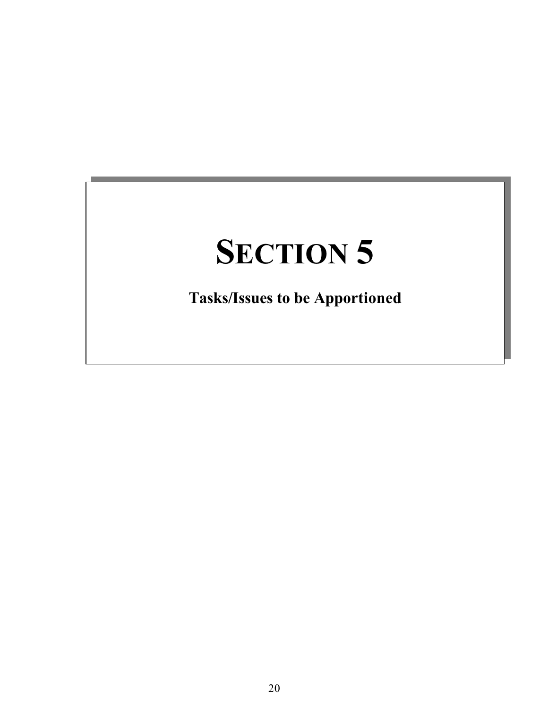# **SECTION 5**

**Tasks/Issues to be Apportioned**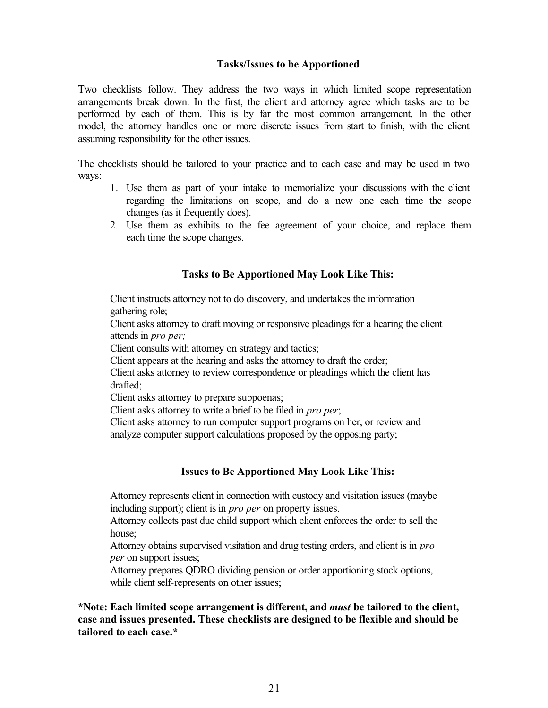### **Tasks/Issues to be Apportioned**

Two checklists follow. They address the two ways in which limited scope representation arrangements break down. In the first, the client and attorney agree which tasks are to be performed by each of them. This is by far the most common arrangement. In the other model, the attorney handles one or more discrete issues from start to finish, with the client assuming responsibility for the other issues.

The checklists should be tailored to your practice and to each case and may be used in two ways:

- 1. Use them as part of your intake to memorialize your discussions with the client regarding the limitations on scope, and do a new one each time the scope changes (as it frequently does).
- 2. Use them as exhibits to the fee agreement of your choice, and replace them each time the scope changes.

### **Tasks to Be Apportioned May Look Like This:**

Client instructs attorney not to do discovery, and undertakes the information gathering role;

Client asks attorney to draft moving or responsive pleadings for a hearing the client attends in *pro per;*

Client consults with attorney on strategy and tactics;

Client appears at the hearing and asks the attorney to draft the order;

Client asks attorney to review correspondence or pleadings which the client has drafted;

Client asks attorney to prepare subpoenas;

Client asks attorney to write a brief to be filed in *pro per*;

Client asks attorney to run computer support programs on her, or review and analyze computer support calculations proposed by the opposing party;

### **Issues to Be Apportioned May Look Like This:**

Attorney represents client in connection with custody and visitation issues (maybe including support); client is in *pro per* on property issues.

Attorney collects past due child support which client enforces the order to sell the house;

Attorney obtains supervised visitation and drug testing orders, and client is in *pro per* on support issues;

Attorney prepares QDRO dividing pension or order apportioning stock options, while client self-represents on other issues;

**\*Note: Each limited scope arrangement is different, and** *must* **be tailored to the client, case and issues presented. These checklists are designed to be flexible and should be tailored to each case.\***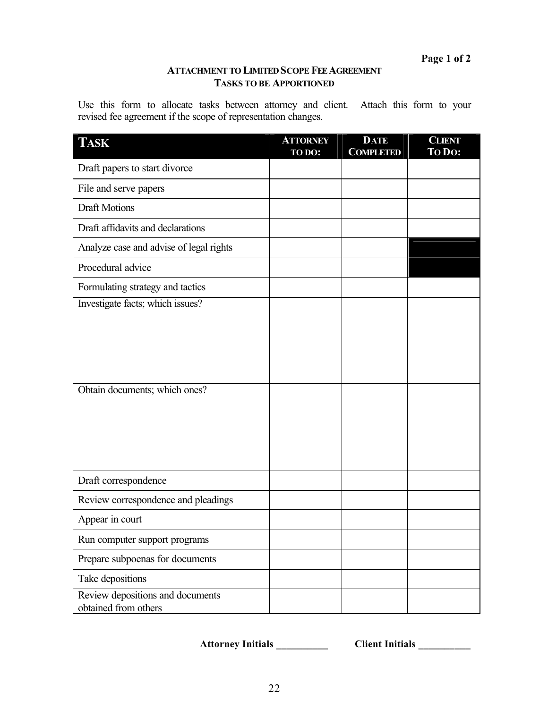## **ATTACHMENT TO LIMITED SCOPE FEEAGREEMENT TASKS TO BE APPORTIONED**

Use this form to allocate tasks between attorney and client. Attach this form to your revised fee agreement if the scope of representation changes.

| <b>TASK</b>                                              | <b>ATTORNEY</b><br><b>TO DO:</b> | <b>DATE</b><br><b>COMPLETED</b> | <b>CLIENT</b><br>To Do: |
|----------------------------------------------------------|----------------------------------|---------------------------------|-------------------------|
| Draft papers to start divorce                            |                                  |                                 |                         |
| File and serve papers                                    |                                  |                                 |                         |
| <b>Draft Motions</b>                                     |                                  |                                 |                         |
| Draft affidavits and declarations                        |                                  |                                 |                         |
| Analyze case and advise of legal rights                  |                                  |                                 |                         |
| Procedural advice                                        |                                  |                                 |                         |
| Formulating strategy and tactics                         |                                  |                                 |                         |
| Investigate facts; which issues?                         |                                  |                                 |                         |
|                                                          |                                  |                                 |                         |
|                                                          |                                  |                                 |                         |
|                                                          |                                  |                                 |                         |
|                                                          |                                  |                                 |                         |
| Obtain documents; which ones?                            |                                  |                                 |                         |
|                                                          |                                  |                                 |                         |
|                                                          |                                  |                                 |                         |
|                                                          |                                  |                                 |                         |
| Draft correspondence                                     |                                  |                                 |                         |
|                                                          |                                  |                                 |                         |
| Review correspondence and pleadings                      |                                  |                                 |                         |
| Appear in court                                          |                                  |                                 |                         |
| Run computer support programs                            |                                  |                                 |                         |
| Prepare subpoenas for documents                          |                                  |                                 |                         |
| Take depositions                                         |                                  |                                 |                         |
| Review depositions and documents<br>obtained from others |                                  |                                 |                         |

Attorney Initials \_\_\_\_\_\_\_\_\_\_\_ Client Initials \_\_\_\_\_\_\_\_\_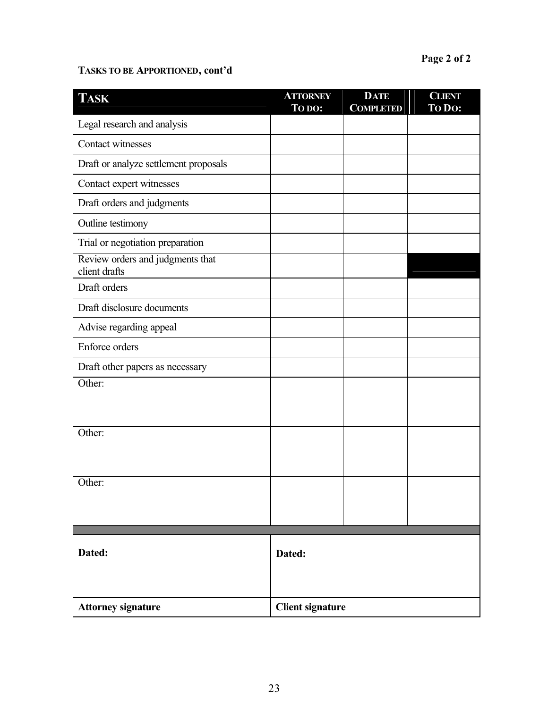# **TASKS TO BE APPORTIONED, cont'd**

| <b>TASK</b>                                          | <b>ATTORNEY</b><br>To DO: | <b>DATE</b><br><b>COMPLETED</b> | <b>CLIENT</b><br>To Do: |
|------------------------------------------------------|---------------------------|---------------------------------|-------------------------|
| Legal research and analysis                          |                           |                                 |                         |
| Contact witnesses                                    |                           |                                 |                         |
| Draft or analyze settlement proposals                |                           |                                 |                         |
| Contact expert witnesses                             |                           |                                 |                         |
| Draft orders and judgments                           |                           |                                 |                         |
| Outline testimony                                    |                           |                                 |                         |
| Trial or negotiation preparation                     |                           |                                 |                         |
| Review orders and judgments that<br>client drafts    |                           |                                 |                         |
| Draft orders                                         |                           |                                 |                         |
| Draft disclosure documents                           |                           |                                 |                         |
| Advise regarding appeal                              |                           |                                 |                         |
| Enforce orders                                       |                           |                                 |                         |
| Draft other papers as necessary                      |                           |                                 |                         |
| Other:                                               |                           |                                 |                         |
| Other:                                               |                           |                                 |                         |
|                                                      |                           |                                 |                         |
| Other:                                               |                           |                                 |                         |
|                                                      |                           |                                 |                         |
|                                                      |                           |                                 |                         |
|                                                      |                           |                                 |                         |
| Dated:                                               | Dated:                    |                                 |                         |
|                                                      |                           |                                 |                         |
| <b>Client signature</b><br><b>Attorney signature</b> |                           |                                 |                         |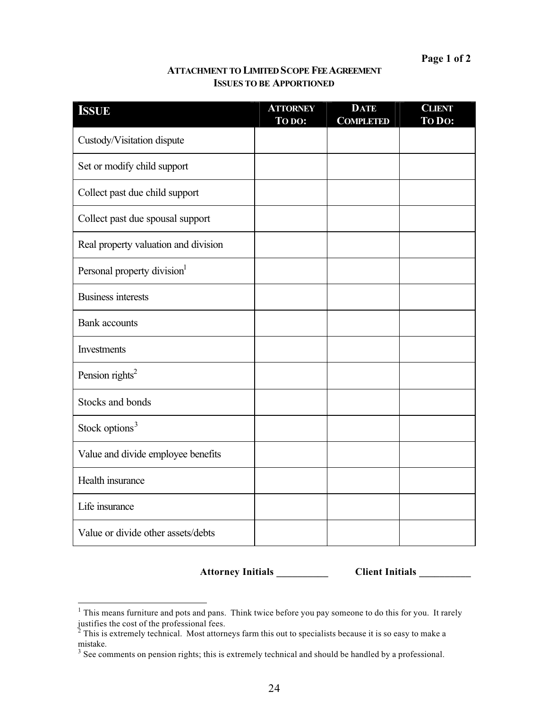**Page 1 of 2**

## **ATTACHMENT TO LIMITED SCOPE FEEAGREEMENT ISSUES TO BE APPORTIONED**

| <b>ISSUE</b>                         | <b>ATTORNEY</b><br>TO DO: | <b>DATE</b><br><b>COMPLETED</b> | <b>CLIENT</b><br>To Do: |
|--------------------------------------|---------------------------|---------------------------------|-------------------------|
| Custody/Visitation dispute           |                           |                                 |                         |
| Set or modify child support          |                           |                                 |                         |
| Collect past due child support       |                           |                                 |                         |
| Collect past due spousal support     |                           |                                 |                         |
| Real property valuation and division |                           |                                 |                         |
| Personal property division           |                           |                                 |                         |
| <b>Business interests</b>            |                           |                                 |                         |
| <b>Bank</b> accounts                 |                           |                                 |                         |
| Investments                          |                           |                                 |                         |
| Pension rights <sup>2</sup>          |                           |                                 |                         |
| <b>Stocks and bonds</b>              |                           |                                 |                         |
| Stock options <sup>3</sup>           |                           |                                 |                         |
| Value and divide employee benefits   |                           |                                 |                         |
| Health insurance                     |                           |                                 |                         |
| Life insurance                       |                           |                                 |                         |
| Value or divide other assets/debts   |                           |                                 |                         |

Attorney Initials \_\_\_\_\_\_\_\_\_\_ Client Initials \_\_\_\_\_\_\_\_\_

<sup>&</sup>lt;sup>1</sup> This means furniture and pots and pans. Think twice before you pay someone to do this for you. It rarely

justifies the cost of the professional fees.<br><sup>2</sup> This is extremely technical. Most attorneys farm this out to specialists because it is so easy to make a mistake.

<sup>&</sup>lt;sup>3</sup> See comments on pension rights; this is extremely technical and should be handled by a professional.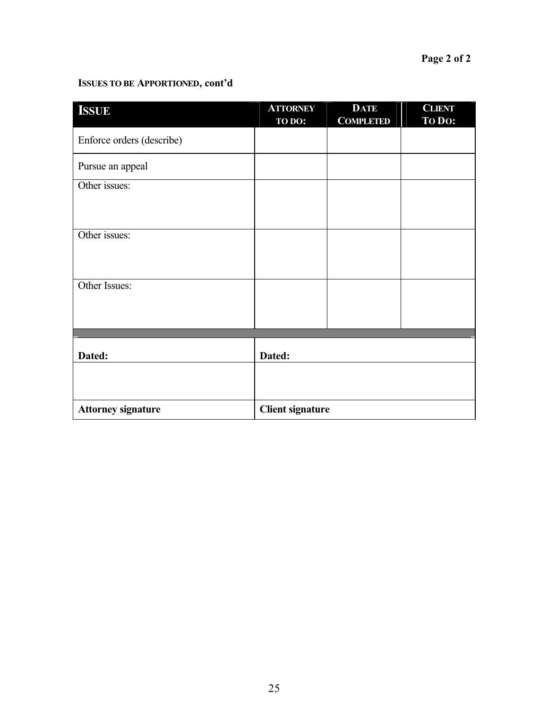# **ISSUES TO BE APPORTIONED, cont'd**

| <b>ISSUE</b>              | <b>ATTORNEY</b><br>TO DO: | <b>DATE</b><br><b>COMPLETED</b> | <b>CLIENT</b><br>To Do: |
|---------------------------|---------------------------|---------------------------------|-------------------------|
| Enforce orders (describe) |                           |                                 |                         |
| Pursue an appeal          |                           |                                 |                         |
| Other issues:             |                           |                                 |                         |
| Other issues:             |                           |                                 |                         |
| Other Issues:             |                           |                                 |                         |
| Dated:                    | Dated:                    |                                 |                         |
| <b>Attorney signature</b> | <b>Client signature</b>   |                                 |                         |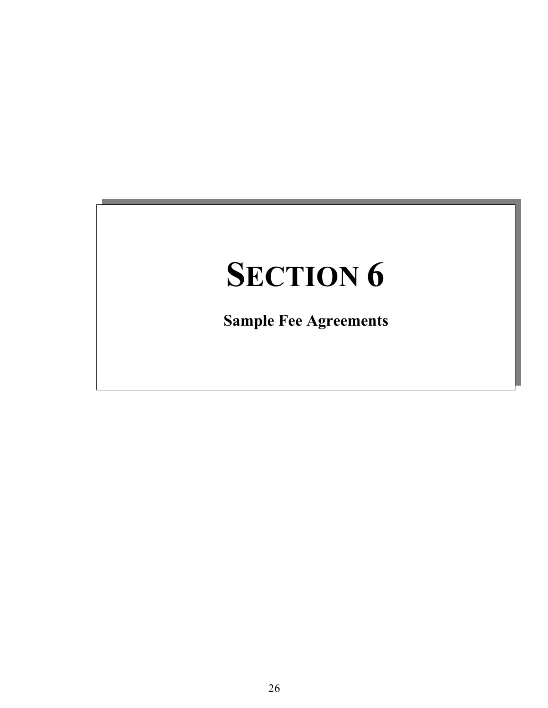# **SECTION 6**

**Sample Fee Agreements**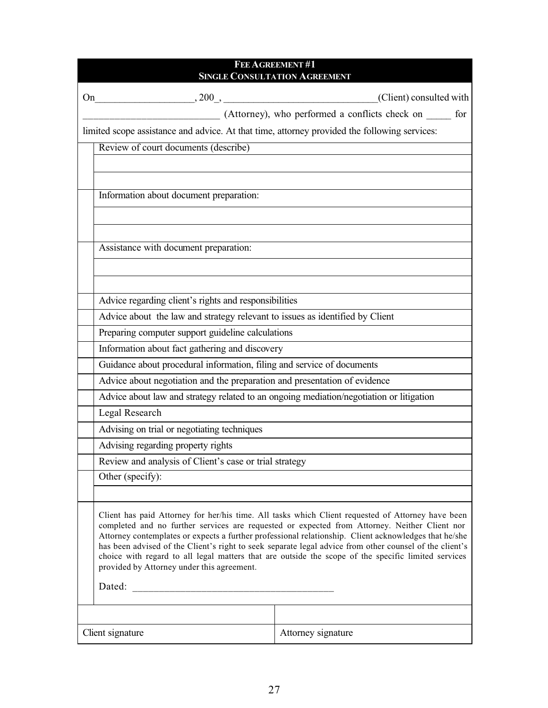| <b>FEE AGREEMENT#1</b><br><b>SINGLE CONSULTATION AGREEMENT</b> |                                                                                                                                                                                                                                                                                                                                                                                                                                                                                                                                                                                       |                                                           |  |  |
|----------------------------------------------------------------|---------------------------------------------------------------------------------------------------------------------------------------------------------------------------------------------------------------------------------------------------------------------------------------------------------------------------------------------------------------------------------------------------------------------------------------------------------------------------------------------------------------------------------------------------------------------------------------|-----------------------------------------------------------|--|--|
|                                                                |                                                                                                                                                                                                                                                                                                                                                                                                                                                                                                                                                                                       | (Client) consulted with                                   |  |  |
|                                                                |                                                                                                                                                                                                                                                                                                                                                                                                                                                                                                                                                                                       | (Attorney), who performed a conflicts check on ______ for |  |  |
|                                                                | limited scope assistance and advice. At that time, attorney provided the following services:                                                                                                                                                                                                                                                                                                                                                                                                                                                                                          |                                                           |  |  |
|                                                                | Review of court documents (describe)                                                                                                                                                                                                                                                                                                                                                                                                                                                                                                                                                  |                                                           |  |  |
|                                                                |                                                                                                                                                                                                                                                                                                                                                                                                                                                                                                                                                                                       |                                                           |  |  |
|                                                                |                                                                                                                                                                                                                                                                                                                                                                                                                                                                                                                                                                                       |                                                           |  |  |
|                                                                | Information about document preparation:                                                                                                                                                                                                                                                                                                                                                                                                                                                                                                                                               |                                                           |  |  |
|                                                                |                                                                                                                                                                                                                                                                                                                                                                                                                                                                                                                                                                                       |                                                           |  |  |
|                                                                |                                                                                                                                                                                                                                                                                                                                                                                                                                                                                                                                                                                       |                                                           |  |  |
|                                                                | Assistance with document preparation:                                                                                                                                                                                                                                                                                                                                                                                                                                                                                                                                                 |                                                           |  |  |
|                                                                |                                                                                                                                                                                                                                                                                                                                                                                                                                                                                                                                                                                       |                                                           |  |  |
|                                                                |                                                                                                                                                                                                                                                                                                                                                                                                                                                                                                                                                                                       |                                                           |  |  |
|                                                                |                                                                                                                                                                                                                                                                                                                                                                                                                                                                                                                                                                                       |                                                           |  |  |
|                                                                | Advice regarding client's rights and responsibilities                                                                                                                                                                                                                                                                                                                                                                                                                                                                                                                                 |                                                           |  |  |
|                                                                | Advice about the law and strategy relevant to issues as identified by Client                                                                                                                                                                                                                                                                                                                                                                                                                                                                                                          |                                                           |  |  |
|                                                                | Preparing computer support guideline calculations<br>Information about fact gathering and discovery                                                                                                                                                                                                                                                                                                                                                                                                                                                                                   |                                                           |  |  |
|                                                                | Guidance about procedural information, filing and service of documents                                                                                                                                                                                                                                                                                                                                                                                                                                                                                                                |                                                           |  |  |
|                                                                | Advice about negotiation and the preparation and presentation of evidence                                                                                                                                                                                                                                                                                                                                                                                                                                                                                                             |                                                           |  |  |
|                                                                | Advice about law and strategy related to an ongoing mediation/negotiation or litigation                                                                                                                                                                                                                                                                                                                                                                                                                                                                                               |                                                           |  |  |
|                                                                | Legal Research                                                                                                                                                                                                                                                                                                                                                                                                                                                                                                                                                                        |                                                           |  |  |
|                                                                | Advising on trial or negotiating techniques                                                                                                                                                                                                                                                                                                                                                                                                                                                                                                                                           |                                                           |  |  |
|                                                                | Advising regarding property rights                                                                                                                                                                                                                                                                                                                                                                                                                                                                                                                                                    |                                                           |  |  |
|                                                                | Review and analysis of Client's case or trial strategy                                                                                                                                                                                                                                                                                                                                                                                                                                                                                                                                |                                                           |  |  |
|                                                                | Other (specify):                                                                                                                                                                                                                                                                                                                                                                                                                                                                                                                                                                      |                                                           |  |  |
|                                                                |                                                                                                                                                                                                                                                                                                                                                                                                                                                                                                                                                                                       |                                                           |  |  |
|                                                                | Client has paid Attorney for her/his time. All tasks which Client requested of Attorney have been<br>completed and no further services are requested or expected from Attorney. Neither Client nor<br>Attorney contemplates or expects a further professional relationship. Client acknowledges that he/she<br>has been advised of the Client's right to seek separate legal advice from other counsel of the client's<br>choice with regard to all legal matters that are outside the scope of the specific limited services<br>provided by Attorney under this agreement.<br>Dated: |                                                           |  |  |
|                                                                | Client signature                                                                                                                                                                                                                                                                                                                                                                                                                                                                                                                                                                      | Attorney signature                                        |  |  |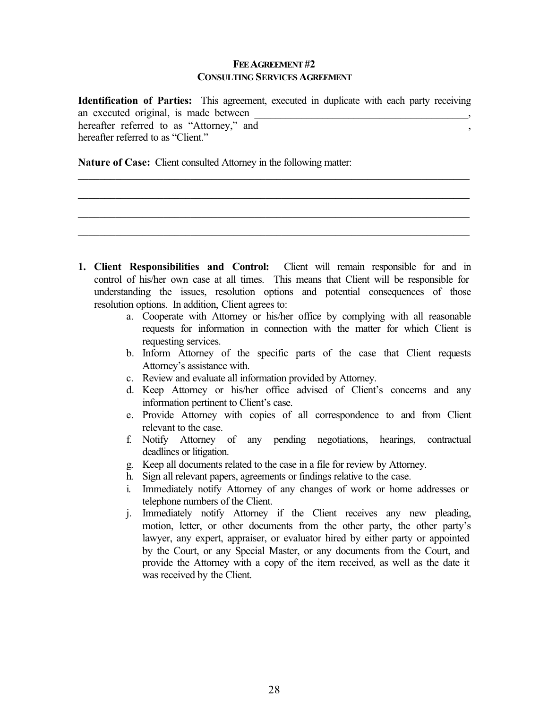### FEE AGREEMENT#2 **CONSULTING SERVICES AGREEMENT**

**Identification of Parties:** This agreement, executed in duplicate with each party receiving an executed original, is made between \_\_\_\_\_\_\_\_\_\_\_\_\_\_\_\_\_\_\_\_\_\_\_\_\_\_\_\_\_\_\_\_\_\_\_\_\_\_\_\_\_, hereafter referred to as "Attorney," and \_\_\_\_\_\_\_\_\_\_\_\_\_\_\_\_\_\_\_\_\_\_\_\_\_\_\_\_\_\_\_\_\_\_\_\_\_\_\_, hereafter referred to as "Client"

\_\_\_\_\_\_\_\_\_\_\_\_\_\_\_\_\_\_\_\_\_\_\_\_\_\_\_\_\_\_\_\_\_\_\_\_\_\_\_\_\_\_\_\_\_\_\_\_\_\_\_\_\_\_\_\_\_\_\_\_\_\_\_\_\_\_\_\_\_\_\_\_\_

\_\_\_\_\_\_\_\_\_\_\_\_\_\_\_\_\_\_\_\_\_\_\_\_\_\_\_\_\_\_\_\_\_\_\_\_\_\_\_\_\_\_\_\_\_\_\_\_\_\_\_\_\_\_\_\_\_\_\_\_\_\_\_\_\_\_\_\_\_\_\_\_\_

\_\_\_\_\_\_\_\_\_\_\_\_\_\_\_\_\_\_\_\_\_\_\_\_\_\_\_\_\_\_\_\_\_\_\_\_\_\_\_\_\_\_\_\_\_\_\_\_\_\_\_\_\_\_\_\_\_\_\_\_\_\_\_\_\_\_\_\_\_\_\_\_\_

\_\_\_\_\_\_\_\_\_\_\_\_\_\_\_\_\_\_\_\_\_\_\_\_\_\_\_\_\_\_\_\_\_\_\_\_\_\_\_\_\_\_\_\_\_\_\_\_\_\_\_\_\_\_\_\_\_\_\_\_\_\_\_\_\_\_\_\_\_\_\_\_\_

**Nature of Case:** Client consulted Attorney in the following matter:

- **1. Client Responsibilities and Control:** Client will remain responsible for and in control of his/her own case at all times. This means that Client will be responsible for understanding the issues, resolution options and potential consequences of those resolution options. In addition, Client agrees to:
	- a. Cooperate with Attorney or his/her office by complying with all reasonable requests for information in connection with the matter for which Client is requesting services.
	- b. Inform Attorney of the specific parts of the case that Client requests Attorney's assistance with.
	- c. Review and evaluate all information provided by Attorney.
	- d. Keep Attorney or his/her office advised of Client's concerns and any information pertinent to Client's case.
	- e. Provide Attorney with copies of all correspondence to and from Client relevant to the case.
	- f. Notify Attorney of any pending negotiations, hearings, contractual deadlines or litigation.
	- g. Keep all documents related to the case in a file for review by Attorney.
	- h. Sign all relevant papers, agreements or findings relative to the case.
	- i. Immediately notify Attorney of any changes of work or home addresses or telephone numbers of the Client.
	- j. Immediately notify Attorney if the Client receives any new pleading, motion, letter, or other documents from the other party, the other party's lawyer, any expert, appraiser, or evaluator hired by either party or appointed by the Court, or any Special Master, or any documents from the Court, and provide the Attorney with a copy of the item received, as well as the date it was received by the Client.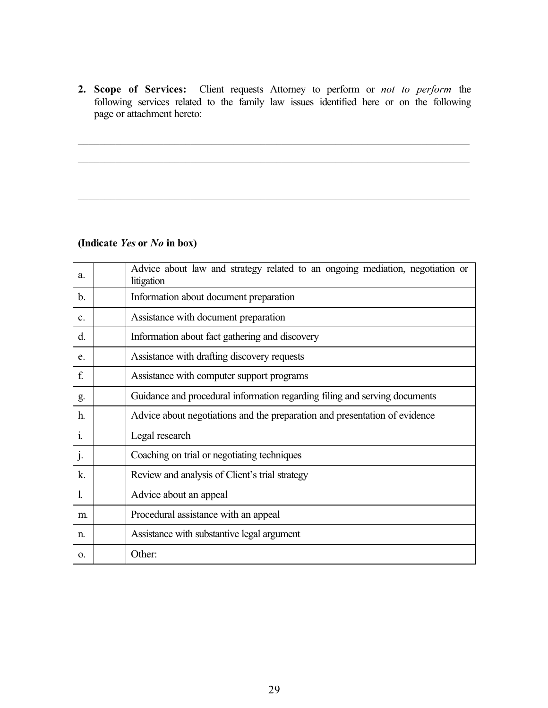**2. Scope of Services:** Client requests Attorney to perform or *not to perform* the following services related to the family law issues identified here or on the following page or attachment hereto:

\_\_\_\_\_\_\_\_\_\_\_\_\_\_\_\_\_\_\_\_\_\_\_\_\_\_\_\_\_\_\_\_\_\_\_\_\_\_\_\_\_\_\_\_\_\_\_\_\_\_\_\_\_\_\_\_\_\_\_\_\_\_\_\_\_\_\_\_\_\_\_\_\_

\_\_\_\_\_\_\_\_\_\_\_\_\_\_\_\_\_\_\_\_\_\_\_\_\_\_\_\_\_\_\_\_\_\_\_\_\_\_\_\_\_\_\_\_\_\_\_\_\_\_\_\_\_\_\_\_\_\_\_\_\_\_\_\_\_\_\_\_\_\_\_\_\_

\_\_\_\_\_\_\_\_\_\_\_\_\_\_\_\_\_\_\_\_\_\_\_\_\_\_\_\_\_\_\_\_\_\_\_\_\_\_\_\_\_\_\_\_\_\_\_\_\_\_\_\_\_\_\_\_\_\_\_\_\_\_\_\_\_\_\_\_\_\_\_\_\_

\_\_\_\_\_\_\_\_\_\_\_\_\_\_\_\_\_\_\_\_\_\_\_\_\_\_\_\_\_\_\_\_\_\_\_\_\_\_\_\_\_\_\_\_\_\_\_\_\_\_\_\_\_\_\_\_\_\_\_\_\_\_\_\_\_\_\_\_\_\_\_\_\_

## **(Indicate** *Yes* **or** *No* **in box)**

| a.           | Advice about law and strategy related to an ongoing mediation, negotiation or<br>litigation |
|--------------|---------------------------------------------------------------------------------------------|
| b.           | Information about document preparation                                                      |
| c.           | Assistance with document preparation                                                        |
| d.           | Information about fact gathering and discovery                                              |
| e.           | Assistance with drafting discovery requests                                                 |
| f.           | Assistance with computer support programs                                                   |
| g.           | Guidance and procedural information regarding filing and serving documents                  |
| h.           | Advice about negotiations and the preparation and presentation of evidence                  |
| i.           | Legal research                                                                              |
| $\mathbf{J}$ | Coaching on trial or negotiating techniques                                                 |
| k.           | Review and analysis of Client's trial strategy                                              |
| l.           | Advice about an appeal                                                                      |
| m.           | Procedural assistance with an appeal                                                        |
| n.           | Assistance with substantive legal argument                                                  |
| 0.           | Other:                                                                                      |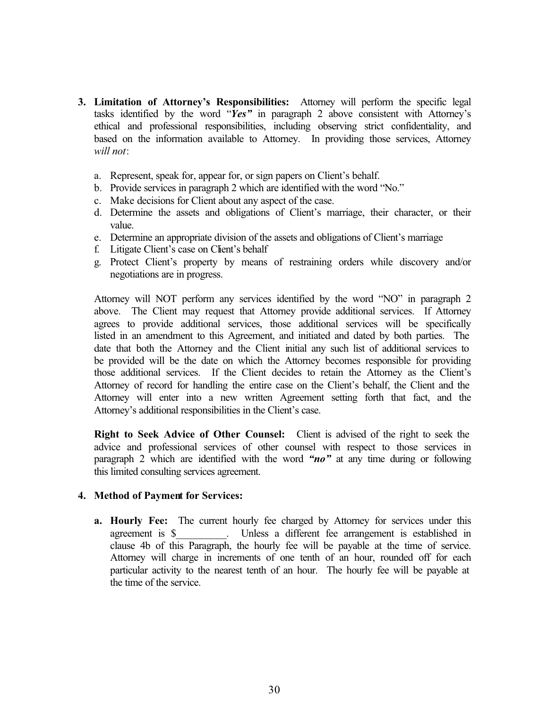- **3. Limitation of Attorney's Responsibilities:** Attorney will perform the specific legal tasks identified by the word "*Yes"* in paragraph 2 above consistent with Attorney's ethical and professional responsibilities, including observing strict confidentiality, and based on the information available to Attorney. In providing those services, Attorney *will not*:
	- a. Represent, speak for, appear for, or sign papers on Client's behalf.
	- b. Provide services in paragraph 2 which are identified with the word "No."
	- c. Make decisions for Client about any aspect of the case.
	- d. Determine the assets and obligations of Client's marriage, their character, or their value.
	- e. Determine an appropriate division of the assets and obligations of Client's marriage
	- f. Litigate Client's case on Client's behalf
	- g. Protect Client's property by means of restraining orders while discovery and/or negotiations are in progress.

Attorney will NOT perform any services identified by the word "NO" in paragraph 2 above. The Client may request that Attorney provide additional services. If Attorney agrees to provide additional services, those additional services will be specifically listed in an amendment to this Agreement, and initiated and dated by both parties. The date that both the Attorney and the Client initial any such list of additional services to be provided will be the date on which the Attorney becomes responsible for providing those additional services. If the Client decides to retain the Attorney as the Client's Attorney of record for handling the entire case on the Client's behalf, the Client and the Attorney will enter into a new written Agreement setting forth that fact, and the Attorney's additional responsibilities in the Client's case.

**Right to Seek Advice of Other Counsel:** Client is advised of the right to seek the advice and professional services of other counsel with respect to those services in paragraph 2 which are identified with the word *"no"* at any time during or following this limited consulting services agreement.

### **4. Method of Payment for Services:**

**a. Hourly Fee:** The current hourly fee charged by Attorney for services under this agreement is \$ These a different fee arrangement is established in clause 4b of this Paragraph, the hourly fee will be payable at the time of service. Attorney will charge in increments of one tenth of an hour, rounded off for each particular activity to the nearest tenth of an hour. The hourly fee will be payable at the time of the service.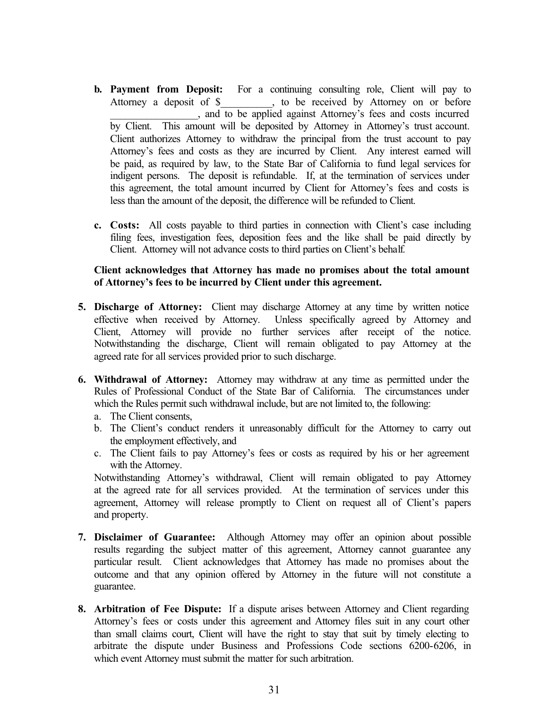- **b. Payment from Deposit:** For a continuing consulting role, Client will pay to Attorney a deposit of \$, to be received by Attorney on or before \_\_\_\_\_\_\_\_\_\_\_\_\_\_\_\_\_, and to be applied against Attorney's fees and costs incurred by Client. This amount will be deposited by Attorney in Attorney's trust account. Client authorizes Attorney to withdraw the principal from the trust account to pay Attorney's fees and costs as they are incurred by Client. Any interest earned will be paid, as required by law, to the State Bar of California to fund legal services for indigent persons. The deposit is refundable. If, at the termination of services under this agreement, the total amount incurred by Client for Attorney's fees and costs is less than the amount of the deposit, the difference will be refunded to Client.
- **c. Costs:** All costs payable to third parties in connection with Client's case including filing fees, investigation fees, deposition fees and the like shall be paid directly by Client. Attorney will not advance costs to third parties on Client's behalf.

### **Client acknowledges that Attorney has made no promises about the total amount of Attorney's fees to be incurred by Client under this agreement.**

- **5. Discharge of Attorney:** Client may discharge Attorney at any time by written notice effective when received by Attorney. Unless specifically agreed by Attorney and Client, Attorney will provide no further services after receipt of the notice. Notwithstanding the discharge, Client will remain obligated to pay Attorney at the agreed rate for all services provided prior to such discharge.
- **6. Withdrawal of Attorney:** Attorney may withdraw at any time as permitted under the Rules of Professional Conduct of the State Bar of California. The circumstances under which the Rules permit such withdrawal include, but are not limited to, the following:
	- a. The Client consents,
	- b. The Client's conduct renders it unreasonably difficult for the Attorney to carry out the employment effectively, and
	- c. The Client fails to pay Attorney's fees or costs as required by his or her agreement with the Attorney.

Notwithstanding Attorney's withdrawal, Client will remain obligated to pay Attorney at the agreed rate for all services provided. At the termination of services under this agreement, Attorney will release promptly to Client on request all of Client's papers and property.

- **7. Disclaimer of Guarantee:** Although Attorney may offer an opinion about possible results regarding the subject matter of this agreement, Attorney cannot guarantee any particular result. Client acknowledges that Attorney has made no promises about the outcome and that any opinion offered by Attorney in the future will not constitute a guarantee.
- **8. Arbitration of Fee Dispute:** If a dispute arises between Attorney and Client regarding Attorney's fees or costs under this agreement and Attorney files suit in any court other than small claims court, Client will have the right to stay that suit by timely electing to arbitrate the dispute under Business and Professions Code sections 6200-6206, in which event Attorney must submit the matter for such arbitration.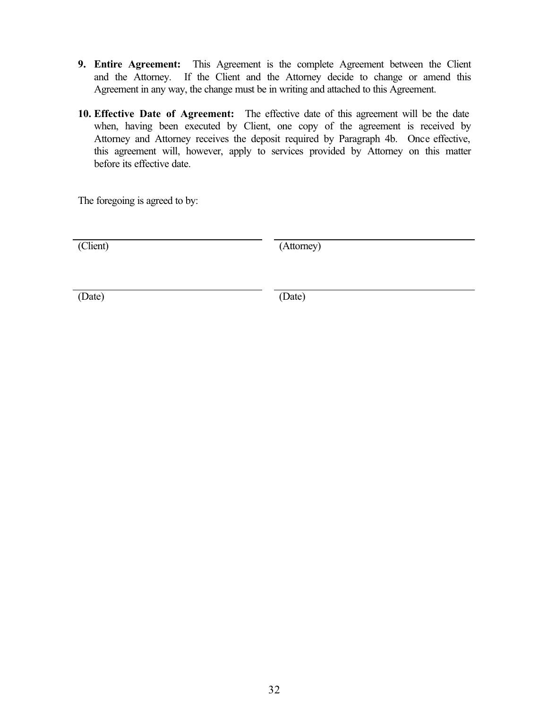- **9. Entire Agreement:** This Agreement is the complete Agreement between the Client and the Attorney. If the Client and the Attorney decide to change or amend this Agreement in any way, the change must be in writing and attached to this Agreement.
- **10. Effective Date of Agreement:** The effective date of this agreement will be the date when, having been executed by Client, one copy of the agreement is received by Attorney and Attorney receives the deposit required by Paragraph 4b. Once effective, this agreement will, however, apply to services provided by Attorney on this matter before its effective date.

The foregoing is agreed to by:

(Client) (Attorney)

(Date) (Date)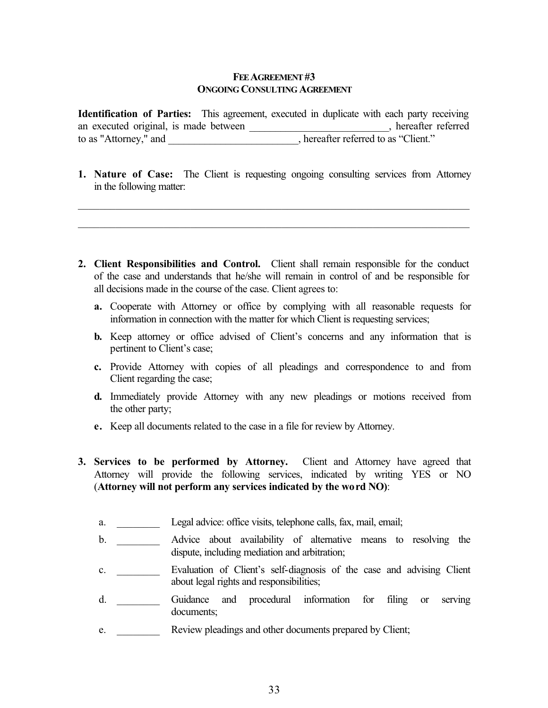#### FEE AGREEMENT#3 **ONGOING CONSULTING AGREEMENT**

**Identification of Parties:** This agreement, executed in duplicate with each party receiving an executed original, is made between \_\_\_\_\_\_\_\_\_\_\_\_\_\_\_\_\_\_\_\_\_, hereafter referred to as "Attorney," and  $\overline{\phantom{a}}$ , hereafter referred to as "Client."

**1. Nature of Case:** The Client is requesting ongoing consulting services from Attorney in the following matter:

\_\_\_\_\_\_\_\_\_\_\_\_\_\_\_\_\_\_\_\_\_\_\_\_\_\_\_\_\_\_\_\_\_\_\_\_\_\_\_\_\_\_\_\_\_\_\_\_\_\_\_\_\_\_\_\_\_\_\_\_\_\_\_\_\_\_\_\_\_\_\_\_\_

\_\_\_\_\_\_\_\_\_\_\_\_\_\_\_\_\_\_\_\_\_\_\_\_\_\_\_\_\_\_\_\_\_\_\_\_\_\_\_\_\_\_\_\_\_\_\_\_\_\_\_\_\_\_\_\_\_\_\_\_\_\_\_\_\_\_\_\_\_\_\_\_\_

- **2. Client Responsibilities and Control.** Client shall remain responsible for the conduct of the case and understands that he/she will remain in control of and be responsible for all decisions made in the course of the case. Client agrees to:
	- **a.** Cooperate with Attorney or office by complying with all reasonable requests for information in connection with the matter for which Client is requesting services;
	- **b.** Keep attorney or office advised of Client's concerns and any information that is pertinent to Client's case;
	- **c.** Provide Attorney with copies of all pleadings and correspondence to and from Client regarding the case;
	- **d.** Immediately provide Attorney with any new pleadings or motions received from the other party;
	- **e.** Keep all documents related to the case in a file for review by Attorney.
- **3. Services to be performed by Attorney.** Client and Attorney have agreed that Attorney will provide the following services, indicated by writing YES or NO (**Attorney will not perform any services indicated by the word NO)**:
	- a. **Legal advice: office visits, telephone calls, fax, mail, email;**
	- b. \_\_\_\_\_\_\_\_ Advice about availability of alternative means to resolving the dispute, including mediation and arbitration;
	- c. \_\_\_\_\_\_\_\_ Evaluation of Client's self-diagnosis of the case and advising Client about legal rights and responsibilities;
	- d. \_\_\_\_\_\_\_\_ Guidance and procedural information for filing or serving documents;
	- e. \_\_\_\_\_\_\_\_\_ Review pleadings and other documents prepared by Client;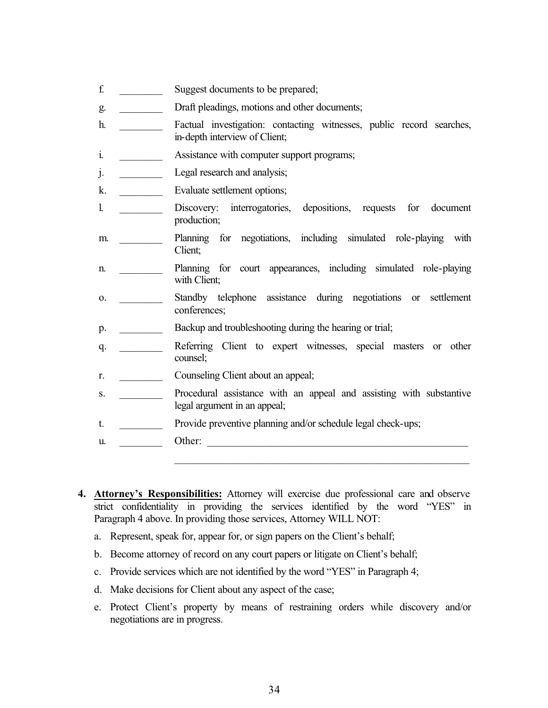- f. \_\_\_\_\_\_\_\_ Suggest documents to be prepared;
- g. Draft pleadings, motions and other documents;
- h. Factual investigation: contacting witnesses, public record searches, in-depth interview of Client;
- i. Assistance with computer support programs;
- j. Legal research and analysis;
- k. Evaluate settlement options;
- l. \_\_\_\_\_\_\_\_ Discovery: interrogatories, depositions, requests for document production;
- m. Planning for negotiations, including simulated role-playing with Client;
- n. Planning for court appearances, including simulated role-playing with Client;
- o. Standby telephone assistance during negotiations or settlement conferences;
- p. Backup and troubleshooting during the hearing or trial;
- q. \_\_\_\_\_\_\_\_ Referring Client to expert witnesses, special masters or other counsel;
- r. Counseling Client about an appeal;
- s. Procedural assistance with an appeal and assisting with substantive legal argument in an appeal;
- t. Provide preventive planning and/or schedule legal check-ups;
- $u.$  Other:  $\qquad \qquad$  Other:

\_\_\_\_\_\_\_\_\_\_\_\_\_\_\_\_\_\_\_\_\_\_\_\_\_\_\_\_\_\_\_\_\_\_\_\_\_\_\_\_\_\_\_\_\_\_\_\_\_\_\_\_\_\_\_

- **4. Attorney's Responsibilities:** Attorney will exercise due professional care and observe strict confidentiality in providing the services identified by the word "YES" in Paragraph 4 above. In providing those services, Attorney WILL NOT:
	- a. Represent, speak for, appear for, or sign papers on the Client's behalf;
	- b. Become attorney of record on any court papers or litigate on Client's behalf;
	- c. Provide services which are not identified by the word "YES" in Paragraph 4;
	- d. Make decisions for Client about any aspect of the case;
	- e. Protect Client's property by means of restraining orders while discovery and/or negotiations are in progress.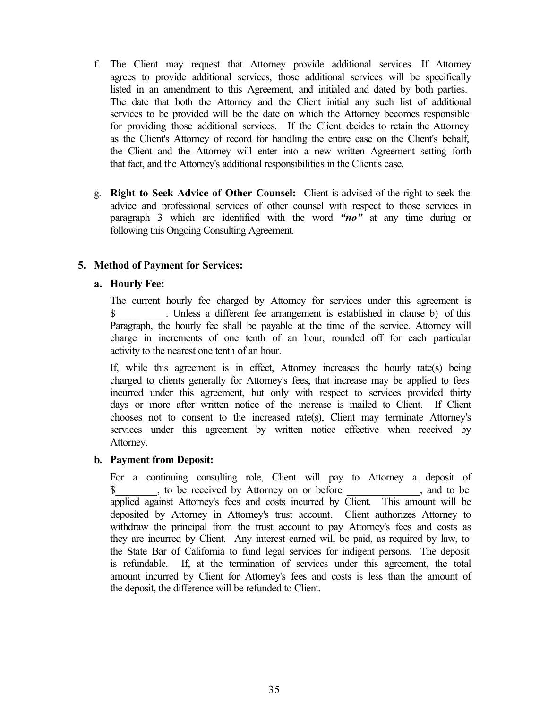- f. The Client may request that Attorney provide additional services. If Attorney agrees to provide additional services, those additional services will be specifically listed in an amendment to this Agreement, and initialed and dated by both parties. The date that both the Attorney and the Client initial any such list of additional services to be provided will be the date on which the Attorney becomes responsible for providing those additional services. If the Client decides to retain the Attorney as the Client's Attorney of record for handling the entire case on the Client's behalf, the Client and the Attorney will enter into a new written Agreement setting forth that fact, and the Attorney's additional responsibilities in the Client's case.
- g. **Right to Seek Advice of Other Counsel:** Client is advised of the right to seek the advice and professional services of other counsel with respect to those services in paragraph 3 which are identified with the word *"no"* at any time during or following this Ongoing Consulting Agreement.

## **5. Method of Payment for Services:**

### **a. Hourly Fee:**

The current hourly fee charged by Attorney for services under this agreement is . Unless a different fee arrangement is established in clause b) of this Paragraph, the hourly fee shall be payable at the time of the service. Attorney will charge in increments of one tenth of an hour, rounded off for each particular activity to the nearest one tenth of an hour.

If, while this agreement is in effect, Attorney increases the hourly rate(s) being charged to clients generally for Attorney's fees, that increase may be applied to fees incurred under this agreement, but only with respect to services provided thirty days or more after written notice of the increase is mailed to Client. If Client chooses not to consent to the increased rate(s), Client may terminate Attorney's services under this agreement by written notice effective when received by Attorney.

### **b. Payment from Deposit:**

For a continuing consulting role, Client will pay to Attorney a deposit of \$\_\_\_\_\_\_\_\_, to be received by Attorney on or before \_\_\_\_\_\_\_\_\_\_\_\_\_\_, and to be applied against Attorney's fees and costs incurred by Client. This amount will be deposited by Attorney in Attorney's trust account. Client authorizes Attorney to withdraw the principal from the trust account to pay Attorney's fees and costs as they are incurred by Client. Any interest earned will be paid, as required by law, to the State Bar of California to fund legal services for indigent persons. The deposit is refundable. If, at the termination of services under this agreement, the total amount incurred by Client for Attorney's fees and costs is less than the amount of the deposit, the difference will be refunded to Client.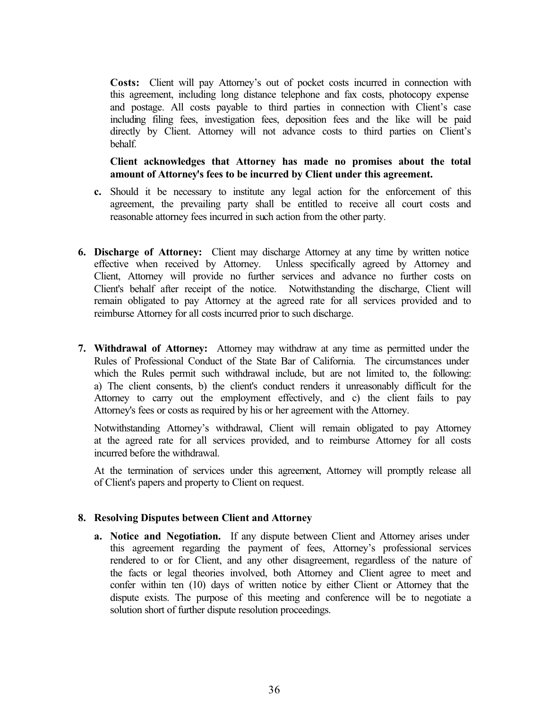**Costs:** Client will pay Attorney's out of pocket costs incurred in connection with this agreement, including long distance telephone and fax costs, photocopy expense and postage. All costs payable to third parties in connection with Client's case including filing fees, investigation fees, deposition fees and the like will be paid directly by Client. Attorney will not advance costs to third parties on Client's behalf.

**Client acknowledges that Attorney has made no promises about the total amount of Attorney's fees to be incurred by Client under this agreement.**

- **c.** Should it be necessary to institute any legal action for the enforcement of this agreement, the prevailing party shall be entitled to receive all court costs and reasonable attorney fees incurred in such action from the other party.
- **6. Discharge of Attorney:** Client may discharge Attorney at any time by written notice effective when received by Attorney. Unless specifically agreed by Attorney and Client, Attorney will provide no further services and advance no further costs on Client's behalf after receipt of the notice. Notwithstanding the discharge, Client will remain obligated to pay Attorney at the agreed rate for all services provided and to reimburse Attorney for all costs incurred prior to such discharge.
- **7. Withdrawal of Attorney:** Attorney may withdraw at any time as permitted under the Rules of Professional Conduct of the State Bar of California. The circumstances under which the Rules permit such withdrawal include, but are not limited to, the following: a) The client consents, b) the client's conduct renders it unreasonably difficult for the Attorney to carry out the employment effectively, and c) the client fails to pay Attorney's fees or costs as required by his or her agreement with the Attorney.

Notwithstanding Attorney's withdrawal, Client will remain obligated to pay Attorney at the agreed rate for all services provided, and to reimburse Attorney for all costs incurred before the withdrawal.

At the termination of services under this agreement, Attorney will promptly release all of Client's papers and property to Client on request.

#### **8. Resolving Disputes between Client and Attorney**

**a. Notice and Negotiation.** If any dispute between Client and Attorney arises under this agreement regarding the payment of fees, Attorney's professional services rendered to or for Client, and any other disagreement, regardless of the nature of the facts or legal theories involved, both Attorney and Client agree to meet and confer within ten (10) days of written notice by either Client or Attorney that the dispute exists. The purpose of this meeting and conference will be to negotiate a solution short of further dispute resolution proceedings.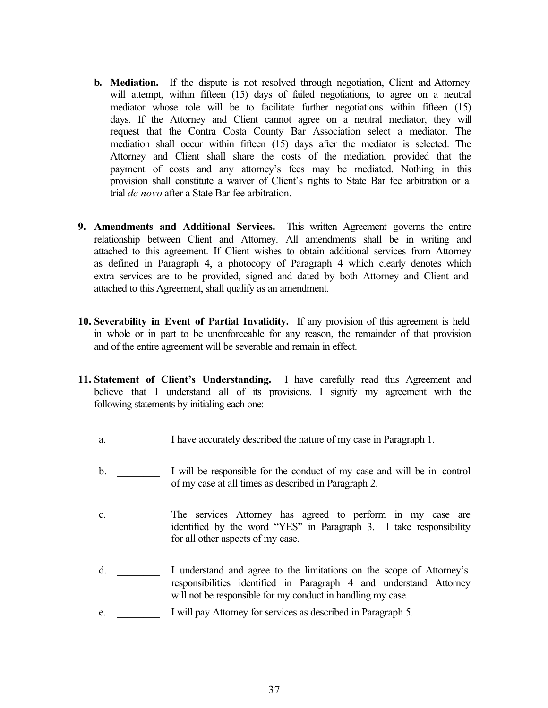- **b.** Mediation. If the dispute is not resolved through negotiation, Client and Attorney will attempt, within fifteen (15) days of failed negotiations, to agree on a neutral mediator whose role will be to facilitate further negotiations within fifteen (15) days. If the Attorney and Client cannot agree on a neutral mediator, they will request that the Contra Costa County Bar Association select a mediator. The mediation shall occur within fifteen (15) days after the mediator is selected. The Attorney and Client shall share the costs of the mediation, provided that the payment of costs and any attorney's fees may be mediated. Nothing in this provision shall constitute a waiver of Client's rights to State Bar fee arbitration or a trial *de novo* after a State Bar fee arbitration.
- **9. Amendments and Additional Services.** This written Agreement governs the entire relationship between Client and Attorney. All amendments shall be in writing and attached to this agreement. If Client wishes to obtain additional services from Attorney as defined in Paragraph 4, a photocopy of Paragraph 4 which clearly denotes which extra services are to be provided, signed and dated by both Attorney and Client and attached to this Agreement, shall qualify as an amendment.
- **10. Severability in Event of Partial Invalidity.** If any provision of this agreement is held in whole or in part to be unenforceable for any reason, the remainder of that provision and of the entire agreement will be severable and remain in effect.
- **11. Statement of Client's Understanding.** I have carefully read this Agreement and believe that I understand all of its provisions. I signify my agreement with the following statements by initialing each one:
	- a. **I** have accurately described the nature of my case in Paragraph 1.
	- b. \_\_\_\_\_\_\_\_ I will be responsible for the conduct of my case and will be in control of my case at all times as described in Paragraph 2.
	- c. The services Attorney has agreed to perform in my case are identified by the word "YES" in Paragraph 3. I take responsibility for all other aspects of my case.
	- d. \_\_\_\_\_\_\_\_ I understand and agree to the limitations on the scope of Attorney's responsibilities identified in Paragraph 4 and understand Attorney will not be responsible for my conduct in handling my case.
	- e. I will pay Attorney for services as described in Paragraph 5.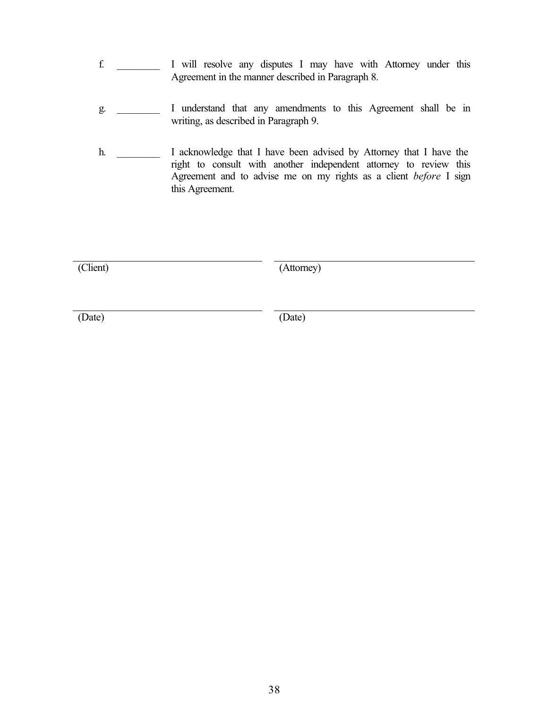- f. \_\_\_\_\_\_\_\_ I will resolve any disputes I may have with Attorney under this Agreement in the manner described in Paragraph 8.
- g. \_\_\_\_\_\_\_\_ I understand that any amendments to this Agreement shall be in writing, as described in Paragraph 9.
- h. I acknowledge that I have been advised by Attorney that I have the right to consult with another independent attorney to review this Agreement and to advise me on my rights as a client *before* I sign this Agreement.

(Client) (Attorney)

(Date) (Date)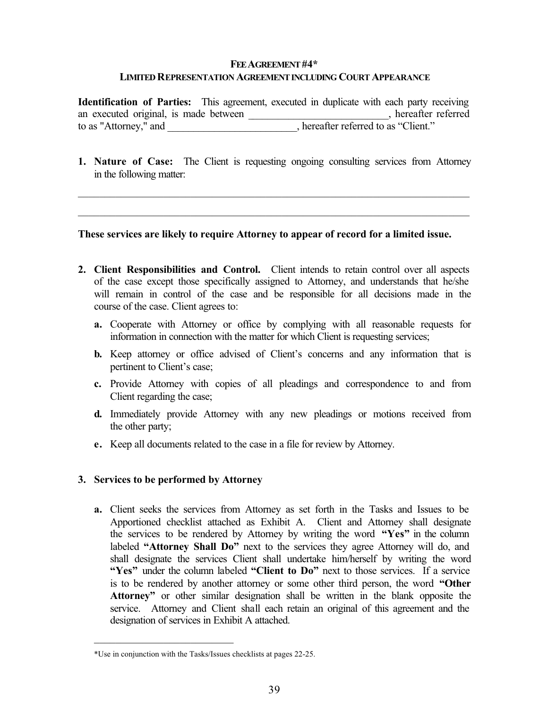#### FEE AGREEMENT #4\* **LIMITED REPRESENTATION AGREEMENT INCLUDING COURT APPEARANCE**

**Identification of Parties:** This agreement, executed in duplicate with each party receiving an executed original, is made between \_\_\_\_\_\_\_\_\_\_\_\_\_\_\_\_\_\_\_\_\_\_\_, hereafter referred to as "Attorney," and \_\_\_\_\_\_\_\_\_\_\_\_\_\_\_\_\_\_\_\_\_\_\_\_\_, hereafter referred to as "Client."

1. Nature of Case: The Client is requesting ongoing consulting services from Attorney in the following matter:

\_\_\_\_\_\_\_\_\_\_\_\_\_\_\_\_\_\_\_\_\_\_\_\_\_\_\_\_\_\_\_\_\_\_\_\_\_\_\_\_\_\_\_\_\_\_\_\_\_\_\_\_\_\_\_\_\_\_\_\_\_\_\_\_\_\_\_\_\_\_\_\_\_

\_\_\_\_\_\_\_\_\_\_\_\_\_\_\_\_\_\_\_\_\_\_\_\_\_\_\_\_\_\_\_\_\_\_\_\_\_\_\_\_\_\_\_\_\_\_\_\_\_\_\_\_\_\_\_\_\_\_\_\_\_\_\_\_\_\_\_\_\_\_\_\_\_

#### **These services are likely to require Attorney to appear of record for a limited issue.**

- **2. Client Responsibilities and Control.** Client intends to retain control over all aspects of the case except those specifically assigned to Attorney, and understands that he/she will remain in control of the case and be responsible for all decisions made in the course of the case. Client agrees to:
	- **a.** Cooperate with Attorney or office by complying with all reasonable requests for information in connection with the matter for which Client is requesting services;
	- **b.** Keep attorney or office advised of Client's concerns and any information that is pertinent to Client's case;
	- **c.** Provide Attorney with copies of all pleadings and correspondence to and from Client regarding the case;
	- **d.** Immediately provide Attorney with any new pleadings or motions received from the other party;
	- **e.** Keep all documents related to the case in a file for review by Attorney.

#### **3. Services to be performed by Attorney**

**a.** Client seeks the services from Attorney as set forth in the Tasks and Issues to be Apportioned checklist attached as Exhibit A. Client and Attorney shall designate the services to be rendered by Attorney by writing the word **"Yes"** in the column labeled **"Attorney Shall Do"** next to the services they agree Attorney will do, and shall designate the services Client shall undertake him/herself by writing the word **"Yes"** under the column labeled **"Client to Do"** next to those services. If a service is to be rendered by another attorney or some other third person, the word **"Other Attorney"** or other similar designation shall be written in the blank opposite the service. Attorney and Client shall each retain an original of this agreement and the designation of services in Exhibit A attached.

<sup>\*</sup>Use in conjunction with the Tasks/Issues checklists at pages 22-25.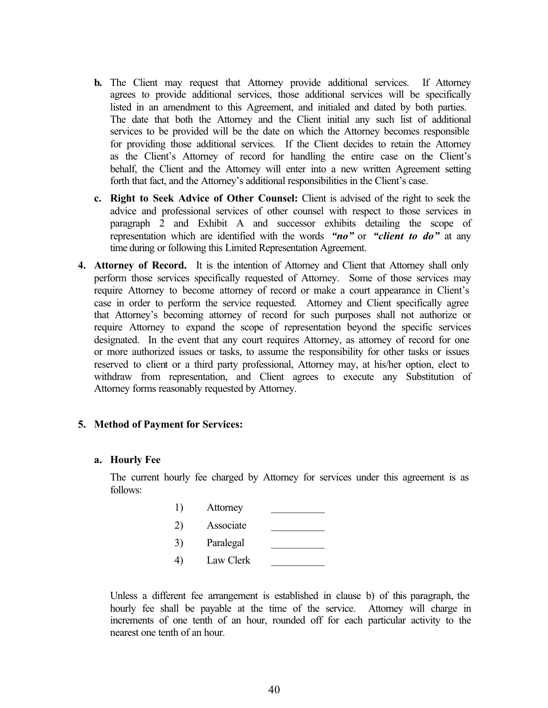- **b.** The Client may request that Attorney provide additional services. If Attorney agrees to provide additional services, those additional services will be specifically listed in an amendment to this Agreement, and initialed and dated by both parties. The date that both the Attorney and the Client initial any such list of additional services to be provided will be the date on which the Attorney becomes responsible for providing those additional services. If the Client decides to retain the Attorney as the Client's Attorney of record for handling the entire case on the Client's behalf, the Client and the Attorney will enter into a new written Agreement setting forth that fact, and the Attorney's additional responsibilities in the Client's case.
- **c. Right to Seek Advice of Other Counsel:** Client is advised of the right to seek the advice and professional services of other counsel with respect to those services in paragraph 2 and Exhibit A and successor exhibits detailing the scope of representation which are identified with the words *"no"* or *"client to do"* at any time during or following this Limited Representation Agreement.
- **4. Attorney of Record.** It is the intention of Attorney and Client that Attorney shall only perform those services specifically requested of Attorney. Some of those services may require Attorney to become attorney of record or make a court appearance in Client's case in order to perform the service requested. Attorney and Client specifically agree that Attorney's becoming attorney of record for such purposes shall not authorize or require Attorney to expand the scope of representation beyond the specific services designated. In the event that any court requires Attorney, as attorney of record for one or more authorized issues or tasks, to assume the responsibility for other tasks or issues reserved to client or a third party professional, Attorney may, at his/her option, elect to withdraw from representation, and Client agrees to execute any Substitution of Attorney forms reasonably requested by Attorney.

#### **5. Method of Payment for Services:**

#### **a. Hourly Fee**

The current hourly fee charged by Attorney for services under this agreement is as follows:

| 1) | Attorney  |  |
|----|-----------|--|
| 2) | Associate |  |
| 3) | Paralegal |  |
| 4) | Law Clerk |  |

Unless a different fee arrangement is established in clause b) of this paragraph, the hourly fee shall be payable at the time of the service. Attorney will charge in increments of one tenth of an hour, rounded off for each particular activity to the nearest one tenth of an hour.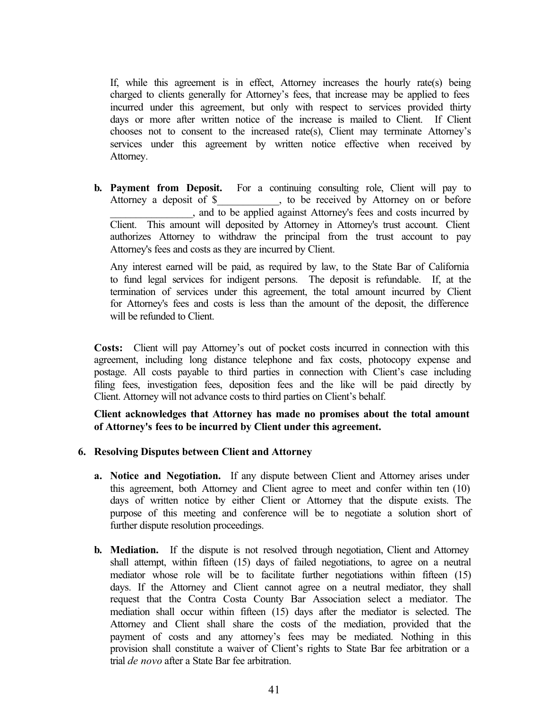If, while this agreement is in effect, Attorney increases the hourly rate(s) being charged to clients generally for Attorney's fees, that increase may be applied to fees incurred under this agreement, but only with respect to services provided thirty days or more after written notice of the increase is mailed to Client. If Client chooses not to consent to the increased rate(s), Client may terminate Attorney's services under this agreement by written notice effective when received by Attorney.

**b. Payment from Deposit.** For a continuing consulting role, Client will pay to Attorney a deposit of \$, to be received by Attorney on or before \_\_\_\_\_\_\_\_\_\_\_\_\_\_\_\_, and to be applied against Attorney's fees and costs incurred by Client. This amount will deposited by Attorney in Attorney's trust account. Client authorizes Attorney to withdraw the principal from the trust account to pay Attorney's fees and costs as they are incurred by Client.

Any interest earned will be paid, as required by law, to the State Bar of California to fund legal services for indigent persons. The deposit is refundable. If, at the termination of services under this agreement, the total amount incurred by Client for Attorney's fees and costs is less than the amount of the deposit, the difference will be refunded to Client.

**Costs:** Client will pay Attorney's out of pocket costs incurred in connection with this agreement, including long distance telephone and fax costs, photocopy expense and postage. All costs payable to third parties in connection with Client's case including filing fees, investigation fees, deposition fees and the like will be paid directly by Client. Attorney will not advance costs to third parties on Client's behalf.

**Client acknowledges that Attorney has made no promises about the total amount of Attorney's fees to be incurred by Client under this agreement.**

#### **6. Resolving Disputes between Client and Attorney**

- **a. Notice and Negotiation.** If any dispute between Client and Attorney arises under this agreement, both Attorney and Client agree to meet and confer within ten (10) days of written notice by either Client or Attorney that the dispute exists. The purpose of this meeting and conference will be to negotiate a solution short of further dispute resolution proceedings.
- **b.** Mediation. If the dispute is not resolved through negotiation, Client and Attorney shall attempt, within fifteen (15) days of failed negotiations, to agree on a neutral mediator whose role will be to facilitate further negotiations within fifteen (15) days. If the Attorney and Client cannot agree on a neutral mediator, they shall request that the Contra Costa County Bar Association select a mediator. The mediation shall occur within fifteen (15) days after the mediator is selected. The Attorney and Client shall share the costs of the mediation, provided that the payment of costs and any attorney's fees may be mediated. Nothing in this provision shall constitute a waiver of Client's rights to State Bar fee arbitration or a trial *de novo* after a State Bar fee arbitration.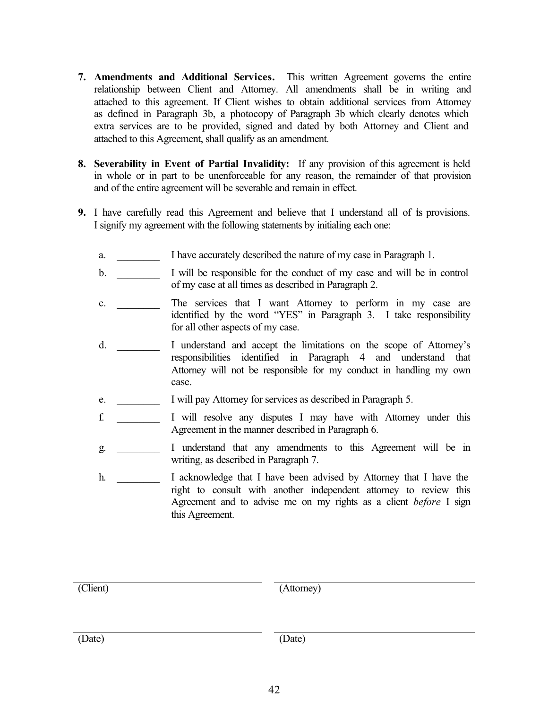- **7. Amendments and Additional Services.** This written Agreement governs the entire relationship between Client and Attorney. All amendments shall be in writing and attached to this agreement. If Client wishes to obtain additional services from Attorney as defined in Paragraph 3b, a photocopy of Paragraph 3b which clearly denotes which extra services are to be provided, signed and dated by both Attorney and Client and attached to this Agreement, shall qualify as an amendment.
- **8. Severability in Event of Partial Invalidity:** If any provision of this agreement is held in whole or in part to be unenforceable for any reason, the remainder of that provision and of the entire agreement will be severable and remain in effect.
- **9.** I have carefully read this Agreement and believe that I understand all of is provisions. I signify my agreement with the following statements by initialing each one:
	- a. I have accurately described the nature of my case in Paragraph 1.
	- b. \_\_\_\_\_\_\_\_ I will be responsible for the conduct of my case and will be in control of my case at all times as described in Paragraph 2.
	- c. The services that I want Attorney to perform in my case are identified by the word "YES" in Paragraph 3. I take responsibility for all other aspects of my case.
	- d. \_\_\_\_\_\_\_\_ I understand and accept the limitations on the scope of Attorney's responsibilities identified in Paragraph 4 and understand that Attorney will not be responsible for my conduct in handling my own case.
	- e. I will pay Attorney for services as described in Paragraph 5.
	- f. \_\_\_\_\_\_\_\_ I will resolve any disputes I may have with Attorney under this Agreement in the manner described in Paragraph 6.
	- g. \_\_\_\_\_\_\_\_ I understand that any amendments to this Agreement will be in writing, as described in Paragraph 7.
	- h. I acknowledge that I have been advised by Attorney that I have the right to consult with another independent attorney to review this Agreement and to advise me on my rights as a client *before* I sign this Agreement.

(Client) (Attorney)

(Date) (Date)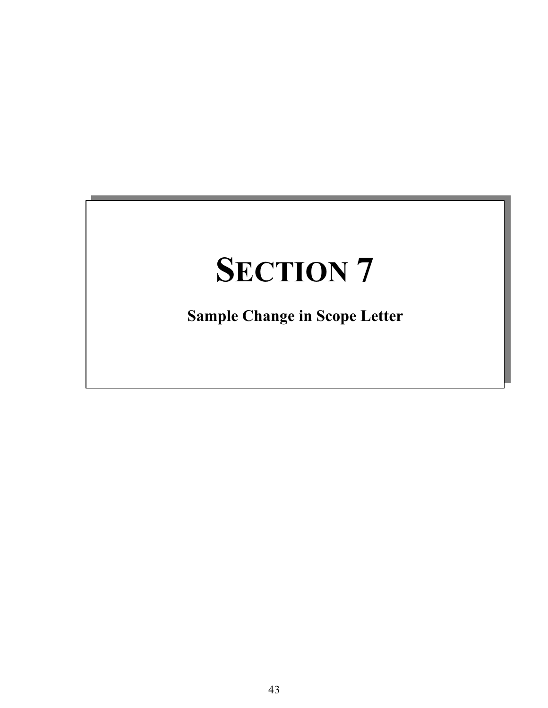# **SECTION 7**

**Sample Change in Scope Letter**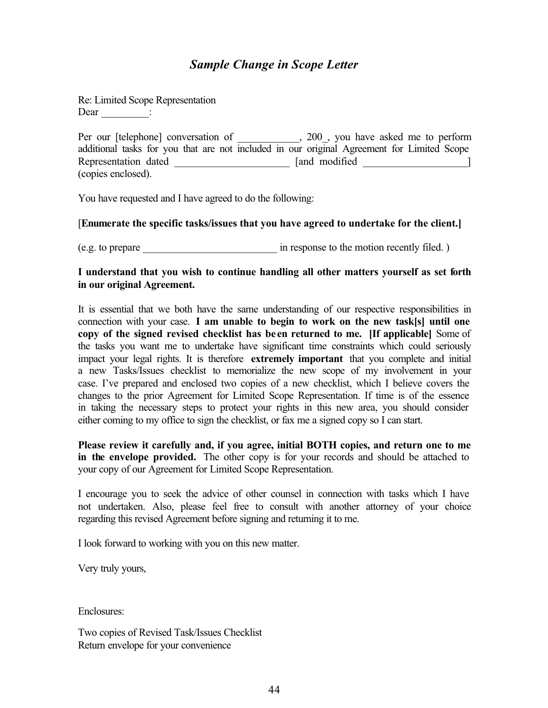#### *Sample Change in Scope Letter*

Re: Limited Scope Representation Dear :

Per our [telephone] conversation of \_\_\_\_\_\_\_\_\_\_\_, 200\_, you have asked me to perform additional tasks for you that are not included in our original Agreement for Limited Scope Representation dated **EXECUTE:** [and modified  $\blacksquare$ (copies enclosed).

You have requested and I have agreed to do the following:

#### [**Enumerate the specific tasks/issues that you have agreed to undertake for the client.]**

(e.g. to prepare  $\Box$  in response to the motion recently filed.)

#### **I understand that you wish to continue handling all other matters yourself as set forth in our original Agreement.**

It is essential that we both have the same understanding of our respective responsibilities in connection with your case. **I am unable to begin to work on the new task[s] until one copy of the signed revised checklist has been returned to me. [If applicable]** Some of the tasks you want me to undertake have significant time constraints which could seriously impact your legal rights. It is therefore **extremely important** that you complete and initial a new Tasks/Issues checklist to memorialize the new scope of my involvement in your case. I've prepared and enclosed two copies of a new checklist, which I believe covers the changes to the prior Agreement for Limited Scope Representation. If time is of the essence in taking the necessary steps to protect your rights in this new area, you should consider either coming to my office to sign the checklist, or fax me a signed copy so I can start.

**Please review it carefully and, if you agree, initial BOTH copies, and return one to me in the envelope provided.** The other copy is for your records and should be attached to your copy of our Agreement for Limited Scope Representation.

I encourage you to seek the advice of other counsel in connection with tasks which I have not undertaken. Also, please feel free to consult with another attorney of your choice regarding this revised Agreement before signing and returning it to me.

I look forward to working with you on this new matter.

Very truly yours,

Enclosures:

Two copies of Revised Task/Issues Checklist Return envelope for your convenience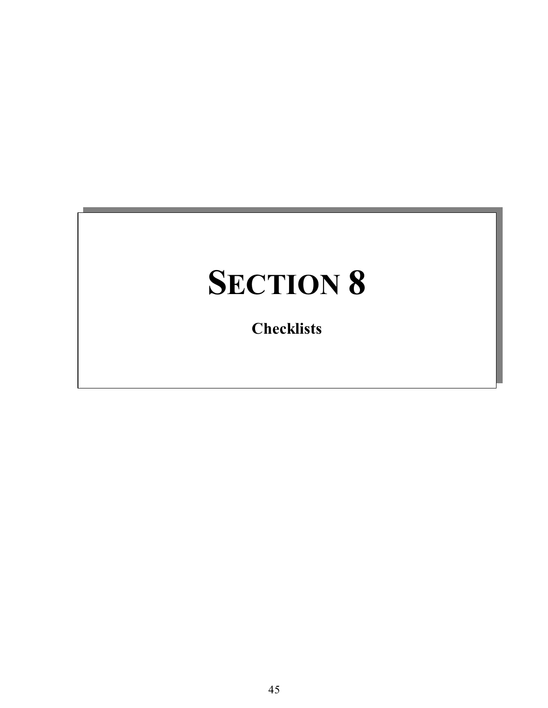## **SECTION 8**

**Checklists**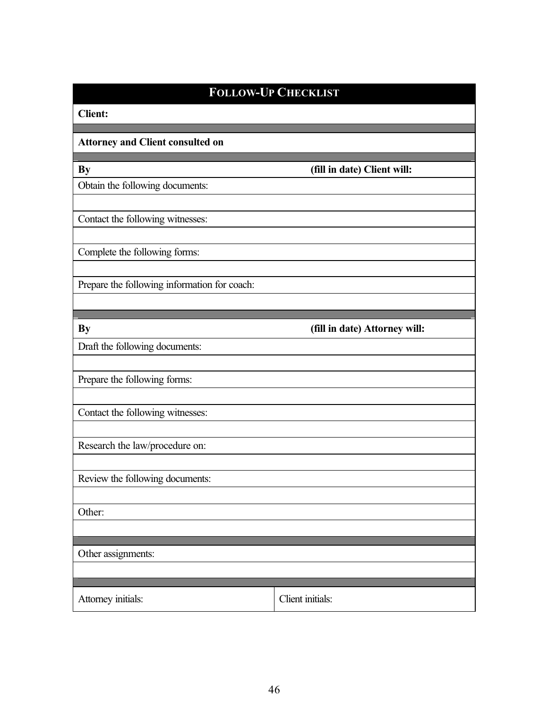| <b>FOLLOW-UP CHECKLIST</b>                   |                               |  |  |
|----------------------------------------------|-------------------------------|--|--|
| <b>Client:</b>                               |                               |  |  |
| <b>Attorney and Client consulted on</b>      |                               |  |  |
|                                              |                               |  |  |
| <b>By</b>                                    | (fill in date) Client will:   |  |  |
| Obtain the following documents:              |                               |  |  |
| Contact the following witnesses:             |                               |  |  |
|                                              |                               |  |  |
| Complete the following forms:                |                               |  |  |
| Prepare the following information for coach: |                               |  |  |
|                                              |                               |  |  |
| <b>By</b>                                    | (fill in date) Attorney will: |  |  |
| Draft the following documents:               |                               |  |  |
|                                              |                               |  |  |
| Prepare the following forms:                 |                               |  |  |
|                                              |                               |  |  |
| Contact the following witnesses:             |                               |  |  |
| Research the law/procedure on:               |                               |  |  |
|                                              |                               |  |  |
| Review the following documents:              |                               |  |  |
|                                              |                               |  |  |
| Other:                                       |                               |  |  |
|                                              |                               |  |  |
| Other assignments:                           |                               |  |  |
|                                              |                               |  |  |
| Attorney initials:                           | Client initials:              |  |  |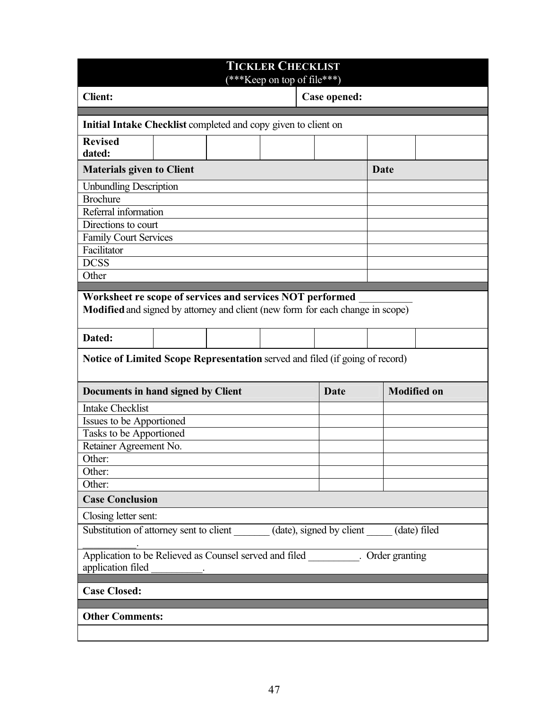| <b>TICKLER CHECKLIST</b><br>$(***Keep on top of file***)$                                    |  |  |  |              |      |                    |
|----------------------------------------------------------------------------------------------|--|--|--|--------------|------|--------------------|
| <b>Client:</b>                                                                               |  |  |  | Case opened: |      |                    |
| Initial Intake Checklist completed and copy given to client on                               |  |  |  |              |      |                    |
| <b>Revised</b>                                                                               |  |  |  |              |      |                    |
| dated:                                                                                       |  |  |  |              |      |                    |
| <b>Materials given to Client</b>                                                             |  |  |  |              | Date |                    |
| <b>Unbundling Description</b>                                                                |  |  |  |              |      |                    |
| <b>Brochure</b>                                                                              |  |  |  |              |      |                    |
| Referral information                                                                         |  |  |  |              |      |                    |
| Directions to court                                                                          |  |  |  |              |      |                    |
| <b>Family Court Services</b><br>Facilitator                                                  |  |  |  |              |      |                    |
| <b>DCSS</b>                                                                                  |  |  |  |              |      |                    |
| Other                                                                                        |  |  |  |              |      |                    |
|                                                                                              |  |  |  |              |      |                    |
| Worksheet re scope of services and services NOT performed                                    |  |  |  |              |      |                    |
| <b>Modified</b> and signed by attorney and client (new form for each change in scope)        |  |  |  |              |      |                    |
| Dated:                                                                                       |  |  |  |              |      |                    |
| Notice of Limited Scope Representation served and filed (if going of record)                 |  |  |  |              |      |                    |
| Documents in hand signed by Client                                                           |  |  |  | Date         |      | <b>Modified on</b> |
| <b>Intake Checklist</b>                                                                      |  |  |  |              |      |                    |
| Issues to be Apportioned                                                                     |  |  |  |              |      |                    |
| Tasks to be Apportioned                                                                      |  |  |  |              |      |                    |
| Retainer Agreement No.                                                                       |  |  |  |              |      |                    |
| Other:                                                                                       |  |  |  |              |      |                    |
| Other:<br>Other:                                                                             |  |  |  |              |      |                    |
| <b>Case Conclusion</b>                                                                       |  |  |  |              |      |                    |
| Closing letter sent:                                                                         |  |  |  |              |      |                    |
| Substitution of attorney sent to client (date), signed by client (date) filed                |  |  |  |              |      |                    |
|                                                                                              |  |  |  |              |      |                    |
| Application to be Relieved as Counsel served and filed . Order granting<br>application filed |  |  |  |              |      |                    |
| <b>Case Closed:</b>                                                                          |  |  |  |              |      |                    |
|                                                                                              |  |  |  |              |      |                    |
| <b>Other Comments:</b>                                                                       |  |  |  |              |      |                    |
|                                                                                              |  |  |  |              |      |                    |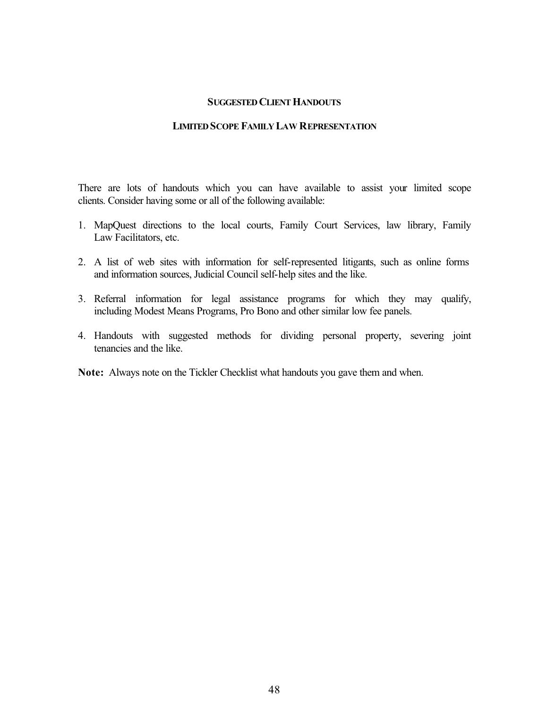#### **SUGGESTED CLIENT HANDOUTS**

#### **LIMITED SCOPE FAMILY LAW REPRESENTATION**

There are lots of handouts which you can have available to assist your limited scope clients. Consider having some or all of the following available:

- 1. MapQuest directions to the local courts, Family Court Services, law library, Family Law Facilitators, etc.
- 2. A list of web sites with information for self-represented litigants, such as online forms and information sources, Judicial Council self-help sites and the like.
- 3. Referral information for legal assistance programs for which they may qualify, including Modest Means Programs, Pro Bono and other similar low fee panels.
- 4. Handouts with suggested methods for dividing personal property, severing joint tenancies and the like.

**Note:** Always note on the Tickler Checklist what handouts you gave them and when.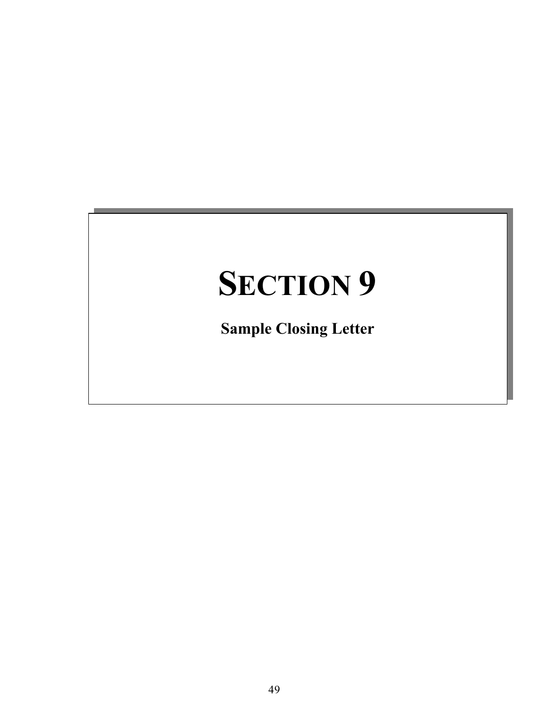## **SECTION 9**

**Sample Closing Letter**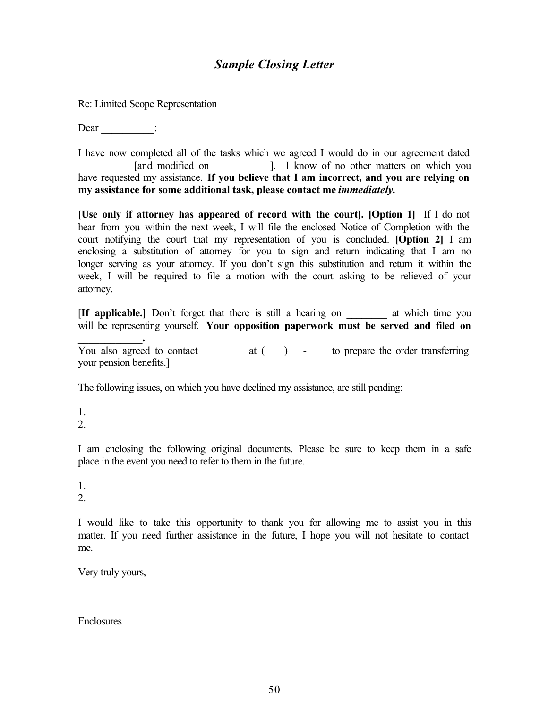#### *Sample Closing Letter*

Re: Limited Scope Representation

Dear :

I have now completed all of the tasks which we agreed I would do in our agreement dated [and modified on  $\qquad$ ]. I know of no other matters on which you have requested my assistance. **If you believe that I am incorrect, and you are relying on my assistance for some additional task, please contact me** *immediately***.**

**[Use only if attorney has appeared of record with the court]. [Option 1]** If I do not hear from you within the next week, I will file the enclosed Notice of Completion with the court notifying the court that my representation of you is concluded. **[Option 2]** I am enclosing a substitution of attorney for you to sign and return indicating that I am no longer serving as your attorney. If you don't sign this substitution and return it within the week, I will be required to file a motion with the court asking to be relieved of your attorney.

**[If applicable.]** Don't forget that there is still a hearing on at which time you will be representing yourself. **Your opposition paperwork must be served and filed on**

You also agreed to contact  $\qquad \qquad$  at  $( \qquad ) \qquad$  - to prepare the order transferring your pension benefits.]

The following issues, on which you have declined my assistance, are still pending:

1.

**\_\_\_\_\_\_\_\_\_\_\_\_.**

2.

I am enclosing the following original documents. Please be sure to keep them in a safe place in the event you need to refer to them in the future.

1. 2.

I would like to take this opportunity to thank you for allowing me to assist you in this matter. If you need further assistance in the future, I hope you will not hesitate to contact me.

Very truly yours,

Enclosures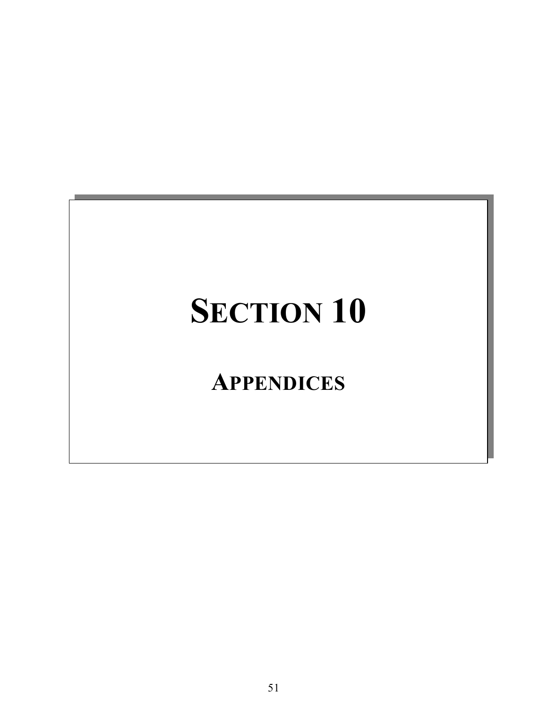# **SECTION 10**

### **APPENDICES**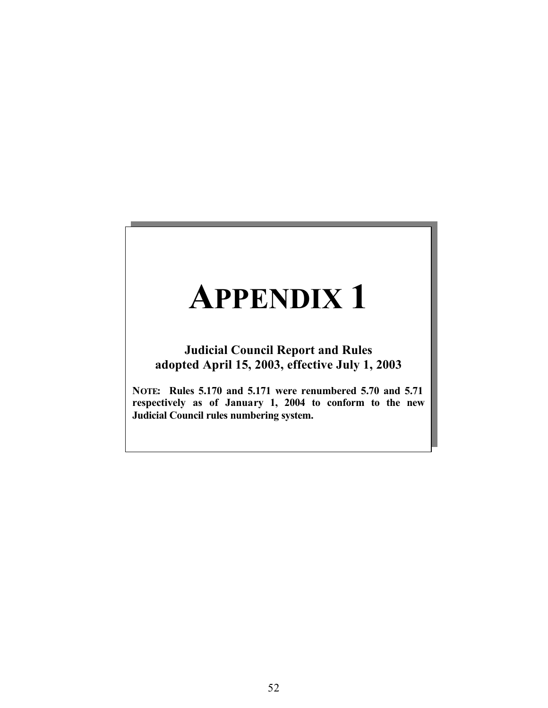### **APPENDIX 1**

#### **Judicial Council Report and Rules adopted April 15, 2003, effective July 1, 2003**

**NOTE: Rules 5.170 and 5.171 were renumbered 5.70 and 5.71 respectively as of January 1, 2004 to conform to the new Judicial Council rules numbering system.**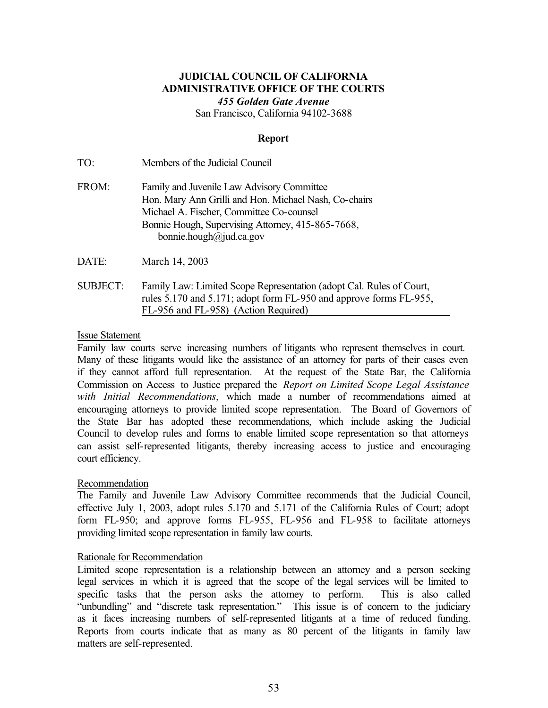#### **JUDICIAL COUNCIL OF CALIFORNIA ADMINISTRATIVE OFFICE OF THE COURTS** *455 Golden Gate Avenue*

San Francisco, California 94102-3688

#### **Report**

| TO:             | Members of the Judicial Council                                                                                                                                                                                                       |
|-----------------|---------------------------------------------------------------------------------------------------------------------------------------------------------------------------------------------------------------------------------------|
| FROM:           | Family and Juvenile Law Advisory Committee<br>Hon. Mary Ann Grilli and Hon. Michael Nash, Co-chairs<br>Michael A. Fischer, Committee Co-counsel<br>Bonnie Hough, Supervising Attorney, 415-865-7668,<br>bonnie.hough $(a)$ jud.ca.gov |
| DATE:           | March 14, 2003                                                                                                                                                                                                                        |
| <b>SUBJECT:</b> | Family Law: Limited Scope Representation (adopt Cal. Rules of Court,<br>rules 5.170 and 5.171; adopt form FL-950 and approve forms FL-955,                                                                                            |

FL-956 and FL-958) (Action Required)

#### Issue Statement

Family law courts serve increasing numbers of litigants who represent themselves in court. Many of these litigants would like the assistance of an attorney for parts of their cases even if they cannot afford full representation. At the request of the State Bar, the California Commission on Access to Justice prepared the *Report on Limited Scope Legal Assistance with Initial Recommendations*, which made a number of recommendations aimed at encouraging attorneys to provide limited scope representation. The Board of Governors of the State Bar has adopted these recommendations, which include asking the Judicial Council to develop rules and forms to enable limited scope representation so that attorneys can assist self-represented litigants, thereby increasing access to justice and encouraging court efficiency.

#### Recommendation

The Family and Juvenile Law Advisory Committee recommends that the Judicial Council, effective July 1, 2003, adopt rules 5.170 and 5.171 of the California Rules of Court; adopt form FL-950; and approve forms FL-955, FL-956 and FL-958 to facilitate attorneys providing limited scope representation in family law courts.

#### Rationale for Recommendation

Limited scope representation is a relationship between an attorney and a person seeking legal services in which it is agreed that the scope of the legal services will be limited to specific tasks that the person asks the attorney to perform. This is also called "unbundling" and "discrete task representation." This issue is of concern to the judiciary as it faces increasing numbers of self-represented litigants at a time of reduced funding. Reports from courts indicate that as many as 80 percent of the litigants in family law matters are self-represented.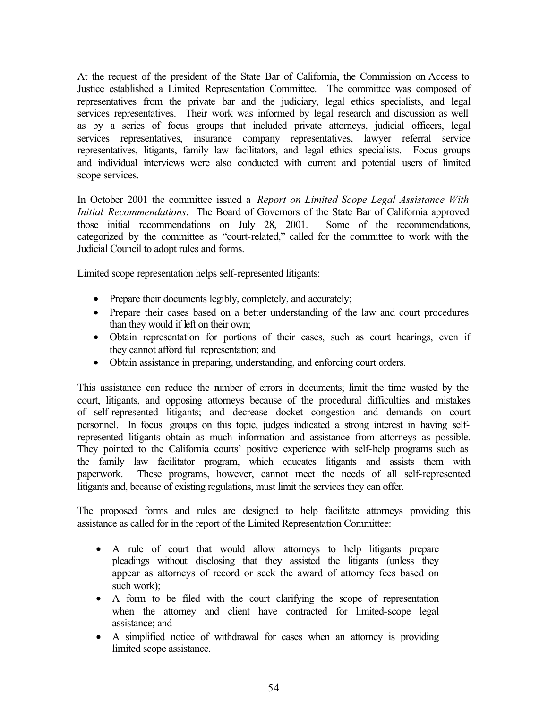At the request of the president of the State Bar of California, the Commission on Access to Justice established a Limited Representation Committee. The committee was composed of representatives from the private bar and the judiciary, legal ethics specialists, and legal services representatives. Their work was informed by legal research and discussion as well as by a series of focus groups that included private attorneys, judicial officers, legal services representatives, insurance company representatives, lawyer referral service representatives, litigants, family law facilitators, and legal ethics specialists. Focus groups and individual interviews were also conducted with current and potential users of limited scope services.

In October 2001 the committee issued a *Report on Limited Scope Legal Assistance With Initial Recommendations*. The Board of Governors of the State Bar of California approved those initial recommendations on July 28, 2001. Some of the recommendations, categorized by the committee as "court-related," called for the committee to work with the Judicial Council to adopt rules and forms.

Limited scope representation helps self-represented litigants:

- Prepare their documents legibly, completely, and accurately;
- Prepare their cases based on a better understanding of the law and court procedures than they would if left on their own;
- Obtain representation for portions of their cases, such as court hearings, even if they cannot afford full representation; and
- Obtain assistance in preparing, understanding, and enforcing court orders.

This assistance can reduce the number of errors in documents; limit the time wasted by the court, litigants, and opposing attorneys because of the procedural difficulties and mistakes of self-represented litigants; and decrease docket congestion and demands on court personnel. In focus groups on this topic, judges indicated a strong interest in having selfrepresented litigants obtain as much information and assistance from attorneys as possible. They pointed to the California courts' positive experience with self-help programs such as the family law facilitator program, which educates litigants and assists them with paperwork. These programs, however, cannot meet the needs of all self-represented litigants and, because of existing regulations, must limit the services they can offer.

The proposed forms and rules are designed to help facilitate attorneys providing this assistance as called for in the report of the Limited Representation Committee:

- A rule of court that would allow attorneys to help litigants prepare pleadings without disclosing that they assisted the litigants (unless they appear as attorneys of record or seek the award of attorney fees based on such work);
- A form to be filed with the court clarifying the scope of representation when the attorney and client have contracted for limited-scope legal assistance; and
- A simplified notice of withdrawal for cases when an attorney is providing limited scope assistance.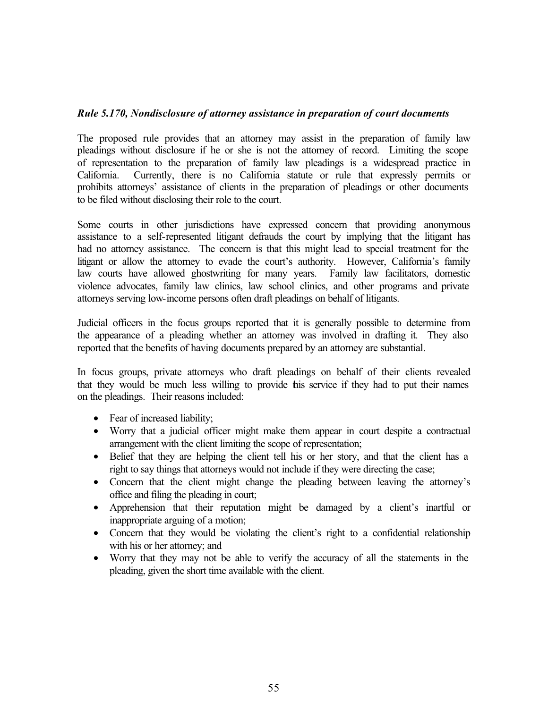#### *Rule 5.170, Nondisclosure of attorney assistance in preparation of court documents*

The proposed rule provides that an attorney may assist in the preparation of family law pleadings without disclosure if he or she is not the attorney of record. Limiting the scope of representation to the preparation of family law pleadings is a widespread practice in California. Currently, there is no California statute or rule that expressly permits or prohibits attorneys' assistance of clients in the preparation of pleadings or other documents to be filed without disclosing their role to the court.

Some courts in other jurisdictions have expressed concern that providing anonymous assistance to a self-represented litigant defrauds the court by implying that the litigant has had no attorney assistance. The concern is that this might lead to special treatment for the litigant or allow the attorney to evade the court's authority. However, California's family law courts have allowed ghostwriting for many years. Family law facilitators, domestic violence advocates, family law clinics, law school clinics, and other programs and private attorneys serving low-income persons often draft pleadings on behalf of litigants.

Judicial officers in the focus groups reported that it is generally possible to determine from the appearance of a pleading whether an attorney was involved in drafting it. They also reported that the benefits of having documents prepared by an attorney are substantial.

In focus groups, private attorneys who draft pleadings on behalf of their clients revealed that they would be much less willing to provide this service if they had to put their names on the pleadings. Their reasons included:

- Fear of increased liability;
- Worry that a judicial officer might make them appear in court despite a contractual arrangement with the client limiting the scope of representation;
- Belief that they are helping the client tell his or her story, and that the client has a right to say things that attorneys would not include if they were directing the case;
- Concern that the client might change the pleading between leaving the attorney's office and filing the pleading in court;
- Apprehension that their reputation might be damaged by a client's inartful or inappropriate arguing of a motion;
- Concern that they would be violating the client's right to a confidential relationship with his or her attorney; and
- Worry that they may not be able to verify the accuracy of all the statements in the pleading, given the short time available with the client.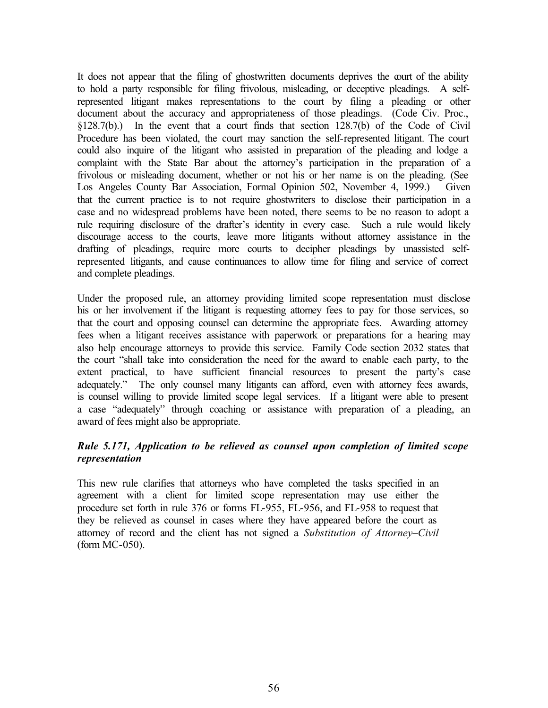It does not appear that the filing of ghostwritten documents deprives the court of the ability to hold a party responsible for filing frivolous, misleading, or deceptive pleadings. A selfrepresented litigant makes representations to the court by filing a pleading or other document about the accuracy and appropriateness of those pleadings. (Code Civ. Proc., §128.7(b).) In the event that a court finds that section 128.7(b) of the Code of Civil Procedure has been violated, the court may sanction the self-represented litigant. The court could also inquire of the litigant who assisted in preparation of the pleading and lodge a complaint with the State Bar about the attorney's participation in the preparation of a frivolous or misleading document, whether or not his or her name is on the pleading. (See Los Angeles County Bar Association, Formal Opinion 502, November 4, 1999.) Given that the current practice is to not require ghostwriters to disclose their participation in a case and no widespread problems have been noted, there seems to be no reason to adopt a rule requiring disclosure of the drafter's identity in every case. Such a rule would likely discourage access to the courts, leave more litigants without attorney assistance in the drafting of pleadings, require more courts to decipher pleadings by unassisted selfrepresented litigants, and cause continuances to allow time for filing and service of correct and complete pleadings.

Under the proposed rule, an attorney providing limited scope representation must disclose his or her involvement if the litigant is requesting attorney fees to pay for those services, so that the court and opposing counsel can determine the appropriate fees. Awarding attorney fees when a litigant receives assistance with paperwork or preparations for a hearing may also help encourage attorneys to provide this service. Family Code section 2032 states that the court "shall take into consideration the need for the award to enable each party, to the extent practical, to have sufficient financial resources to present the party's case adequately." The only counsel many litigants can afford, even with attorney fees awards, is counsel willing to provide limited scope legal services. If a litigant were able to present a case "adequately" through coaching or assistance with preparation of a pleading, an award of fees might also be appropriate.

#### *Rule 5.171, Application to be relieved as counsel upon completion of limited scope representation*

This new rule clarifies that attorneys who have completed the tasks specified in an agreement with a client for limited scope representation may use either the procedure set forth in rule 376 or forms FL-955, FL-956, and FL-958 to request that they be relieved as counsel in cases where they have appeared before the court as attorney of record and the client has not signed a *Substitution of Attorney–Civil* (form MC-050).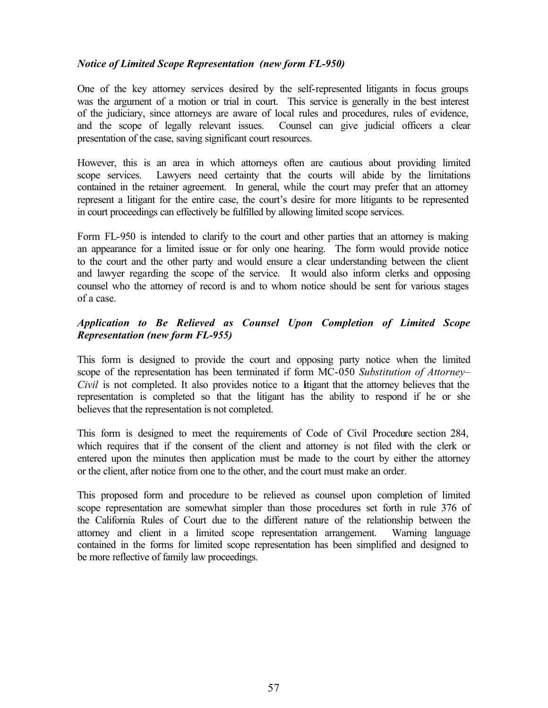#### *Notice of Limited Scope Representation (new form FL-950)*

One of the key attorney services desired by the self-represented litigants in focus groups was the argument of a motion or trial in court. This service is generally in the best interest of the judiciary, since attorneys are aware of local rules and procedures, rules of evidence, and the scope of legally relevant issues. Counsel can give judicial officers a clear Counsel can give judicial officers a clear presentation of the case, saving significant court resources.

However, this is an area in which attorneys often are cautious about providing limited scope services. Lawyers need certainty that the courts will abide by the limitations contained in the retainer agreement. In general, while the court may prefer that an attorney represent a litigant for the entire case, the court's desire for more litigants to be represented in court proceedings can effectively be fulfilled by allowing limited scope services.

Form FL-950 is intended to clarify to the court and other parties that an attorney is making an appearance for a limited issue or for only one hearing. The form would provide notice to the court and the other party and would ensure a clear understanding between the client and lawyer regarding the scope of the service. It would also inform clerks and opposing counsel who the attorney of record is and to whom notice should be sent for various stages of a case.

#### *Application to Be Relieved as Counsel Upon Completion of Limited Scope Representation (new form FL-955)*

This form is designed to provide the court and opposing party notice when the limited scope of the representation has been terminated if form MC-050 *Substitution of Attorney– Civil* is not completed. It also provides notice to a Itigant that the attorney believes that the representation is completed so that the litigant has the ability to respond if he or she believes that the representation is not completed.

This form is designed to meet the requirements of Code of Civil Procedure section 284, which requires that if the consent of the client and attorney is not filed with the clerk or entered upon the minutes then application must be made to the court by either the attorney or the client, after notice from one to the other, and the court must make an order.

This proposed form and procedure to be relieved as counsel upon completion of limited scope representation are somewhat simpler than those procedures set forth in rule 376 of the California Rules of Court due to the different nature of the relationship between the attorney and client in a limited scope representation arrangement. Warning language contained in the forms for limited scope representation has been simplified and designed to be more reflective of family law proceedings.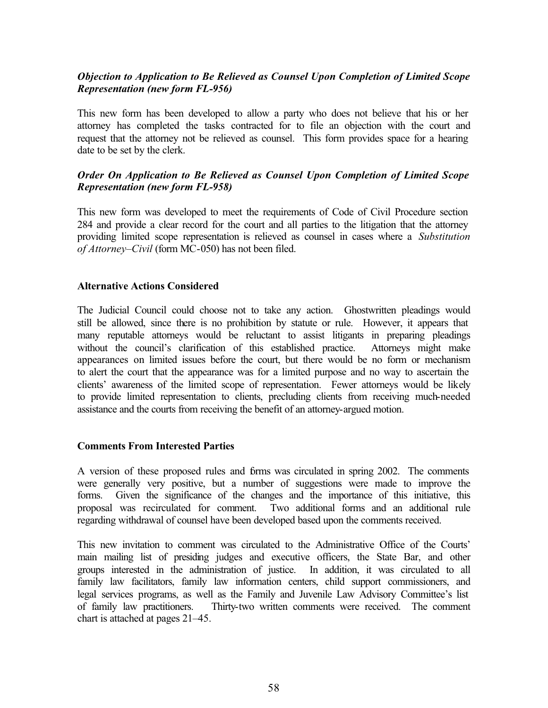#### *Objection to Application to Be Relieved as Counsel Upon Completion of Limited Scope Representation (new form FL-956)*

This new form has been developed to allow a party who does not believe that his or her attorney has completed the tasks contracted for to file an objection with the court and request that the attorney not be relieved as counsel. This form provides space for a hearing date to be set by the clerk.

#### *Order On Application to Be Relieved as Counsel Upon Completion of Limited Scope Representation (new form FL-958)*

This new form was developed to meet the requirements of Code of Civil Procedure section 284 and provide a clear record for the court and all parties to the litigation that the attorney providing limited scope representation is relieved as counsel in cases where a *Substitution of Attorney–Civil* (form MC-050) has not been filed.

#### **Alternative Actions Considered**

The Judicial Council could choose not to take any action. Ghostwritten pleadings would still be allowed, since there is no prohibition by statute or rule. However, it appears that many reputable attorneys would be reluctant to assist litigants in preparing pleadings without the council's clarification of this established practice. Attorneys might make appearances on limited issues before the court, but there would be no form or mechanism to alert the court that the appearance was for a limited purpose and no way to ascertain the clients' awareness of the limited scope of representation. Fewer attorneys would be likely to provide limited representation to clients, precluding clients from receiving much-needed assistance and the courts from receiving the benefit of an attorney-argued motion.

#### **Comments From Interested Parties**

A version of these proposed rules and forms was circulated in spring 2002. The comments were generally very positive, but a number of suggestions were made to improve the forms. Given the significance of the changes and the importance of this initiative, this proposal was recirculated for comment. Two additional forms and an additional rule regarding withdrawal of counsel have been developed based upon the comments received.

This new invitation to comment was circulated to the Administrative Office of the Courts' main mailing list of presiding judges and executive officers, the State Bar, and other groups interested in the administration of justice. In addition, it was circulated to all family law facilitators, family law information centers, child support commissioners, and legal services programs, as well as the Family and Juvenile Law Advisory Committee's list of family law practitioners. Thirty-two written comments were received. The comment chart is attached at pages 21–45.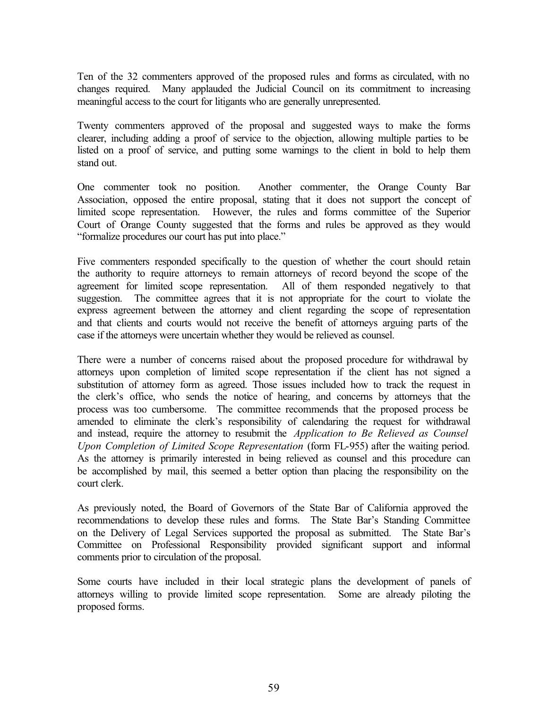Ten of the 32 commenters approved of the proposed rules and forms as circulated, with no changes required. Many applauded the Judicial Council on its commitment to increasing meaningful access to the court for litigants who are generally unrepresented.

Twenty commenters approved of the proposal and suggested ways to make the forms clearer, including adding a proof of service to the objection, allowing multiple parties to be listed on a proof of service, and putting some warnings to the client in bold to help them stand out.

One commenter took no position. Another commenter, the Orange County Bar Association, opposed the entire proposal, stating that it does not support the concept of limited scope representation. However, the rules and forms committee of the Superior Court of Orange County suggested that the forms and rules be approved as they would "formalize procedures our court has put into place."

Five commenters responded specifically to the question of whether the court should retain the authority to require attorneys to remain attorneys of record beyond the scope of the agreement for limited scope representation. All of them responded negatively to that suggestion. The committee agrees that it is not appropriate for the court to violate the express agreement between the attorney and client regarding the scope of representation and that clients and courts would not receive the benefit of attorneys arguing parts of the case if the attorneys were uncertain whether they would be relieved as counsel.

There were a number of concerns raised about the proposed procedure for withdrawal by attorneys upon completion of limited scope representation if the client has not signed a substitution of attorney form as agreed. Those issues included how to track the request in the clerk's office, who sends the notice of hearing, and concerns by attorneys that the process was too cumbersome. The committee recommends that the proposed process be amended to eliminate the clerk's responsibility of calendaring the request for withdrawal and instead, require the attorney to resubmit the *Application to Be Relieved as Counsel Upon Completion of Limited Scope Representation* (form FL-955) after the waiting period. As the attorney is primarily interested in being relieved as counsel and this procedure can be accomplished by mail, this seemed a better option than placing the responsibility on the court clerk.

As previously noted, the Board of Governors of the State Bar of California approved the recommendations to develop these rules and forms. The State Bar's Standing Committee on the Delivery of Legal Services supported the proposal as submitted. The State Bar's Committee on Professional Responsibility provided significant support and informal comments prior to circulation of the proposal.

Some courts have included in their local strategic plans the development of panels of attorneys willing to provide limited scope representation. Some are already piloting the proposed forms.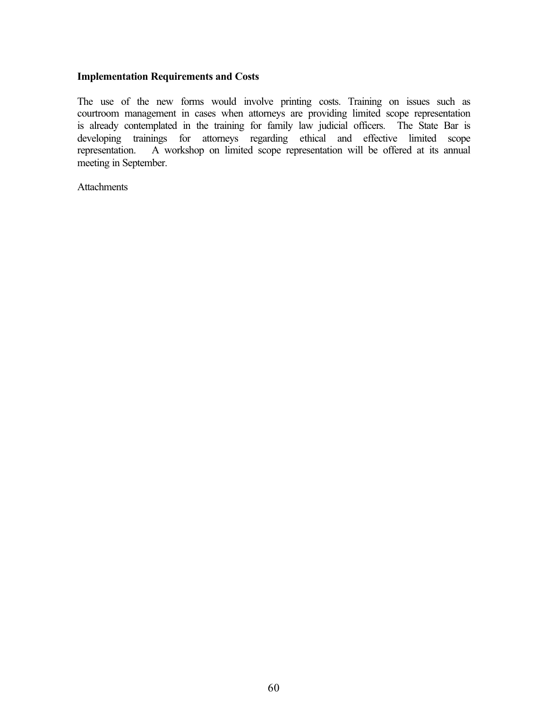#### **Implementation Requirements and Costs**

The use of the new forms would involve printing costs. Training on issues such as courtroom management in cases when attorneys are providing limited scope representation is already contemplated in the training for family law judicial officers. The State Bar is developing trainings for attorneys regarding ethical and effective limited scope representation. A workshop on limited scope representation will be offered at its annual A workshop on limited scope representation will be offered at its annual meeting in September.

**Attachments**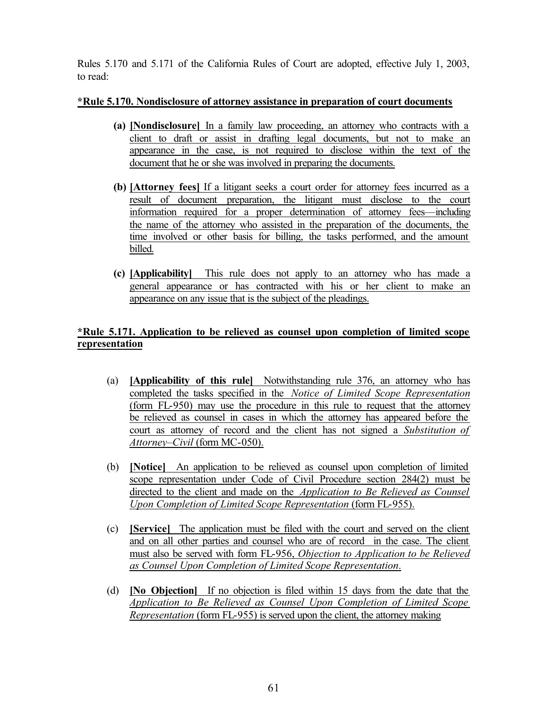Rules 5.170 and 5.171 of the California Rules of Court are adopted, effective July 1, 2003, to read:

#### **\*Rule 5.170. Nondisclosure of attorney assistance in preparation of court documents**

- **(a) [Nondisclosure]** In a family law proceeding, an attorney who contracts with a client to draft or assist in drafting legal documents, but not to make an appearance in the case, is not required to disclose within the text of the document that he or she was involved in preparing the documents.
- **(b) [Attorney fees]** If a litigant seeks a court order for attorney fees incurred as a result of document preparation, the litigant must disclose to the court information required for a proper determination of attorney fees—including the name of the attorney who assisted in the preparation of the documents, the time involved or other basis for billing, the tasks performed, and the amount billed.
- **(c) [Applicability]** This rule does not apply to an attorney who has made a general appearance or has contracted with his or her client to make an appearance on any issue that is the subject of the pleadings.

#### **\*Rule 5.171. Application to be relieved as counsel upon completion of limited scope representation**

- (a) **[Applicability of this rule]** Notwithstanding rule 376, an attorney who has completed the tasks specified in the *Notice of Limited Scope Representation* (form FL-950) may use the procedure in this rule to request that the attorney be relieved as counsel in cases in which the attorney has appeared before the court as attorney of record and the client has not signed a *Substitution of Attorney–Civil* (form MC-050).
- (b) **[Notice]** An application to be relieved as counsel upon completion of limited scope representation under Code of Civil Procedure section 284(2) must be directed to the client and made on the *Application to Be Relieved as Counsel Upon Completion of Limited Scope Representation* (form FL-955).
- (c) **[Service]** The application must be filed with the court and served on the client and on all other parties and counsel who are of record in the case. The client must also be served with form FL-956, *Objection to Application to be Relieved as Counsel Upon Completion of Limited Scope Representation*.
- (d) **[No Objection]** If no objection is filed within 15 days from the date that the *Application to Be Relieved as Counsel Upon Completion of Limited Scope Representation* (form FL-955) is served upon the client, the attorney making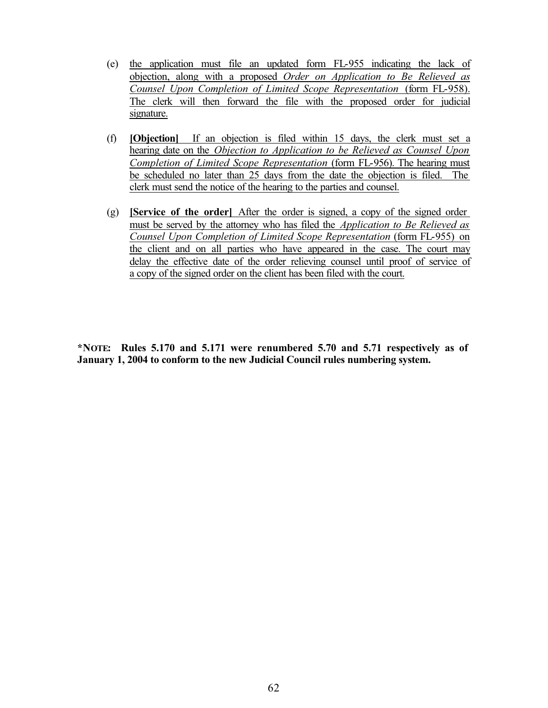- (e) the application must file an updated form FL-955 indicating the lack of objection, along with a proposed *Order on Application to Be Relieved as Counsel Upon Completion of Limited Scope Representation* (form FL-958). The clerk will then forward the file with the proposed order for judicial signature.
- (f) **[Objection]** If an objection is filed within 15 days, the clerk must set a hearing date on the *Objection to Application to be Relieved as Counsel Upon Completion of Limited Scope Representation* (form FL-956). The hearing must be scheduled no later than 25 days from the date the objection is filed. The clerk must send the notice of the hearing to the parties and counsel.
- (g) **[Service of the order]** After the order is signed, a copy of the signed order must be served by the attorney who has filed the *Application to Be Relieved as Counsel Upon Completion of Limited Scope Representation* (form FL-955) on the client and on all parties who have appeared in the case. The court may delay the effective date of the order relieving counsel until proof of service of a copy of the signed order on the client has been filed with the court.

**\*NOTE: Rules 5.170 and 5.171 were renumbered 5.70 and 5.71 respectively as of January 1, 2004 to conform to the new Judicial Council rules numbering system.**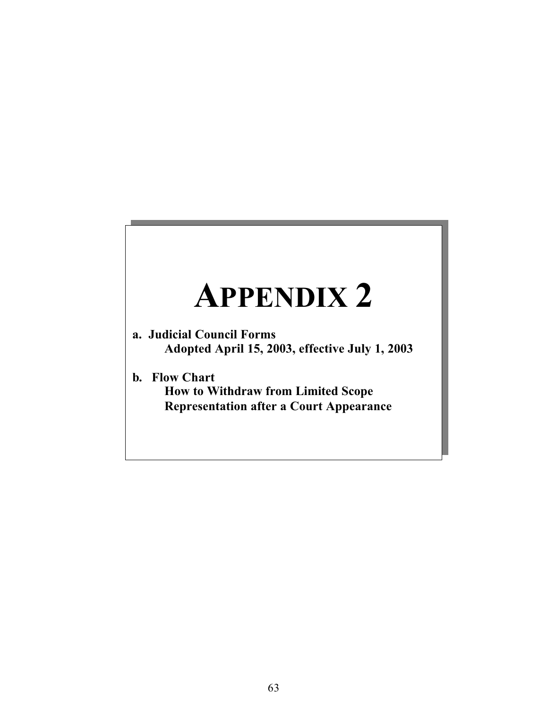### **APPENDIX 2**

- **a. Judicial Council Forms Adopted April 15, 2003, effective July 1, 2003**
- **b. Flow Chart How to Withdraw from Limited Scope Representation after a Court Appearance**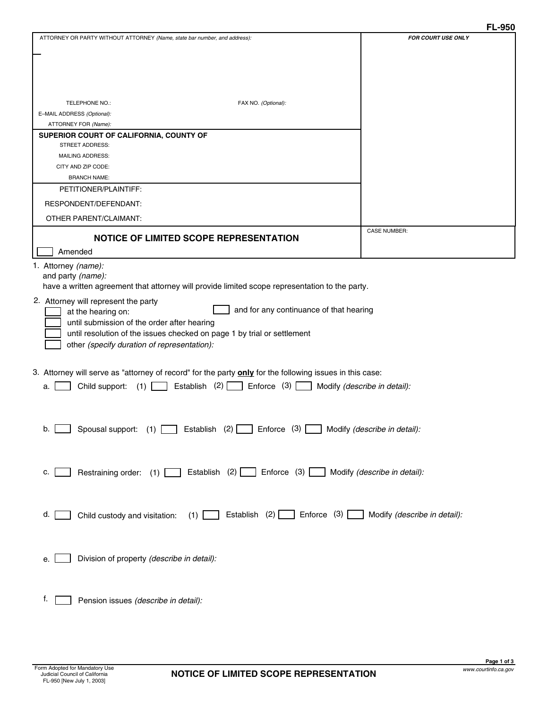#### **FL-950**

| ATTORNEY OR PARTY WITHOUT ATTORNEY (Name, state bar number, and address):                                | FOR COURT USE ONLY           |  |
|----------------------------------------------------------------------------------------------------------|------------------------------|--|
|                                                                                                          |                              |  |
|                                                                                                          |                              |  |
|                                                                                                          |                              |  |
|                                                                                                          |                              |  |
|                                                                                                          |                              |  |
| TELEPHONE NO.:<br>FAX NO. (Optional):                                                                    |                              |  |
| E-MAIL ADDRESS (Optional):                                                                               |                              |  |
| ATTORNEY FOR (Name):<br>SUPERIOR COURT OF CALIFORNIA, COUNTY OF                                          |                              |  |
| STREET ADDRESS:                                                                                          |                              |  |
| MAILING ADDRESS:                                                                                         |                              |  |
| CITY AND ZIP CODE:                                                                                       |                              |  |
| <b>BRANCH NAME:</b>                                                                                      |                              |  |
| PETITIONER/PLAINTIFF:                                                                                    |                              |  |
| RESPONDENT/DEFENDANT:                                                                                    |                              |  |
|                                                                                                          |                              |  |
| <b>OTHER PARENT/CLAIMANT:</b>                                                                            |                              |  |
| <b>NOTICE OF LIMITED SCOPE REPRESENTATION</b>                                                            | <b>CASE NUMBER:</b>          |  |
|                                                                                                          |                              |  |
| Amended                                                                                                  |                              |  |
| 1. Attorney (name):                                                                                      |                              |  |
| and party (name):                                                                                        |                              |  |
| have a written agreement that attorney will provide limited scope representation to the party.           |                              |  |
| 2. Attorney will represent the party                                                                     |                              |  |
| and for any continuance of that hearing<br>at the hearing on:                                            |                              |  |
| until submission of the order after hearing                                                              |                              |  |
| until resolution of the issues checked on page 1 by trial or settlement                                  |                              |  |
| other (specify duration of representation):                                                              |                              |  |
|                                                                                                          |                              |  |
| 3. Attorney will serve as "attorney of record" for the party only for the following issues in this case: |                              |  |
| Establish $(2)$ Enforce $(3)$ Modify <i>(describe in detail):</i><br>Child support: (1) [<br>a.          |                              |  |
|                                                                                                          |                              |  |
|                                                                                                          |                              |  |
|                                                                                                          |                              |  |
| Establish $(2)$<br>Enforce $(3)$<br>b.<br>Spousal support:<br>(1)                                        | Modify (describe in detail): |  |
|                                                                                                          |                              |  |
|                                                                                                          |                              |  |
| Restraining order: (1) Establish (2) Enforce (3) Modify (describe in detail):                            |                              |  |
| c.                                                                                                       |                              |  |
|                                                                                                          |                              |  |
|                                                                                                          |                              |  |
| Establish $(2)$ Enforce $(3)$<br>d.<br>Child custody and visitation:<br>(1)                              | Modify (describe in detail): |  |
|                                                                                                          |                              |  |
|                                                                                                          |                              |  |
|                                                                                                          |                              |  |
| Division of property (describe in detail):<br>е.                                                         |                              |  |
|                                                                                                          |                              |  |
|                                                                                                          |                              |  |
|                                                                                                          |                              |  |
| f.<br>Pension issues (describe in detail):                                                               |                              |  |
|                                                                                                          |                              |  |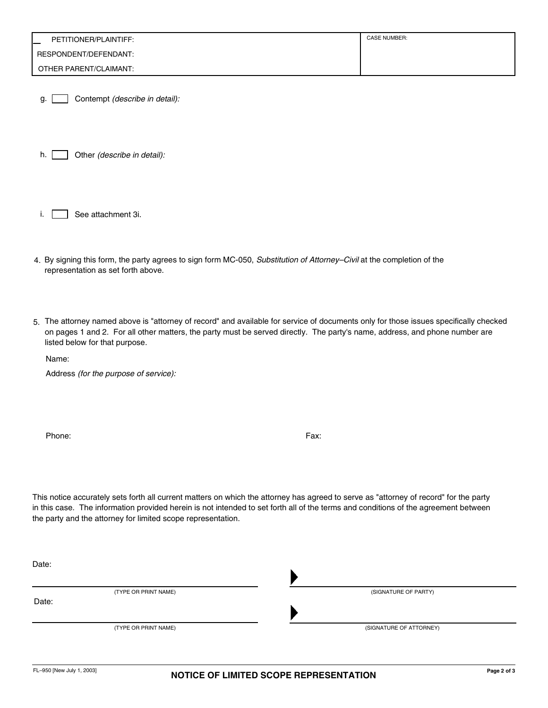| PETITIONER/PLAINTIFF:  | <b>CASE NUMBER:</b> |
|------------------------|---------------------|
| RESPONDENT/DEFENDANT:  |                     |
| OTHER PARENT/CLAIMANT: |                     |

g. Contempt (describe in detail):

h. **Other** (describe in detail):

See attachment 3i. i.

- 4. By signing this form, the party agrees to sign form MC-050, *Substitution of Attorney–Civil* at the completion of the representation as set forth above.
- 5. The attorney named above is "attorney of record" and available for service of documents only for those issues specifically checked on pages 1 and 2. For all other matters, the party must be served directly. The party's name, address, and phone number are listed below for that purpose.

Name:

Address (for the purpose of service):

Phone: Fax:

This notice accurately sets forth all current matters on which the attorney has agreed to serve as "attorney of record" for the party in this case. The information provided herein is not intended to set forth all of the terms and conditions of the agreement between the party and the attorney for limited scope representation.

| Date: |                      |                         |
|-------|----------------------|-------------------------|
|       | (TYPE OR PRINT NAME) | (SIGNATURE OF PARTY)    |
| Date: |                      |                         |
|       |                      |                         |
|       | (TYPE OR PRINT NAME) | (SIGNATURE OF ATTORNEY) |
|       |                      |                         |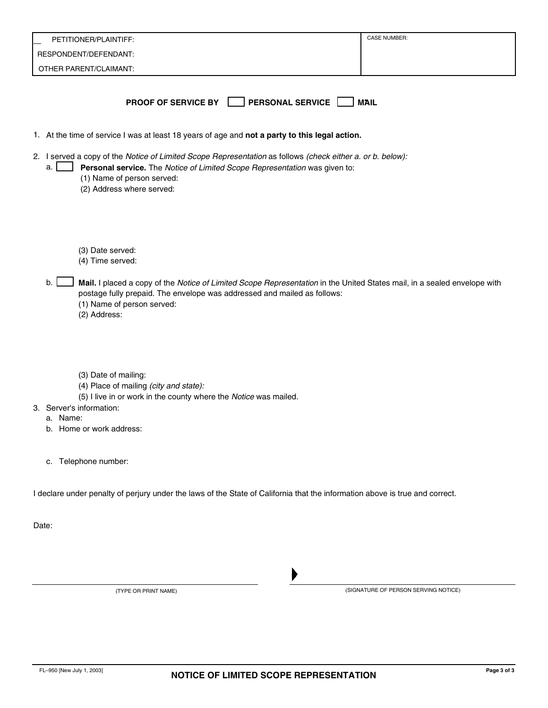|                                                                                                                              | PETITIONER/PLAINTIFF:                                                                                                                                                                                                                                                                      | <b>CASE NUMBER:</b>                  |  |  |
|------------------------------------------------------------------------------------------------------------------------------|--------------------------------------------------------------------------------------------------------------------------------------------------------------------------------------------------------------------------------------------------------------------------------------------|--------------------------------------|--|--|
|                                                                                                                              |                                                                                                                                                                                                                                                                                            |                                      |  |  |
|                                                                                                                              | RESPONDENT/DEFENDANT:                                                                                                                                                                                                                                                                      |                                      |  |  |
|                                                                                                                              | OTHER PARENT/CLAIMANT:                                                                                                                                                                                                                                                                     |                                      |  |  |
|                                                                                                                              | <b>PERSONAL SERVICE</b><br><b>MAIL</b><br><b>PROOF OF SERVICE BY</b>                                                                                                                                                                                                                       |                                      |  |  |
|                                                                                                                              | 1. At the time of service I was at least 18 years of age and not a party to this legal action.                                                                                                                                                                                             |                                      |  |  |
| a.                                                                                                                           | 2. I served a copy of the Notice of Limited Scope Representation as follows (check either a. or b. below):<br>Personal service. The Notice of Limited Scope Representation was given to:<br>(1) Name of person served:<br>(2) Address where served:                                        |                                      |  |  |
| b.                                                                                                                           | (3) Date served:<br>(4) Time served:<br>Mail. I placed a copy of the Notice of Limited Scope Representation in the United States mail, in a sealed envelope with<br>postage fully prepaid. The envelope was addressed and mailed as follows:<br>(1) Name of person served:<br>(2) Address: |                                      |  |  |
| a. Name:                                                                                                                     | (3) Date of mailing:<br>(4) Place of mailing (city and state):<br>(5) I live in or work in the county where the Notice was mailed.<br>3. Server's information:<br>b. Home or work address:                                                                                                 |                                      |  |  |
| c.                                                                                                                           | Telephone number:                                                                                                                                                                                                                                                                          |                                      |  |  |
| I declare under penalty of perjury under the laws of the State of California that the information above is true and correct. |                                                                                                                                                                                                                                                                                            |                                      |  |  |
| Date:                                                                                                                        |                                                                                                                                                                                                                                                                                            |                                      |  |  |
|                                                                                                                              |                                                                                                                                                                                                                                                                                            |                                      |  |  |
|                                                                                                                              |                                                                                                                                                                                                                                                                                            |                                      |  |  |
|                                                                                                                              |                                                                                                                                                                                                                                                                                            |                                      |  |  |
|                                                                                                                              | (TYPE OR PRINT NAME)                                                                                                                                                                                                                                                                       | (SIGNATURE OF PERSON SERVING NOTICE) |  |  |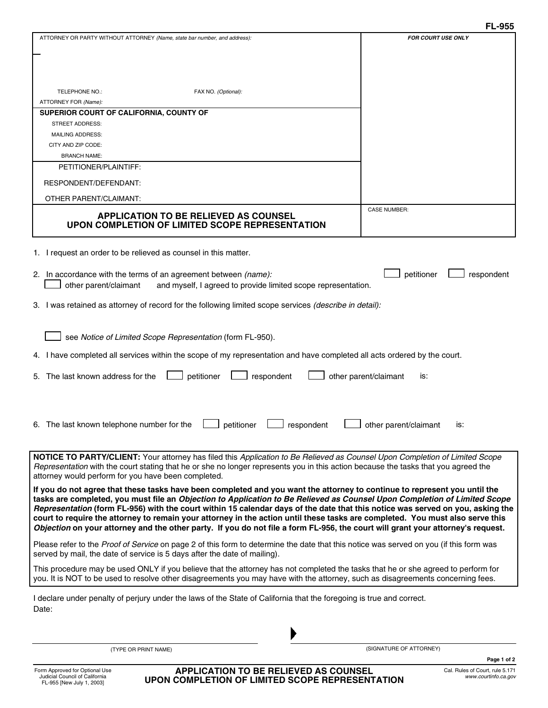#### **FL-955**

|                                                                                                                                                                                                                                                                                                                                                                                                                                                                                                                                                                                                                                                              | г∟•ววว                       |  |
|--------------------------------------------------------------------------------------------------------------------------------------------------------------------------------------------------------------------------------------------------------------------------------------------------------------------------------------------------------------------------------------------------------------------------------------------------------------------------------------------------------------------------------------------------------------------------------------------------------------------------------------------------------------|------------------------------|--|
| ATTORNEY OR PARTY WITHOUT ATTORNEY (Name, state bar number, and address):                                                                                                                                                                                                                                                                                                                                                                                                                                                                                                                                                                                    | <b>FOR COURT USE ONLY</b>    |  |
|                                                                                                                                                                                                                                                                                                                                                                                                                                                                                                                                                                                                                                                              |                              |  |
|                                                                                                                                                                                                                                                                                                                                                                                                                                                                                                                                                                                                                                                              |                              |  |
| TELEPHONE NO.:<br>FAX NO. (Optional):                                                                                                                                                                                                                                                                                                                                                                                                                                                                                                                                                                                                                        |                              |  |
| ATTORNEY FOR (Name):                                                                                                                                                                                                                                                                                                                                                                                                                                                                                                                                                                                                                                         |                              |  |
| SUPERIOR COURT OF CALIFORNIA, COUNTY OF                                                                                                                                                                                                                                                                                                                                                                                                                                                                                                                                                                                                                      |                              |  |
| STREET ADDRESS:                                                                                                                                                                                                                                                                                                                                                                                                                                                                                                                                                                                                                                              |                              |  |
| MAILING ADDRESS:                                                                                                                                                                                                                                                                                                                                                                                                                                                                                                                                                                                                                                             |                              |  |
| CITY AND ZIP CODE:<br><b>BRANCH NAME:</b>                                                                                                                                                                                                                                                                                                                                                                                                                                                                                                                                                                                                                    |                              |  |
| PETITIONER/PLAINTIFF:                                                                                                                                                                                                                                                                                                                                                                                                                                                                                                                                                                                                                                        |                              |  |
| RESPONDENT/DEFENDANT:                                                                                                                                                                                                                                                                                                                                                                                                                                                                                                                                                                                                                                        |                              |  |
| OTHER PARENT/CLAIMANT:                                                                                                                                                                                                                                                                                                                                                                                                                                                                                                                                                                                                                                       |                              |  |
| <b>APPLICATION TO BE RELIEVED AS COUNSEL</b><br>UPON COMPLETION OF LIMITED SCOPE REPRESENTATION                                                                                                                                                                                                                                                                                                                                                                                                                                                                                                                                                              | <b>CASE NUMBER:</b>          |  |
| 1. I request an order to be relieved as counsel in this matter.                                                                                                                                                                                                                                                                                                                                                                                                                                                                                                                                                                                              |                              |  |
| 2. In accordance with the terms of an agreement between (name):<br>and myself, I agreed to provide limited scope representation.<br>other parent/claimant                                                                                                                                                                                                                                                                                                                                                                                                                                                                                                    | petitioner<br>respondent     |  |
| 3. I was retained as attorney of record for the following limited scope services (describe in detail):                                                                                                                                                                                                                                                                                                                                                                                                                                                                                                                                                       |                              |  |
|                                                                                                                                                                                                                                                                                                                                                                                                                                                                                                                                                                                                                                                              |                              |  |
| see Notice of Limited Scope Representation (form FL-950).                                                                                                                                                                                                                                                                                                                                                                                                                                                                                                                                                                                                    |                              |  |
| 4. I have completed all services within the scope of my representation and have completed all acts ordered by the court.                                                                                                                                                                                                                                                                                                                                                                                                                                                                                                                                     |                              |  |
| 5. The last known address for the<br>petitioner<br>respondent<br>other parent/claimant<br>is:                                                                                                                                                                                                                                                                                                                                                                                                                                                                                                                                                                |                              |  |
| 6. The last known telephone number for the<br>petitioner<br>respondent                                                                                                                                                                                                                                                                                                                                                                                                                                                                                                                                                                                       | other parent/claimant<br>is: |  |
| NOTICE TO PARTY/CLIENT: Your attorney has filed this Application to Be Relieved as Counsel Upon Completion of Limited Scope<br>Representation with the court stating that he or she no longer represents you in this action because the tasks that you agreed the<br>attorney would perform for you have been completed.                                                                                                                                                                                                                                                                                                                                     |                              |  |
| If you do not agree that these tasks have been completed and you want the attorney to continue to represent you until the<br>tasks are completed, you must file an Objection to Application to Be Relieved as Counsel Upon Completion of Limited Scope<br>Representation (form FL-956) with the court within 15 calendar days of the date that this notice was served on you, asking the<br>court to require the attorney to remain your attorney in the action until these tasks are completed. You must also serve this<br>Objection on your attorney and the other party. If you do not file a form FL-956, the court will grant your attorney's request. |                              |  |
| Please refer to the Proof of Service on page 2 of this form to determine the date that this notice was served on you (if this form was<br>served by mail, the date of service is 5 days after the date of mailing).                                                                                                                                                                                                                                                                                                                                                                                                                                          |                              |  |
| This procedure may be used ONLY if you believe that the attorney has not completed the tasks that he or she agreed to perform for<br>you. It is NOT to be used to resolve other disagreements you may have with the attorney, such as disagreements concerning fees.                                                                                                                                                                                                                                                                                                                                                                                         |                              |  |
| I declare under penalty of perjury under the laws of the State of California that the foregoing is true and correct.<br>Date:                                                                                                                                                                                                                                                                                                                                                                                                                                                                                                                                |                              |  |
|                                                                                                                                                                                                                                                                                                                                                                                                                                                                                                                                                                                                                                                              |                              |  |

(TYPE OR PRINT NAME) (SIGNATURE OF ATTORNEY)

**APPLICATION TO BE RELIEVED AS COUNSEL UPON COMPLETION OF LIMITED SCOPE REPRESENTATION**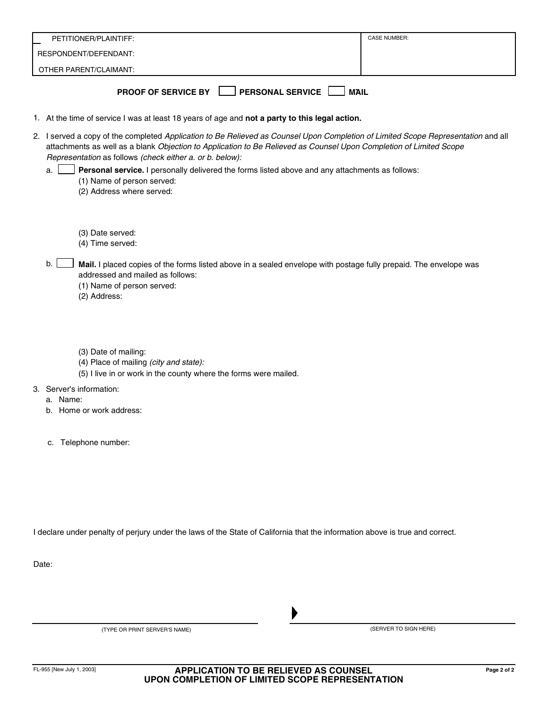| PETITIONER/PLAINTIFF:                                                                                                                                                                                                                                                                                                                                                                                                                                                                   | <b>CASE NUMBER:</b> |  |
|-----------------------------------------------------------------------------------------------------------------------------------------------------------------------------------------------------------------------------------------------------------------------------------------------------------------------------------------------------------------------------------------------------------------------------------------------------------------------------------------|---------------------|--|
| RESPONDENT/DEFENDANT:                                                                                                                                                                                                                                                                                                                                                                                                                                                                   |                     |  |
| OTHER PARENT/CLAIMANT:                                                                                                                                                                                                                                                                                                                                                                                                                                                                  |                     |  |
| <b>PERSONAL SERVICE</b><br><b>MAIL</b><br><b>PROOF OF SERVICE BY</b>                                                                                                                                                                                                                                                                                                                                                                                                                    |                     |  |
| 1. At the time of service I was at least 18 years of age and not a party to this legal action.                                                                                                                                                                                                                                                                                                                                                                                          |                     |  |
| 2. I served a copy of the completed Application to Be Relieved as Counsel Upon Completion of Limited Scope Representation and all<br>attachments as well as a blank Objection to Application to Be Relieved as Counsel Upon Completion of Limited Scope<br>Representation as follows (check either a. or b. below):<br>Personal service. I personally delivered the forms listed above and any attachments as follows:<br>a.<br>(1) Name of person served:<br>(2) Address where served: |                     |  |
| (3) Date served:<br>(4) Time served:                                                                                                                                                                                                                                                                                                                                                                                                                                                    |                     |  |
| b.<br>Mail. I placed copies of the forms listed above in a sealed envelope with postage fully prepaid. The envelope was<br>addressed and mailed as follows:<br>(1) Name of person served:<br>(2) Address:                                                                                                                                                                                                                                                                               |                     |  |
| (3) Date of mailing:<br>(4) Place of mailing (city and state):<br>(5) I live in or work in the county where the forms were mailed.                                                                                                                                                                                                                                                                                                                                                      |                     |  |
| 3. Server's information:<br>a. Name:<br>b. Home or work address:                                                                                                                                                                                                                                                                                                                                                                                                                        |                     |  |
| c. Telephone number:                                                                                                                                                                                                                                                                                                                                                                                                                                                                    |                     |  |
|                                                                                                                                                                                                                                                                                                                                                                                                                                                                                         |                     |  |
| I declare under penalty of perjury under the laws of the State of California that the information above is true and correct.                                                                                                                                                                                                                                                                                                                                                            |                     |  |
| Date:                                                                                                                                                                                                                                                                                                                                                                                                                                                                                   |                     |  |

(TYPE OR PRINT SERVER'S NAME) (SERVER TO SIGN HERE)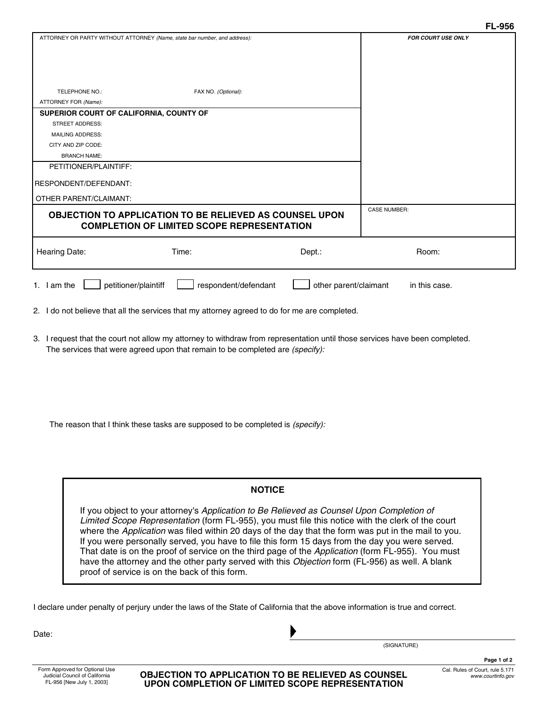#### **FL-956**

|                                                                                                                     |                                                                           |                       | ∪טי∟ ו                    |
|---------------------------------------------------------------------------------------------------------------------|---------------------------------------------------------------------------|-----------------------|---------------------------|
|                                                                                                                     | ATTORNEY OR PARTY WITHOUT ATTORNEY (Name, state bar number, and address): |                       | <b>FOR COURT USE ONLY</b> |
|                                                                                                                     |                                                                           |                       |                           |
| TELEPHONE NO.:                                                                                                      | FAX NO. (Optional):                                                       |                       |                           |
| ATTORNEY FOR (Name):                                                                                                |                                                                           |                       |                           |
| SUPERIOR COURT OF CALIFORNIA, COUNTY OF                                                                             |                                                                           |                       |                           |
| <b>STREET ADDRESS:</b>                                                                                              |                                                                           |                       |                           |
| <b>MAILING ADDRESS:</b>                                                                                             |                                                                           |                       |                           |
| CITY AND ZIP CODE:                                                                                                  |                                                                           |                       |                           |
| <b>BRANCH NAME:</b>                                                                                                 |                                                                           |                       |                           |
| PETITIONER/PLAINTIFF:                                                                                               |                                                                           |                       |                           |
| RESPONDENT/DEFENDANT:                                                                                               |                                                                           |                       |                           |
| <b>OTHER PARENT/CLAIMANT:</b>                                                                                       |                                                                           |                       |                           |
| <b>OBJECTION TO APPLICATION TO BE RELIEVED AS COUNSEL UPON</b><br><b>COMPLETION OF LIMITED SCOPE REPRESENTATION</b> |                                                                           |                       | <b>CASE NUMBER:</b>       |
| Hearing Date:                                                                                                       | Time:                                                                     | Dept.:                | Room:                     |
| 1. I am the                                                                                                         | petitioner/plaintiff<br>respondent/defendant                              | other parent/claimant | in this case.             |

2. I do not believe that all the services that my attorney agreed to do for me are completed.

The services that were agreed upon that remain to be completed are (specify): 3. I request that the court not allow my attorney to withdraw from representation until those services have been completed.

The reason that I think these tasks are supposed to be completed is (specify):

#### **NOTICE**

If you object to your attorney's Application to Be Relieved as Counsel Upon Completion of Limited Scope Representation (form FL-955), you must file this notice with the clerk of the court where the Application was filed within 20 days of the day that the form was put in the mail to you. If you were personally served, you have to file this form 15 days from the day you were served. That date is on the proof of service on the third page of the Application (form FL-955). You must have the attorney and the other party served with this *Objection* form (FL-956) as well. A blank proof of service is on the back of this form.

I declare under penalty of perjury under the laws of the State of California that the above information is true and correct.

Date:

(SIGNATURE)

Form Approved for Optional Use Judicial Council of California FL-956 [New July 1, 2003]

**OBJECTION TO APPLICATION TO BE RELIEVED AS COUNSEL UPON COMPLETION OF LIMITED SCOPE REPRESENTATION**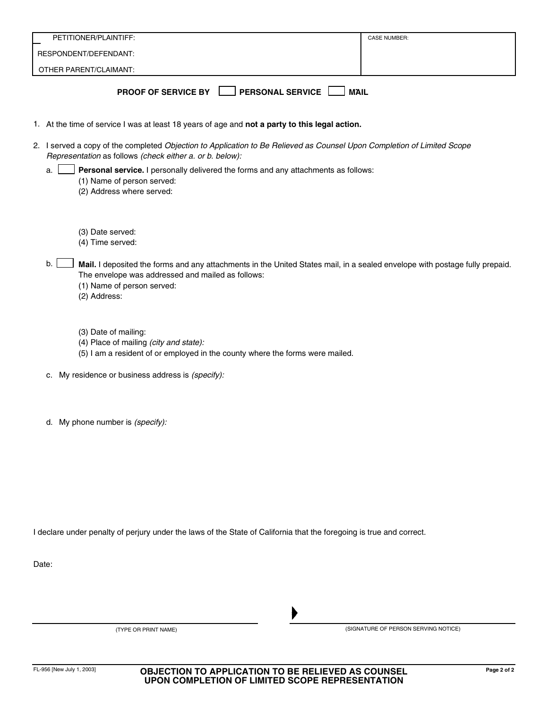| PETITIONER/PLAINTIFF:                                                                                                                                                                                                                            | <b>CASE NUMBER:</b> |  |  |
|--------------------------------------------------------------------------------------------------------------------------------------------------------------------------------------------------------------------------------------------------|---------------------|--|--|
| RESPONDENT/DEFENDANT:                                                                                                                                                                                                                            |                     |  |  |
| <b>OTHER PARENT/CLAIMANT:</b>                                                                                                                                                                                                                    |                     |  |  |
| <b>PERSONAL SERVICE</b><br><b>PROOF OF SERVICE BY</b><br><b>MAIL</b>                                                                                                                                                                             |                     |  |  |
| 1. At the time of service I was at least 18 years of age and not a party to this legal action.                                                                                                                                                   |                     |  |  |
| 2. I served a copy of the completed Objection to Application to Be Relieved as Counsel Upon Completion of Limited Scope<br>Representation as follows (check either a. or b. below):                                                              |                     |  |  |
| Personal service. I personally delivered the forms and any attachments as follows:<br>a.<br>(1) Name of person served:<br>(2) Address where served:                                                                                              |                     |  |  |
| (3) Date served:<br>(4) Time served:                                                                                                                                                                                                             |                     |  |  |
| b <sub>1</sub><br>Mail. I deposited the forms and any attachments in the United States mail, in a sealed envelope with postage fully prepaid.<br>The envelope was addressed and mailed as follows:<br>(1) Name of person served:<br>(2) Address: |                     |  |  |
| (3) Date of mailing:<br>(4) Place of mailing (city and state):<br>(5) I am a resident of or employed in the county where the forms were mailed.                                                                                                  |                     |  |  |
| My residence or business address is (specify):<br>c.                                                                                                                                                                                             |                     |  |  |

d. My phone number is (specify):

I declare under penalty of perjury under the laws of the State of California that the foregoing is true and correct.

Date: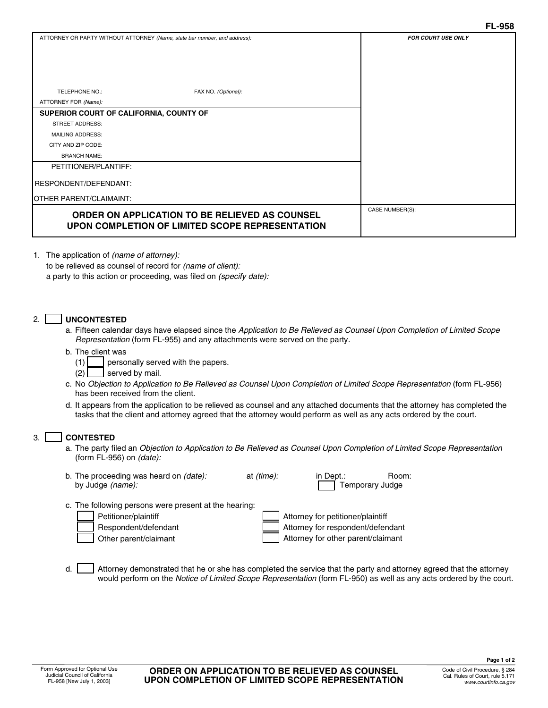|                                                                                                                                                                                                                                                                                                                                                                                                                                                                                                                                                                                                                                                                                                                                                    | <b>FL-958</b>                   |
|----------------------------------------------------------------------------------------------------------------------------------------------------------------------------------------------------------------------------------------------------------------------------------------------------------------------------------------------------------------------------------------------------------------------------------------------------------------------------------------------------------------------------------------------------------------------------------------------------------------------------------------------------------------------------------------------------------------------------------------------------|---------------------------------|
| ATTORNEY OR PARTY WITHOUT ATTORNEY (Name, state bar number, and address):                                                                                                                                                                                                                                                                                                                                                                                                                                                                                                                                                                                                                                                                          | <b>FOR COURT USE ONLY</b>       |
|                                                                                                                                                                                                                                                                                                                                                                                                                                                                                                                                                                                                                                                                                                                                                    |                                 |
| <b>TELEPHONE NO.:</b><br>FAX NO. (Optional):                                                                                                                                                                                                                                                                                                                                                                                                                                                                                                                                                                                                                                                                                                       |                                 |
| ATTORNEY FOR (Name):                                                                                                                                                                                                                                                                                                                                                                                                                                                                                                                                                                                                                                                                                                                               |                                 |
| SUPERIOR COURT OF CALIFORNIA, COUNTY OF                                                                                                                                                                                                                                                                                                                                                                                                                                                                                                                                                                                                                                                                                                            |                                 |
| <b>STREET ADDRESS:</b>                                                                                                                                                                                                                                                                                                                                                                                                                                                                                                                                                                                                                                                                                                                             |                                 |
| MAILING ADDRESS:                                                                                                                                                                                                                                                                                                                                                                                                                                                                                                                                                                                                                                                                                                                                   |                                 |
| CITY AND ZIP CODE:                                                                                                                                                                                                                                                                                                                                                                                                                                                                                                                                                                                                                                                                                                                                 |                                 |
| <b>BRANCH NAME:</b>                                                                                                                                                                                                                                                                                                                                                                                                                                                                                                                                                                                                                                                                                                                                |                                 |
| PETITIONER/PLANTIFF:                                                                                                                                                                                                                                                                                                                                                                                                                                                                                                                                                                                                                                                                                                                               |                                 |
| RESPONDENT/DEFENDANT:                                                                                                                                                                                                                                                                                                                                                                                                                                                                                                                                                                                                                                                                                                                              |                                 |
| <b>OTHER PARENT/CLAIMAINT:</b>                                                                                                                                                                                                                                                                                                                                                                                                                                                                                                                                                                                                                                                                                                                     | CASE NUMBER(S):                 |
| ORDER ON APPLICATION TO BE RELIEVED AS COUNSEL<br>UPON COMPLETION OF LIMITED SCOPE REPRESENTATION                                                                                                                                                                                                                                                                                                                                                                                                                                                                                                                                                                                                                                                  |                                 |
|                                                                                                                                                                                                                                                                                                                                                                                                                                                                                                                                                                                                                                                                                                                                                    |                                 |
| 1. The application of (name of attorney):                                                                                                                                                                                                                                                                                                                                                                                                                                                                                                                                                                                                                                                                                                          |                                 |
| to be relieved as counsel of record for (name of client):                                                                                                                                                                                                                                                                                                                                                                                                                                                                                                                                                                                                                                                                                          |                                 |
| a party to this action or proceeding, was filed on (specify date):                                                                                                                                                                                                                                                                                                                                                                                                                                                                                                                                                                                                                                                                                 |                                 |
| 2.<br><b>UNCONTESTED</b><br>a. Fifteen calendar days have elapsed since the Application to Be Relieved as Counsel Upon Completion of Limited Scope<br>Representation (form FL-955) and any attachments were served on the party.<br>b. The client was<br>(1)<br>personally served with the papers.<br>served by mail.<br>(2)<br>c. No Objection to Application to Be Relieved as Counsel Upon Completion of Limited Scope Representation (form FL-956)<br>has been received from the client.<br>d. It appears from the application to be relieved as counsel and any attached documents that the attorney has completed the<br>tasks that the client and attorney agreed that the attorney would perform as well as any acts ordered by the court. |                                 |
| <b>CONTESTED</b><br>З.<br>a. The party filed an Objection to Application to Be Relieved as Counsel Upon Completion of Limited Scope Representation                                                                                                                                                                                                                                                                                                                                                                                                                                                                                                                                                                                                 |                                 |
| (form FL-956) on $(data)$ :                                                                                                                                                                                                                                                                                                                                                                                                                                                                                                                                                                                                                                                                                                                        |                                 |
| b. The proceeding was heard on (date):<br>at (time):<br>in Dept.:<br>by Judge (name):                                                                                                                                                                                                                                                                                                                                                                                                                                                                                                                                                                                                                                                              | Room:<br><b>Temporary Judge</b> |
| c. The following persons were present at the hearing:<br>Attorney for petitioner/plaintiff<br>Petitioner/plaintiff<br>Respondent/defendant<br>Attorney for respondent/defendant<br>Attorney for other parent/claimant<br>Other parent/claimant                                                                                                                                                                                                                                                                                                                                                                                                                                                                                                     |                                 |
| d.<br>Attorney demonstrated that he or she has completed the service that the party and attorney agreed that the attorney<br>would perform on the Notice of Limited Scope Representation (form FL-950) as well as any acts ordered by the court.                                                                                                                                                                                                                                                                                                                                                                                                                                                                                                   |                                 |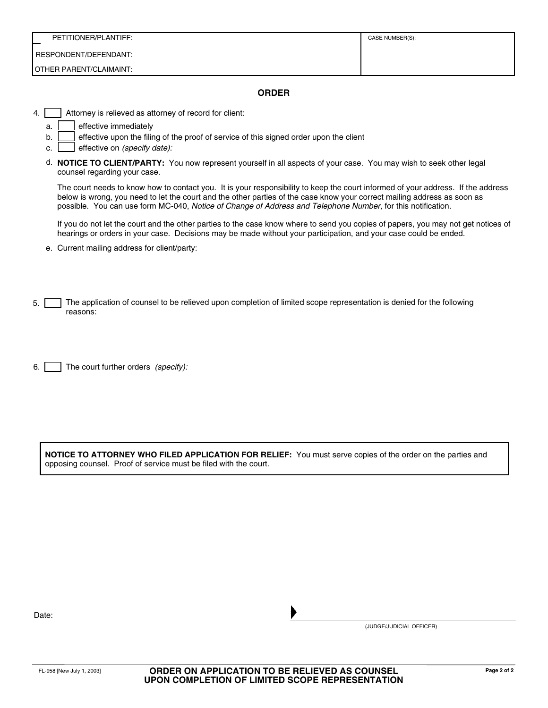| PETITIONER/PLANTIFF:                                                                                                                                                                                                                                                                                                                                                        | CASE NUMBER(S): |
|-----------------------------------------------------------------------------------------------------------------------------------------------------------------------------------------------------------------------------------------------------------------------------------------------------------------------------------------------------------------------------|-----------------|
| RESPONDENT/DEFENDANT:                                                                                                                                                                                                                                                                                                                                                       |                 |
| <b>OTHER PARENT/CLAIMAINT:</b>                                                                                                                                                                                                                                                                                                                                              |                 |
| <b>ORDER</b>                                                                                                                                                                                                                                                                                                                                                                |                 |
| 4.<br>Attorney is relieved as attorney of record for client:                                                                                                                                                                                                                                                                                                                |                 |
| effective immediately<br>a.<br>effective upon the filing of the proof of service of this signed order upon the client<br>b.<br>effective on (specify date):<br>c.                                                                                                                                                                                                           |                 |
| d. NOTICE TO CLIENT/PARTY: You now represent yourself in all aspects of your case. You may wish to seek other legal<br>counsel regarding your case.                                                                                                                                                                                                                         |                 |
| The court needs to know how to contact you. It is your responsibility to keep the court informed of your address. If the address<br>below is wrong, you need to let the court and the other parties of the case know your correct mailing address as soon as<br>possible. You can use form MC-040, Notice of Change of Address and Telephone Number, for this notification. |                 |
| If you do not let the court and the other parties to the case know where to send you copies of papers, you may not get notices of<br>hearings or orders in your case. Decisions may be made without your participation, and your case could be ended.                                                                                                                       |                 |
| e. Current mailing address for client/party:                                                                                                                                                                                                                                                                                                                                |                 |
| The application of counsel to be relieved upon completion of limited scope representation is denied for the following<br>5.<br>reasons:                                                                                                                                                                                                                                     |                 |
| The court further orders (specify):<br>6.                                                                                                                                                                                                                                                                                                                                   |                 |

**NOTICE TO ATTORNEY WHO FILED APPLICATION FOR RELIEF:** You must serve copies of the order on the parties and opposing counsel. Proof of service must be filed with the court.

Date:

(JUDGE/JUDICIAL OFFICER)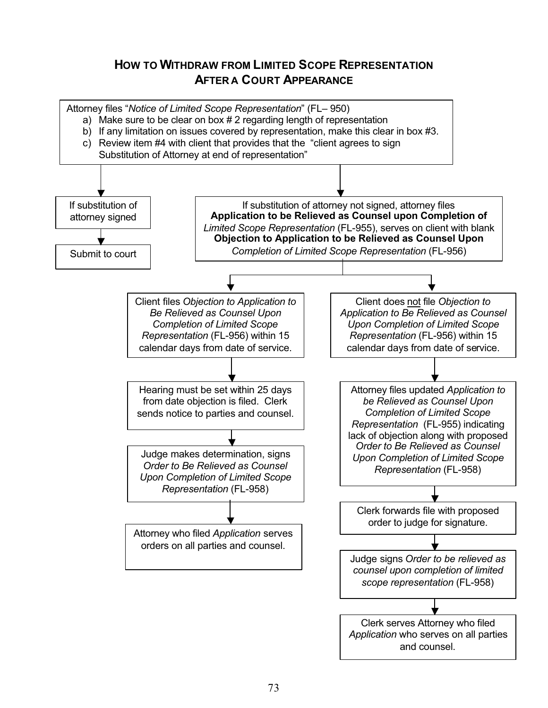# **HOW TO WITHDRAW FROM LIMITED SCOPE REPRESENTATION AFTER A COURT APPEARANCE**

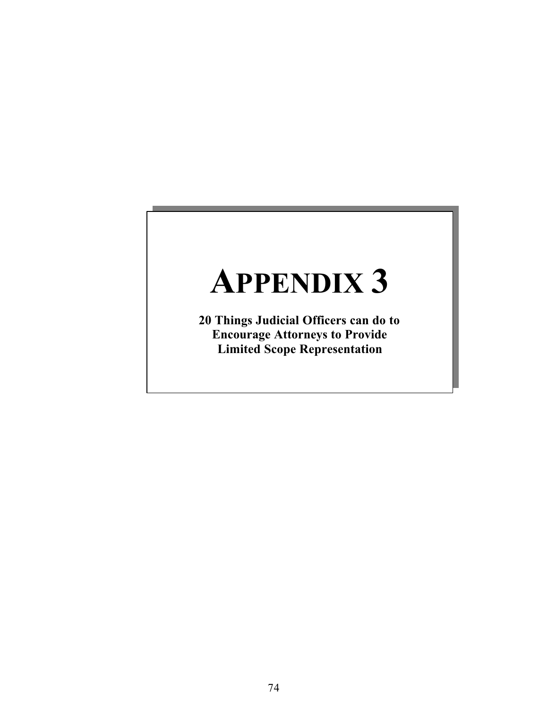# **APPENDIX 3**

**20 Things Judicial Officers can do to Encourage Attorneys to Provide Limited Scope Representation**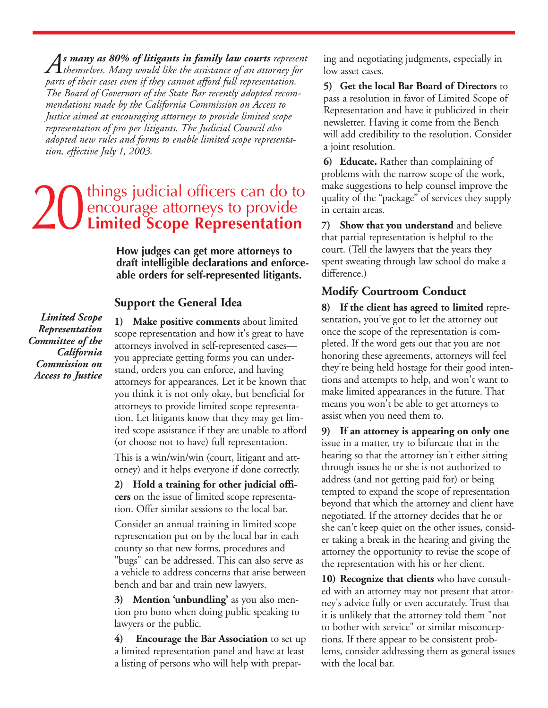*As many as 80% of litigants in family law courts represent themselves. Many would like the assistance of an attorney for parts of their cases even if they cannot afford full representation. The Board of Governors of the State Bar recently adopted recommendations made by the California Commission on Access to Justice aimed at encouraging attorneys to provide limited scope representation of pro per litigants. The Judicial Council also adopted new rules and forms to enable limited scope representation, effective July 1, 2003.* 

# 20things judicial officers can do to<br> **20th** encourage attorneys to provide<br> **Example 2018 Expresentation** encourage attorneys to provide **Limited Scope Representation**

**How judges can get more attorneys to draft intelligible declarations and enforceable orders for self-represented litigants.**

### **Support the General Idea**

*Limited Scope Representation Committee of the California Commission on Access to Justice*

**1) Make positive comments** about limited scope representation and how it's great to have attorneys involved in self-represented cases you appreciate getting forms you can understand, orders you can enforce, and having attorneys for appearances. Let it be known that you think it is not only okay, but beneficial for attorneys to provide limited scope representation. Let litigants know that they may get limited scope assistance if they are unable to afford (or choose not to have) full representation.

This is a win/win/win (court, litigant and attorney) and it helps everyone if done correctly.

**2) Hold a training for other judicial officers** on the issue of limited scope representation. Offer similar sessions to the local bar.

Consider an annual training in limited scope representation put on by the local bar in each county so that new forms, procedures and "bugs" can be addressed. This can also serve as a vehicle to address concerns that arise between bench and bar and train new lawyers.

**3) Mention 'unbundling'** as you also mention pro bono when doing public speaking to lawyers or the public.

**4) Encourage the Bar Association** to set up a limited representation panel and have at least a listing of persons who will help with preparing and negotiating judgments, especially in low asset cases.

**5) Get the local Bar Board of Directors** to pass a resolution in favor of Limited Scope of Representation and have it publicized in their newsletter. Having it come from the Bench will add credibility to the resolution. Consider a joint resolution.

**6) Educate.** Rather than complaining of problems with the narrow scope of the work, make suggestions to help counsel improve the quality of the "package" of services they supply in certain areas.

**7) Show that you understand** and believe that partial representation is helpful to the court. (Tell the lawyers that the years they spent sweating through law school do make a difference.)

# **Modify Courtroom Conduct**

**8) If the client has agreed to limited** representation, you've got to let the attorney out once the scope of the representation is completed. If the word gets out that you are not honoring these agreements, attorneys will feel they're being held hostage for their good intentions and attempts to help, and won't want to make limited appearances in the future. That means you won't be able to get attorneys to assist when you need them to.

**9) If an attorney is appearing on only one** issue in a matter, try to bifurcate that in the hearing so that the attorney isn't either sitting through issues he or she is not authorized to address (and not getting paid for) or being tempted to expand the scope of representation beyond that which the attorney and client have negotiated. If the attorney decides that he or she can't keep quiet on the other issues, consider taking a break in the hearing and giving the attorney the opportunity to revise the scope of the representation with his or her client.

**10) Recognize that clients** who have consulted with an attorney may not present that attorney's advice fully or even accurately. Trust that it is unlikely that the attorney told them "not to bother with service" or similar misconceptions. If there appear to be consistent problems, consider addressing them as general issues with the local bar.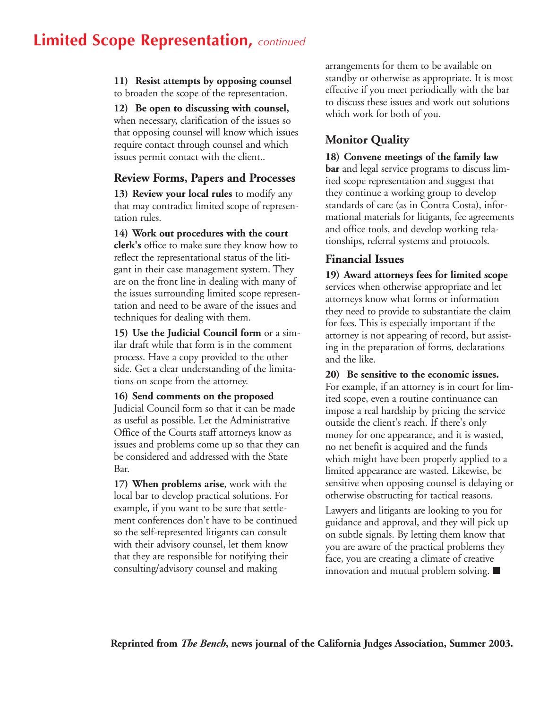# **Limited Scope Representation,** *continued*

**11) Resist attempts by opposing counsel** to broaden the scope of the representation.

**12) Be open to discussing with counsel,** when necessary, clarification of the issues so that opposing counsel will know which issues require contact through counsel and which issues permit contact with the client..

### **Review Forms, Papers and Processes**

**13) Review your local rules** to modify any that may contradict limited scope of representation rules.

**14) Work out procedures with the court clerk's** office to make sure they know how to reflect the representational status of the litigant in their case management system. They are on the front line in dealing with many of the issues surrounding limited scope representation and need to be aware of the issues and techniques for dealing with them.

**15) Use the Judicial Council form** or a similar draft while that form is in the comment process. Have a copy provided to the other side. Get a clear understanding of the limitations on scope from the attorney.

**16) Send comments on the proposed** Judicial Council form so that it can be made as useful as possible. Let the Administrative Office of the Courts staff attorneys know as issues and problems come up so that they can be considered and addressed with the State Bar.

**17) When problems arise**, work with the local bar to develop practical solutions. For example, if you want to be sure that settlement conferences don't have to be continued so the self-represented litigants can consult with their advisory counsel, let them know that they are responsible for notifying their consulting/advisory counsel and making

arrangements for them to be available on standby or otherwise as appropriate. It is most effective if you meet periodically with the bar to discuss these issues and work out solutions which work for both of you.

# **Monitor Quality**

**18) Convene meetings of the family law bar** and legal service programs to discuss lim-

ited scope representation and suggest that they continue a working group to develop standards of care (as in Contra Costa), informational materials for litigants, fee agreements and office tools, and develop working relationships, referral systems and protocols.

# **Financial Issues**

**19) Award attorneys fees for limited scope** services when otherwise appropriate and let attorneys know what forms or information they need to provide to substantiate the claim for fees. This is especially important if the attorney is not appearing of record, but assisting in the preparation of forms, declarations and the like.

**20) Be sensitive to the economic issues.** For example, if an attorney is in court for limited scope, even a routine continuance can impose a real hardship by pricing the service outside the client's reach. If there's only money for one appearance, and it is wasted, no net benefit is acquired and the funds which might have been properly applied to a limited appearance are wasted. Likewise, be sensitive when opposing counsel is delaying or otherwise obstructing for tactical reasons.

Lawyers and litigants are looking to you for guidance and approval, and they will pick up on subtle signals. By letting them know that you are aware of the practical problems they face, you are creating a climate of creative innovation and mutual problem solving. ■

**Reprinted from** *The Bench***, news journal of the California Judges Association, Summer 2003.**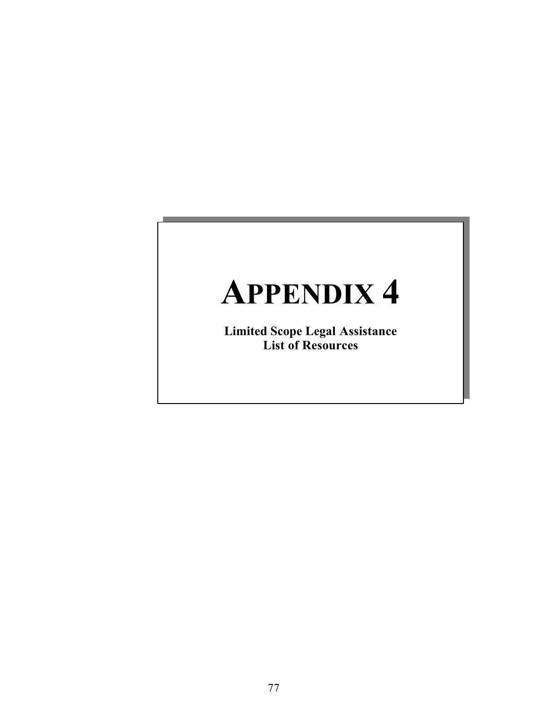# **APPENDIX 4**

**Limited Scope Legal Assistance List of Resources**